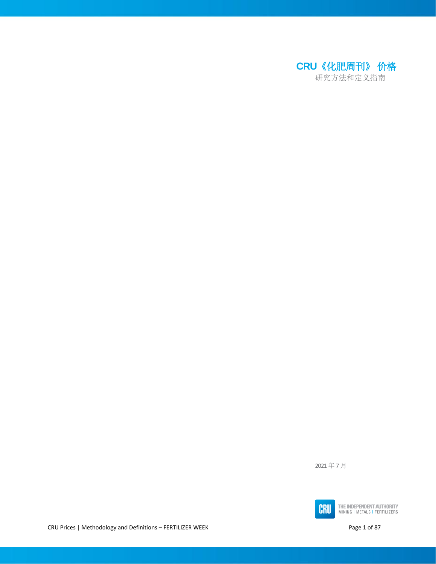<span id="page-0-0"></span>

2021 年 7 月



THE INDEPENDENT AUTHORITY<br>MINING I METALS I FERTILIZERS

CRU Prices | Methodology and Definitions - FERTILIZER WEEK **Page 1 of 87** Page 1 of 87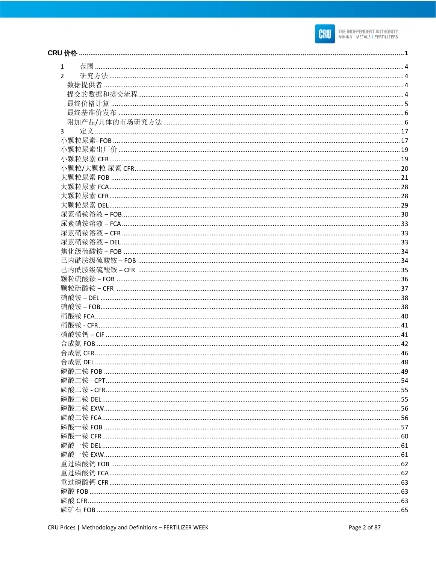

| $\mathbf{1}$   |  |
|----------------|--|
| $\mathcal{P}$  |  |
|                |  |
|                |  |
|                |  |
|                |  |
|                |  |
| $\overline{3}$ |  |
|                |  |
|                |  |
|                |  |
|                |  |
|                |  |
|                |  |
|                |  |
|                |  |
|                |  |
|                |  |
|                |  |
|                |  |
|                |  |
|                |  |
|                |  |
|                |  |
|                |  |
|                |  |
|                |  |
|                |  |
|                |  |
|                |  |
|                |  |
|                |  |
|                |  |
|                |  |
|                |  |
|                |  |
|                |  |
|                |  |
|                |  |
|                |  |
|                |  |
|                |  |
|                |  |
|                |  |
|                |  |
|                |  |
|                |  |
|                |  |
|                |  |
|                |  |
|                |  |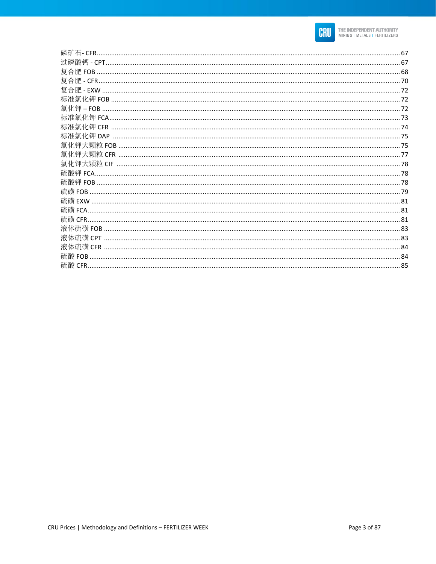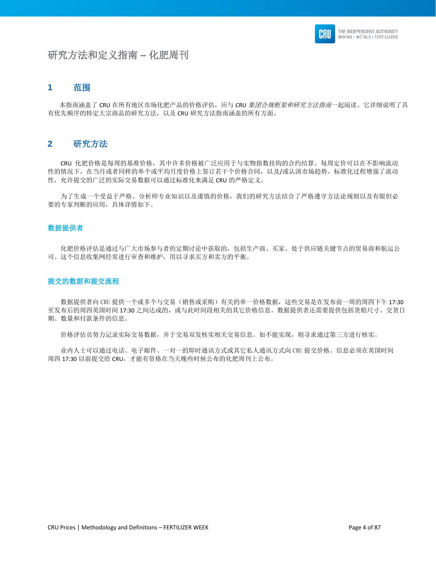# 研究方法和定义指南 **–** 化肥周刊

# <span id="page-3-0"></span>**1** 范围

 本指南涵盖了 CRU 在所有地区市场化肥产品的价格评估,应与 *CRU* 集团合规框架和研究方法指南一起阅读。它详细说明了具 有优先顺序的特定大宗商品的研究方法,以及 CRU 研究方法指南涵盖的所有方面。

# <span id="page-3-1"></span>**2** 研究方法

 CRU 化肥价格是每周的基准价格,其中许多价格被广泛应用于与实物指数挂钩的合约结算。每周定价可以在不影响流动 性的情况下,在当月或者同样的单个或平均月度价格上签订若干个价格合同,以及/或认清市场趋势。标准化过程增强了流动 性,允许提交的广泛的实际交易数据可以通过标准化来满足 CRU 的严格定义。

 为了生成一个受益于严格、分析师专业知识以及谨慎的价格,我们的研究方法结合了严格遵守方法论规则以及有限但必 要的专家判断的应用,具体详情如下。

#### <span id="page-3-2"></span>数据提供者

 化肥价格评估是通过与广大市场参与者的定期讨论中获取的,包括生产商、买家、处于供应链关键节点的贸易商和航运公 司。这个信息收集网经常进行审查和维护,用以寻求买方和卖方的平衡。

#### <span id="page-3-3"></span>提交的数据和提交流程

 数据提供者向 CRU 提供一个或多个与交易(销售或采购)有关的单一价格数据,这些交易是在发布前一周的周四下午 17:30 至发布后的周四英国时间 17:30 之间达成的,或与此时间段相关的其它价格信息。数据提供者还需要提供包括货船尺寸、交货日 期、数量和付款条件的信息。

价格评估员努力记录实际交易数据,并于交易双发核实相关交易信息。如不能实现,则寻求通过第三方进行核实。

 业内人士可以通过电话、电子邮件、一对一的即时通讯方式或其它私人通讯方式向 CRU 提交价格。信息必须在英国时间 周四 17:30 以前提交给 CRU,才能有资格在当天晚些时候公布的化肥周刊上公布。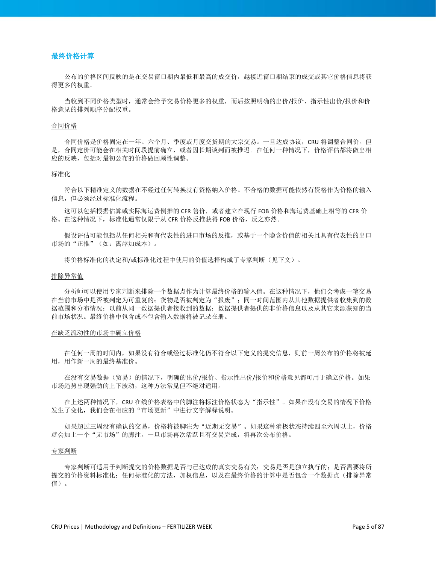# <span id="page-4-0"></span>最终价格计算

 公布的价格区间反映的是在交易窗口期内最低和最高的成交价,越接近窗口期结束的成交或其它价格信息将获 得更多的权重。

 当收到不同价格类型时,通常会给予交易价格更多的权重,而后按照明确的出价/报价、指示性出价/报价和价 格意见的排列顺序分配权重。

#### 合同价格

 合同价格是价格固定在一年、六个月、季度或月度交货期的大宗交易。一旦达成协议,CRU 将调整合同价。但 是,合同定价可能会在相关时间段提前确立,或者因长期谈判而被推迟。在任何一种情况下,价格评估都将做出相 应的反映,包括对最初公布的价格做回顾性调整。

#### 标准化

 符合以下精准定义的数据在不经过任何转换就有资格纳入价格。不合格的数据可能依然有资格作为价格的输入 信息,但必须经过标准化流程。

这可以包括根据估算或实际海运费倒推的 CFR 售价,或者建立在现行 FOB 价格和海运费基础上相等的 CFR 价 格。在这种情况下,标准化通常仅限于从 CFR 价格反推获得 FOB 价格,反之亦然。

 假设评估可能包括从任何相关和有代表性的进口市场的反推,或基于一个隐含价值的相关且具有代表性的出口 市场的"正推"(如:离岸加成本)。

将价格标准化的决定和/或标准化过程中使用的价值选择构成了专家判断(见下文)。

#### 排除异常值

 分析师可以使用专家判断来排除一个数据点作为计算最终价格的输入值。在这种情况下,他们会考虑一笔交易 在当前市场中是否被判定为可重复的;货物是否被判定为"报废";同一时间范围内从其他数据提供者收集到的数 据范围和分布情况;以前从同一数据提供者接收到的数据;数据提供者提供的非价格信息以及从其它来源获知的当 前市场状况。最终价格中包含或不包含输入数据将被记录在册。

#### 在缺乏流动性的市场中确立价格

 在任何一周的时间内,如果没有符合或经过标准化仍不符合以下定义的提交信息,则前一周公布的价格将被延 用,用作新一周的最终基准价。

 在没有交易数据(贸易)的情况下,明确的出价/报价、指示性出价/报价和价格意见都可用于确立价格。如果 市场趋势出现强劲的上下波动,这种方法常见但不绝对适用。

在上述两种情况下, CRU 在线价格表格中的脚注将标注价格状态为"指示性"。如果在没有交易的情况下价格 发生了变化,我们会在相应的"市场更新"中进行文字解释说明。

如果超过三周没有确认的交易,价格将被脚注为"近期无交易"。如果这种消极状态持续四至六周以上,价格 就会加上一个"无市场"的脚注。一旦市场再次活跃且有交易完成,将再次公布价格。

#### 专家判断

 专家判断可适用于判断提交的价格数据是否与已达成的真实交易有关;交易是否是独立执行的;是否需要将所 提交的价格资料标准化;任何标准化的方法,加权信息,以及在最终价格的计算中是否包含一个数据点(排除异常 值)。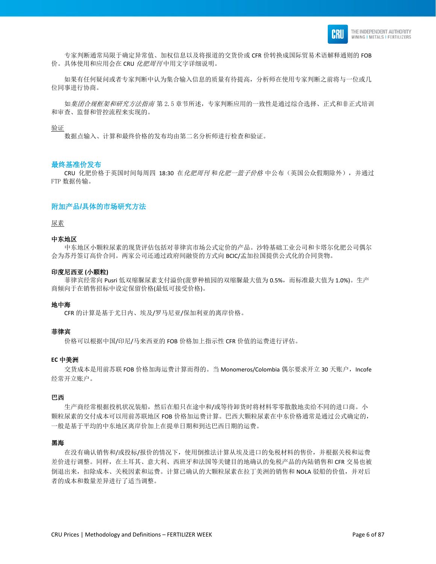

 专家判断通常局限于确定异常值、加权信息以及将报道的交货价或 CFR 价转换成国际贸易术语解释通则的 FOB 价。具体使用和应用会在 CRU 化肥周刊中用文字详细说明。

 如果有任何疑问或者专家判断中认为集合输入信息的质量有待提高,分析师在使用专家判断之前将与一位或几 位同事进行协商。

如*集团合规框架和研究方法指南* 第 2.5 章节所述,专家判断应用的一致性是通过综合选择、正式和非正式培训 和审查、监督和管控流程来实现的。

验证

数据点输入、计算和最终价格的发布均由第二名分析师进行检查和验证。

#### <span id="page-5-0"></span>最终基准价发布

CRU 化肥价格于英国时间每周四 18:30 在化肥周刊 和化肥一篮子价格 中公布(英国公众假期除外), 并通过 FTP 数据传输。

#### <span id="page-5-1"></span>附加产品**/**具体的市场研究方法

尿素

#### 中东地区

 中东地区小颗粒尿素的现货评估包括对菲律宾市场公式定价的产品。沙特基础工业公司和卡塔尔化肥公司偶尔 会为苏丹签订高价合同。两家公司还通过政府间融资的方式向 BCIC/孟加拉国提供公式化的合同货物。

#### 印度尼西亚 **(**小颗粒**)**

菲律宾经常向 Pusri 低双缩脲尿素支付溢价(菠萝种植园的双缩脲最大值为 0.5%, 而标准最大值为 1.0%)。生产 商倾向于在销售招标中设定保留价格(最低可接受价格)。

#### 地中海

CFR 的计算是基于尤日内、埃及/罗马尼亚/保加利亚的离岸价格。

#### 菲律宾

价格可以根据中国/印尼/马来西亚的 FOB 价格加上指示性 CFR 价值的运费进行评估。

#### **EC** 中美洲

交货成本是用前苏联 FOB 价格加海运费计算而得的。当 Monomeros/Colombia 偶尔要求开立 30 天账户, Incofe 经常开立账户。

#### 巴西

 生产商经常根据投机状况装船,然后在船只在途中和/或等待卸货时将材料零零散散地卖给不同的进口商。小 颗粒尿素的交付成本可以用前苏联地区 FOB 价格加运费计算。巴西大颗粒尿素在中东价格通常是通过公式确定的, 一般是基于平均的中东地区离岸价加上在提单日期和到达巴西日期的运费。

#### 黑海

 在没有确认销售和/或投标/报价的情况下,使用倒推法计算从埃及进口的免税材料的售价,并根据关税和运费 差价进行调整。同样,在土耳其、意大利、西班牙和法国等关键目的地确认的免税产品的内陆销售和 CFR 交易也被 倒退出来,扣除成本、关税因素和运费。计算已确认的大颗粒尿素在拉丁美洲的销售和 NOLA 驳船的价值,并对后 者的成本和数量差异进行了适当调整。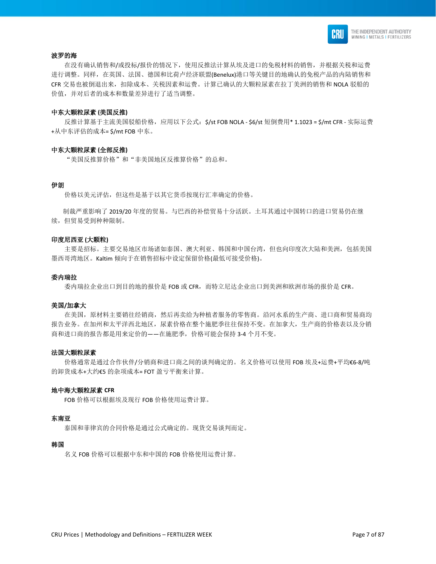

#### 波罗的海

 在没有确认销售和/或投标/报价的情况下,使用反推法计算从埃及进口的免税材料的销售,并根据关税和运费 进行调整。同样,在英国、法国、德国和比荷卢经济联盟(Benelux)港口等关键目的地确认的免税产品的内陆销售和 CFR 交易也被倒退出来,扣除成本、关税因素和运费。计算已确认的大颗粒尿素在拉丁美洲的销售和 NOLA 驳船的 价值,并对后者的成本和数量差异进行了适当调整。

#### 中东大颗粒尿素 **(**美国反推**)**

反推计算基于主流美国驳船价格,应用以下公式: \$/st FOB NOLA - \$6/st 短倒费用\* 1.1023 = \$/mt CFR - 实际运费 +从中东评估的成本= \$/mt FOB 中东。

#### 中东大颗粒尿素 **(**全部反推**)**

"美国反推算价格"和"非美国地区反推算价格"的总和。

#### 伊朗

价格以美元评估,但这些是基于以其它货币按现行汇率确定的价格。

 制裁严重影响了 2019/20 年度的贸易。与巴西的补偿贸易十分活跃。土耳其通过中国转口的进口贸易仍在继 续,但贸易受到种种限制。

#### 印度尼西亚 **(**大颗粒**)**

 主要是招标。主要交易地区市场诸如泰国、澳大利亚、韩国和中国台湾,但也向印度次大陆和美洲,包括美国 墨西哥湾地区。Kaltim 倾向于在销售招标中设定保留价格(最低可接受价格)。

#### 委内瑞拉

委内瑞拉企业出口到目的地的报价是 FOB 或 CFR,而特立尼达企业出口到美洲和欧洲市场的报价是 CFR。

#### 美国**/**加拿大

 在美国,原材料主要销往经销商,然后再卖给为种植者服务的零售商。沿河水系的生产商、进口商和贸易商均 报告业务。在加州和太平洋西北地区,尿素价格在整个施肥季往往保持不变。在加拿大,生产商的价格表以及分销 商和进口商的报告都是用来定价的——在施肥季,价格可能会保持 3-4 个月不变。

#### 法国大颗粒尿素

 价格通常是通过合作伙伴/分销商和进口商之间的谈判确定的。名义价格可以使用 FOB 埃及+运费+平均€6-8/吨 的卸货成本+大约€5 的杂项成本= FOT 盈亏平衡来计算。

#### 地中海大颗粒尿素 **CFR**

FOB 价格可以根据埃及现行 FOB 价格使用运费计算。

#### 东南亚

泰国和菲律宾的合同价格是通过公式确定的。现货交易谈判而定。

#### 韩国

名义 FOB 价格可以根据中东和中国的 FOB 价格使用运费计算。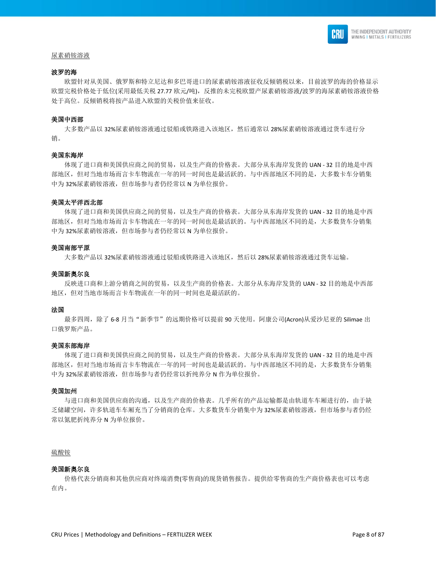

#### 尿素硝铵溶液

#### 波罗的海

 欧盟针对从美国、俄罗斯和特立尼达和多巴哥进口的尿素硝铵溶液征收反倾销税以来,目前波罗的海的价格显示 欧盟完税价格处于低位(采用最低关税 27.77 欧元/吨),反推的未完税欧盟产尿素硝铵溶液/波罗的海尿素硝铵溶液价格 处于高位。反倾销税将按产品进入欧盟的关税价值来征收。

#### 美国中西部

 大多数产品以 32%尿素硝铵溶液通过驳船或铁路进入该地区,然后通常以 28%尿素硝铵溶液通过货车进行分 销。

#### 美国东海岸

 体现了进口商和美国供应商之间的贸易,以及生产商的价格表。大部分从东海岸发货的 UAN - 32 目的地是中西 部地区,但对当地市场而言卡车物流在一年的同一时间也是最活跃的。与中西部地区不同的是,大多数卡车分销集 中为 32%尿素硝铵溶液,但市场参与者仍经常以 N 为单位报价。

#### 美国太平洋西北部

 体现了进口商和美国供应商之间的贸易,以及生产商的价格表。大部分从东海岸发货的 UAN - 32 目的地是中西 部地区,但对当地市场而言卡车物流在一年的同一时间也是最活跃的。与中西部地区不同的是,大多数货车分销集 中为 32%尿素硝铵溶液,但市场参与者仍经常以 N 为单位报价。

#### 美国南部平原

大多数产品以 32%尿素硝铵溶液通过驳船或铁路进入该地区,然后以 28%尿素硝铵溶液通过货车运输。

#### 美国新奥尔良

 反映进口商和上游分销商之间的贸易,以及生产商的价格表。大部分从东海岸发货的 UAN - 32 目的地是中西部 地区,但对当地市场而言卡车物流在一年的同一时间也是最活跃的。

#### 法国

最多四周,除了 6-8 月当"新季节"的远期价格可以提前 90 天使用。阿康公司(Acron)从爱沙尼亚的 Silimae 出 口俄罗斯产品。

#### 美国东部海岸

 体现了进口商和美国供应商之间的贸易,以及生产商的价格表。大部分从东海岸发货的 UAN - 32 目的地是中西 部地区,但对当地市场而言卡车物流在一年的同一时间也是最活跃的。与中西部地区不同的是,大多数货车分销集 中为 32%尿素硝铵溶液,但市场参与者仍经常以折纯养分 N 作为单位报价。

#### 美国加州

 与进口商和美国供应商的沟通,以及生产商的价格表。几乎所有的产品运输都是由轨道车车厢进行的,由于缺 乏储罐空间,许多轨道车车厢充当了分销商的仓库。大多数货车分销集中为 32%尿素硝铵溶液,但市场参与者仍经 常以氮肥折纯养分 N 为单位报价。

#### 硫酸铵

#### 美国新奥尔良

 价格代表分销商和其他供应商对终端消费(零售商)的现货销售报告。提供给零售商的生产商价格表也可以考虑 在内。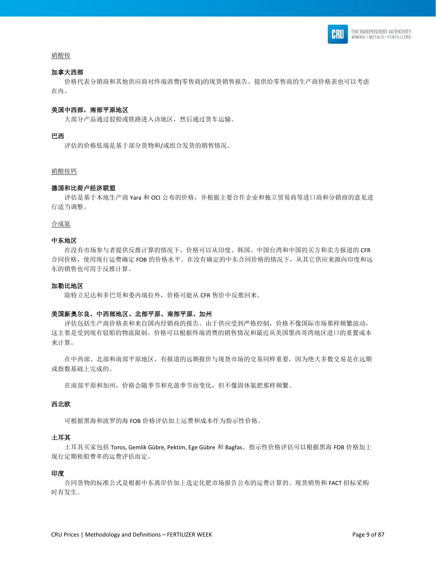

#### 硝酸铵

#### 加拿大西部

 价格代表分销商和其他供应商对终端消费(零售商)的现货销售报告。提供给零售商的生产商价格表也可以考虑 在内。

#### 美国中西部,南部平原地区

大部分产品通过驳船或铁路进入该地区,然后通过货车运输。

#### 巴西

评估的价格低端是基于部分货物和/或组合发货的销售情况。

#### 硝酸铵钙

#### 德国和比荷卢经济联盟

 评估是基于本地生产商 Yara 和 OCI 公布的价格,并根据主要合作企业和独立贸易商等进口商和分销商的意见进 行适当调整。

合成氨

#### 中东地区

 在没有市场参与者提供反推计算的情况下,价格可以从印度、韩国、中国台湾和中国的买方和卖方报道的 CFR 合同价格,使用现行运费确定 FOB 的价格水平。在没有确定的中东合同价格的情况下,从其它供应来源向印度和远 东的销售也可用于反推计算。

#### 加勒比地区

除特立尼达和多巴哥和委内瑞拉外,价格可能从 CFR 售价中反推回来。

#### 美国新奥尔良、中西部地区、北部平原、南部平原、加州

 评估包括生产商价格表和来自国内经销商的报告。由于供应受到严格控制,价格不像国际市场那样频繁波动, 这主要是受到现有驳船的物流限制。价格可以根据终端消费的销售情况和最近从美国墨西哥湾地区进口的重置成本 来计算。

 在中西部、北部和南部平原地区,有报道的远期报价与现货市场的交易同样重要,因为绝大多数交易是在远期 或指数基础上完成的。

在南部平原和加州,价格会随季节和充盈季节而变化,但不像固体氮肥那样频繁。

#### 西北欧

可根据黑海和波罗的海 FOB 价格评估加上运费和成本作为指示性价格。

#### 土耳其

 土耳其买家包括 Toros, Gemlik Gübre, Pektim, Ege Gübre 和 Bagfas。指示性价格评估可以根据黑海 FOB 价格加上 现行定期租船费率的运费评估而定。

#### 印度

 合同货物的标准公式是根据中东离岸价加上选定化肥市场报告公布的运费计算的。现货销售和 FACT 招标采购 时有发生。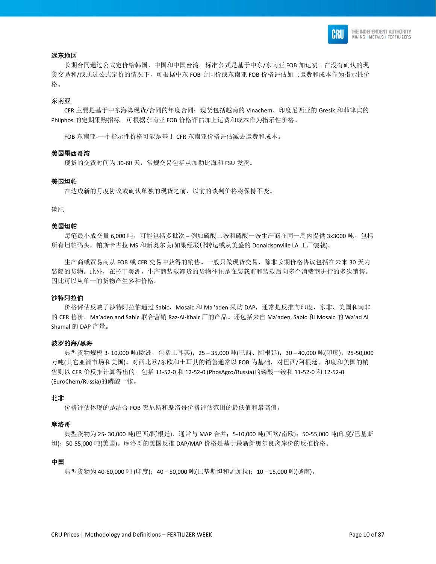

#### 远东地区

 长期合同通过公式定价给韩国、中国和中国台湾。标准公式是基于中东/东南亚 FOB 加运费。在没有确认的现 货交易和/或通过公式定价的情况下,可根据中东 FOB 合同价或东南亚 FOB 价格评估加上运费和成本作为指示性价 格。

#### 东南亚

 CFR 主要是基于中东海湾现货/合同的年度合同;现货包括越南的 Vinachem、印度尼西亚的 Gresik 和菲律宾的 Philphos 的定期采购招标。可根据东南亚 FOB 价格评估加上运费和成本作为指示性价格。

FOB 东南亚-一个指示性价格可能是基于 CFR 东南亚价格评估减去运费和成本。

#### 美国墨西哥湾

现货的交货时间为 30-60 天,常规交易包括从加勒比海和 FSU 发货。

#### 美国坦帕

在达成新的月度协议或确认单独的现货之前,以前的谈判价格将保持不变。

#### 磷肥

#### 美国坦帕

每笔最小成交量 6,000 吨,可能包括多批次 – 例如磷酸二铵和磷酸一铵生产商在同一周内提供 3x3000 吨。包括 所有坦帕码头,帕斯卡古拉 MS 和新奥尔良(如果经驳船转运或从美盛的 Donaldsonville LA 工厂装载)。

生产商或贸易商从 FOB 或 CFR 交易中获得的销售。一般只做现货交易,除非长期价格协议包括在未来 30 天内 装船的货物。此外,在拉丁美洲,生产商装载卸货的货物往往是在装载前和装载后向多个消费商进行的多次销售。 因此可以从单一的货物产生多种价格。

#### 沙特阿拉伯

 价格评估反映了沙特阿拉伯通过 Sabic、Mosaic 和 Ma 'aden 采购 DAP,通常是反推向印度、东非、美国和南非 的 CFR 售价。Ma'aden and Sabic 联合营销 Raz-Al-Khair 厂的产品。还包括来自 Ma'aden, Sabic 和 Mosaic 的 Wa'ad Al Shamal 的 DAP 产量。

#### 波罗的海**/**黑海

典型货物规模 3- 10,000 吨(欧洲,包括土耳其);25 – 35,000 吨(巴西、阿根廷);30 – 40,000 吨(印度);25-50,000 万吨(其它亚洲市场和美国)。对西北欧/东欧和土耳其的销售通常以 FOB 为基础,对巴西/阿根廷、印度和美国的销 售则以 CFR 价反推计算得出的。包括 11-52-0 和 12-52-0 (PhosAgro/Russia)的磷酸一铵和 11-52-0 和 12-52-0 (EuroChem/Russia)的磷酸一铵。

#### 北非

价格评估体现的是结合 FOB 突尼斯和摩洛哥价格评估范围的最低值和最高值。

#### 摩洛哥

典型货物为 25-30,000 吨(巴西/阿根廷), 通常与 MAP 合并; 5-10,000 吨(西欧/南欧);50-55,000 吨(印度/巴基斯 坦);50-55,000 吨(美国)。摩洛哥的美国反推 DAP/MAP 价格是基于最新新奥尔良离岸价的反推价格。

#### 中国

典型货物为 40-60,000 吨 (印度);40 – 50,000 吨(巴基斯坦和孟加拉);10 – 15,000 吨(越南)。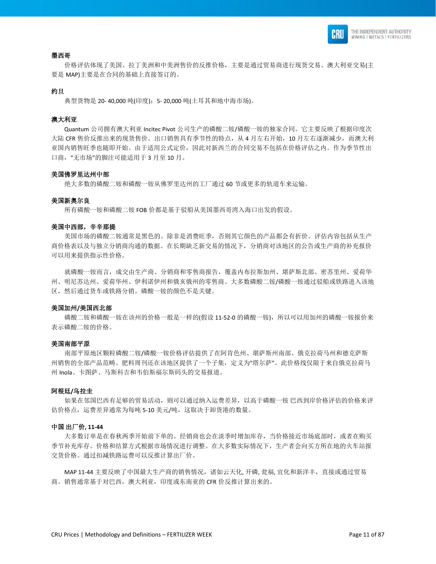

#### 墨西哥

 价格评估体现了美国、拉丁美洲和中美洲售价的反推价格,主要是通过贸易商进行现货交易。澳大利亚交易(主 要是 MAP)主要是在合同的基础上直接签订的。

#### 约旦

典型货物是 20-40,000 吨(印度); 5- 20,000 吨(土耳其和地中海市场)。

#### 澳大利亚

 Quantum 公司拥有澳大利亚 Incitec Pivot 公司生产的磷酸二铵/磷酸一铵的独家合同。它主要反映了根据印度次 大陆 CFR 售价反推出来的现货售价。出口销售具有季节性的特点,从4 月左右开始,10 月左右逐渐减少,而澳大利 亚国内销售旺季也随即开始。由于适用公式定价,因此对新西兰的合同交易不包括在价格评估之内。作为季节性出 口商,"无市场"的脚注可能适用于 3 月至 10 月。

#### 美国佛罗里达州中部

绝大多数的磷酸二铵和磷酸一铵从佛罗里达州的工厂通过 60 节或更多的轨道车来运输。

#### 美国新奥尔良

所有磷酸一铵和磷酸二铵 FOB 价都是基于驳船从美国墨西哥湾入海口出发的假设。

#### 美国中西部,辛辛那提

 美国市场的磷酸二铵通常是黑色的。除非是消费旺季,否则其它颜色的产品都会有折价。评估内容包括从生产 商价格表以及与独立分销商沟通的数据。在长期缺乏新交易的情况下,分销商对该地区的公告或生产商的补充报价 可以用来提供指示性价格。

 就磷酸一铵而言,成交由生产商、分销商和零售商报告,覆盖内布拉斯加州、堪萨斯北部、密苏里州、爱荷华 州、明尼苏达州、爱荷华州、伊利诺伊州和俄亥俄州的零售商。大多数磷酸二铵/磷酸一铵通过驳船或铁路进入该地 区,然后通过货车或铁路分销。磷酸一铵的颜色不是关键。

#### 美国加州**/**美国西北部

磷酸二铵和磷酸一铵在该州的价格一般是一样的(假设 11-52-0 的磷酸一铵), 所以可以用加州的磷酸一铵报价来 表示磷酸二铵的价格。

#### 美国南部平原

 南部平原地区颗粒磷酸二铵/磷酸一铵价格评估提供了在阿肯色州、堪萨斯州南部、俄克拉荷马州和德克萨斯 州销售的全部产品范畴。肥料周刊还在该地区提供了一个子集,定义为"塔尔萨"。此价格线仅限于来自俄克拉荷马 州 Inola、卡图萨、马斯科吉和韦伯斯福尔斯码头的交易报道。

#### 阿根廷**/**乌拉圭

 如果在邻国巴西有足够的贸易活动,则可以通过纳入运费差异,以高于磷酸一铵 巴西到岸价格评估的价格来评 估价格点,运费差异通常为每吨 5-10 美元/吨,这取决于卸货港的数量。

#### 中国 出厂价**, 11-44**

 大多数订单是在春秋两季开始前下单的。经销商也会在淡季时增加库存,当价格接近市场底部时,或者在购买 季节补充库存。价格和结算方式根据市场情况进行调整。在大多数实际情况下,生产者会向买方所在地的火车站报 交货价格。通过扣减铁路运费可以反推计算出厂价。

MAP 11-44 主要反映了中国最大生产商的销售情况, 诸如云天化, 开磷, 瓮福, 宜化和新洋丰, 直接或通过贸易 商。销售通常基于对巴西,澳大利亚,印度或东南亚的 CFR 价反推计算出来的。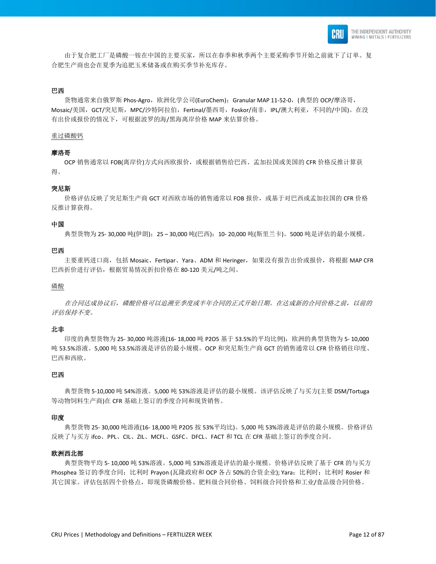

 由于复合肥工厂是磷酸一铵在中国的主要买家,所以在春季和秋季两个主要采购季节开始之前就下了订单。复 合肥生产商也会在夏季为追肥玉米储备或在购买季节补充库存。

#### 巴西

货物通常来自俄罗斯 Phos-Agro,欧洲化学公司(EuroChem); Granular MAP 11-52-0, (典型的 OCP/摩洛哥, Mosaic/美国, GCT/突尼斯, MPC/沙特阿拉伯, Fertinal/墨西哥, Foskor/南非, IPL/澳大利亚, 不同的/中国)。在没 有出价或报价的情况下,可根据波罗的海/黑海离岸价格 MAP 来估算价格。

#### 重过磷酸钙

#### 摩洛哥

 OCP 销售通常以 FOB(离岸价)方式向西欧报价,或根据销售给巴西、孟加拉国或美国的 CFR 价格反推计算获 得。

#### 突尼斯

价格评估反映了突尼斯生产商 GCT 对西欧市场的销售通常以 FOB 报价,或基于对巴西或孟加拉国的 CFR 价格 反推计算获得。

#### 中国

典型货物为 25- 30,000 吨(伊朗);25 – 30,000 吨(巴西);10- 20,000 吨(斯里兰卡)。5000 吨是评估的最小规模。

#### 巴西

主要重钙进口商,包括 Mosaic、Fertipar、Yara、ADM 和 Heringer,如果没有报告出价或报价,将根据 MAP CFR 巴西折价进行评估,根据贸易情况折扣价格在 80-120 美元/吨之间。

#### 磷酸

在合同达成协议后,磷酸价格可以追溯至季度或半年合同的正式开始日期。在达成新的合同价格之前,以前的 评估保持不变。

#### 北非

印度的典型货物为 25-30,000 吨溶液(16-18,000 吨 P2O5 基于 53.5%的平均比例),欧洲的典型货物为 5-10,000 吨 53.5%溶液。5,000 吨 53.5%溶液是评估的最小规模。OCP 和突尼斯生产商 GCT 的销售通常以 CFR 价格销往印度、 巴西和西欧。

#### 巴西

 典型货物 5-10,000 吨 54%溶液。5,000 吨 53%溶液是评估的最小规模。该评估反映了与买方(主要 DSM/Tortuga 等动物饲料生产商)在 CFR 基础上签订的季度合同和现货销售。

#### 印度

 典型货物 25- 30,000 吨溶液(16- 18,000 吨 P2O5 按 53%平均比)。5,000 吨 53%溶液是评估的最小规模。价格评估 反映了与买方 ifco、PPL、CIL、ZIL、MCFL、GSFC、DFCL、FACT 和 TCL 在 CFR 基础上签订的季度合同。

#### 欧洲西北部

 典型货物平均 5- 10,000 吨 53%溶液。5,000 吨 53%溶液是评估的最小规模。价格评估反映了基于 CFR 的与买方 Phosphea 签订的季度合同; 比利时 Prayon (瓦隆政府和 OCP 各占 50%的合资企业); Yara; 比利时; 比利时 Rosier 和 其它国家。评估包括四个价格点,即现货磷酸价格、肥料级合同价格、饲料级合同价格和工业/食品级合同价格。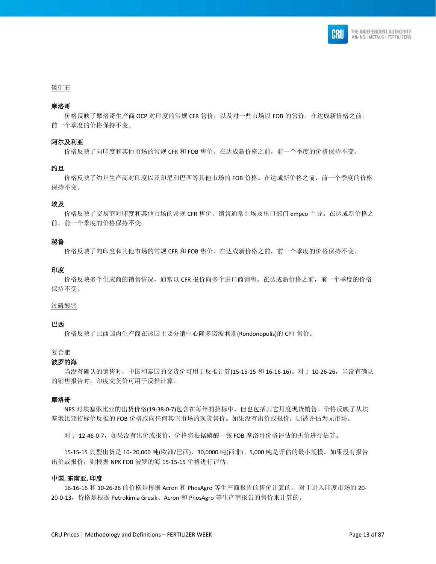

#### 磷矿石

#### 摩洛哥

价格反映了摩洛哥生产商 OCP 对印度的常规 CFR 售价, 以及对一些市场以 FOB 的售价。在达成新价格之前, 前一个季度的价格保持不变。

#### 阿尔及利亚

价格反映了向印度和其他市场的常规 CFR 和 FOB 售价。在达成新价格之前,前一个季度的价格保持不变。

#### 约旦

 价格反映了约旦生产商对印度以及印尼和巴西等其他市场的 FOB 价格。在达成新价格之前,前一个季度的价格 保持不变。

#### 埃及

 价格反映了交易商对印度和其他市场的常规 CFR 售价。销售通常由埃及出口部门 empco 主导。在达成新价格之 前,前一个季度的价格保持不变。

#### 秘鲁

价格反映了向印度和其他市场的常规 CFR 和 FOB 售价。在达成新价格之前,前一个季度的价格保持不变。

#### 印度

价格反映多个供应商的销售情况,通常以 CFR 报价向多个进口商销售。在达成新价格之前,前一个季度的价格 保持不变。

#### 过磷酸钙

#### 巴西

价格反映了巴西国内生产商在该国主要分销中心隆多诺波利斯(Rondonopolis)的 CPT 售价。

#### 复合肥

#### 波罗的海

 当没有确认的销售时,中国和泰国的交货价可用于反推计算(15-15-15 和 16-16-16)。对于 10-26-26,当没有确认 的销售报告时,印度交货价可用于反推计算。

#### 摩洛哥

 NPS 对埃塞俄比亚的出货价格(19-38-0-7)包含在每年的招标中,但也包括其它月度现货销售。价格反映了从埃 塞俄比亚招标价反推的 FOB 价格或向任何其它市场的现货售价。如果没有出价或报价,则被评估为无市场。

对于 12-46-0-7, 如果没有出价或报价, 价格将根据磷酸一铵 FOB 摩洛哥价格评估的折价进行估算。

 15-15-15 典型出货是 10- 20,000 吨(欧洲/巴西),30,0000 吨(西非)。5,000 吨是评估的最小规模。如果没有报告 出价或报价,则根据 NPK FOB 波罗的海 15-15-15 价格进行评估。

#### 中国**,** 东南亚**,** 印度

 16-16-16 和 10-26-26 的价格是根据 Acron 和 PhosAgro 等生产商报告的售价计算的。 对于进入印度市场的 20- 20-0-13,价格是根据 Petrokimia Gresik、Acron 和 PhosAgro 等生产商报告的售价来计算的。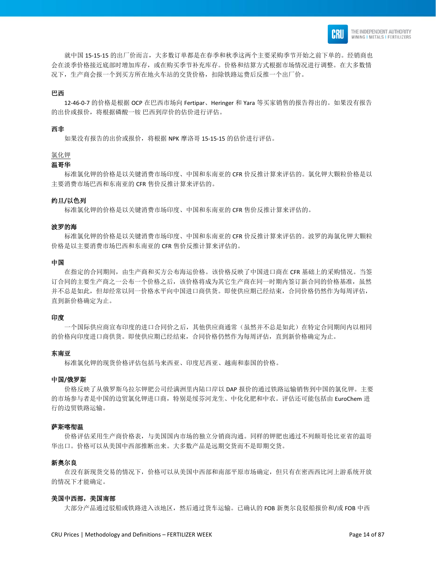

 就中国 15-15-15 的出厂价而言,大多数订单都是在春季和秋季这两个主要采购季节开始之前下单的。经销商也 会在淡季价格接近底部时增加库存,或在购买季节补充库存。价格和结算方式根据市场情况进行调整。在大多数情 况下,生产商会报一个到买方所在地火车站的交货价格,扣除铁路运费后反推一个出厂价。

#### 巴西

 12-46-0-7 的价格是根据 OCP 在巴西市场向 Fertipar、Heringer 和 Yara 等买家销售的报告得出的。如果没有报告 的出价或报价,将根据磷酸一铵 巴西到岸价的估价进行评估。

#### 西非

如果没有报告的出价或报价,将根据 NPK 摩洛哥 15-15-15 的估价进行评估。

#### 氯化钾

#### 温哥华

 标准氯化钾的价格是以关键消费市场印度、中国和东南亚的 CFR 价反推计算来评估的。氯化钾大颗粒价格是以 主要消费市场巴西和东南亚的 CFR 售价反推计算来评估的。

#### 约旦**/**以色列

标准氯化钾的价格是以关键消费市场印度、中国和东南亚的 CFR 售价反推计算来评估的。

#### 波罗的海

 标准氯化钾的价格是以关键消费市场印度、中国和东南亚的 CFR 价反推计算来评估的。波罗的海氯化钾大颗粒 价格是以主要消费市场巴西和东南亚的 CFR 售价反推计算来评估的。

#### 中国

 在指定的合同期间,由生产商和买方公布海运价格。该价格反映了中国进口商在 CFR 基础上的采购情况。当签 订合同的主要生产商之一公布一个价格之后,该价格将成为其它生产商在同一时期内签订新合同的价格基准,虽然 并不总是如此,但却经常以同一价格水平向中国进口商供货。即使供应期已经结束,合同价格仍然作为每周评估, 直到新价格确定为止。

#### 印度

 一个国际供应商宣布印度的进口合同价之后,其他供应商通常(虽然并不总是如此)在特定合同期间内以相同 的价格向印度进口商供货。即使供应期已经结束,合同价格仍然作为每周评估,直到新价格确定为止。

#### 东南亚

标准氯化钾的现货价格评估包括马来西亚、印度尼西亚、越南和泰国的价格。

#### 中国**/**俄罗斯

 价格反映了从俄罗斯乌拉尔钾肥公司经满洲里内陆口岸以 DAP 报价的通过铁路运输销售到中国的氯化钾。主要 的市场参与者是中国的边贸氯化钾进口商,特别是绥芬河龙生、中化化肥和中农。评估还可能包括由 EuroChem 进 行的边贸铁路运输。

#### 萨斯喀彻温

 价格评估采用生产商价格表,与美国国内市场的独立分销商沟通。同样的钾肥也通过不列颠哥伦比亚省的温哥 华出口。价格可以从美国中西部推断出来。大多数产品是远期交货而不是即期交货。

#### 新奥尔良

 在没有新现货交易的情况下,价格可以从美国中西部和南部平原市场确定,但只有在密西西比河上游系统开放 的情况下才能确定。

#### 美国中西部,美国南部

大部分产品通过驳船或铁路进入该地区,然后通过货车运输。已确认的 FOB 新奥尔良驳船报价和/或 FOB 中西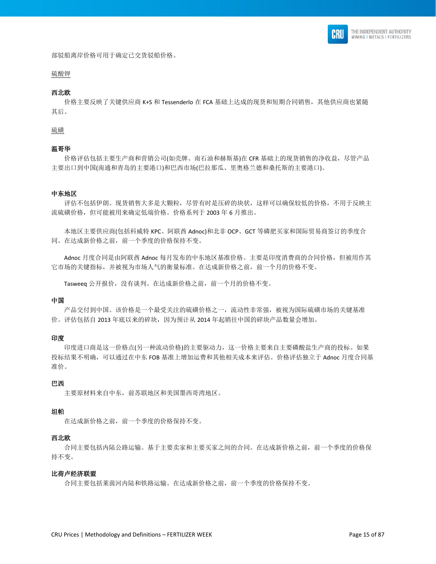

部驳船离岸价格可用于确定已交货驳船价格。

## 硫酸钾

#### 西北欧

 价格主要反映了关键供应商 K+S 和 Tessenderlo 在 FCA 基础上达成的现货和短期合同销售,其他供应商也紧随 其后。

#### 硫磺

#### 温哥华

 价格评估包括主要生产商和营销公司(如壳牌、南石油和赫斯基)在 CFR 基础上的现货销售的净收益,尽管产品 主要出口到中国(南通和青岛的主要港口)和巴西市场(巴拉那瓜、里奥格兰德和桑托斯的主要港口)。

#### 中东地区

 评估不包括伊朗。现货销售大多是大颗粒,尽管有时是压碎的块状,这样可以确保较低的价格,不用于反映主 流硫磺价格,但可能被用来确定低端价格。价格系列于 2003 年 6 月推出。

 本地区主要供应商(包括科威特 KPC、阿联酋 Adnoc)和北非 OCP、GCT 等磷肥买家和国际贸易商签订的季度合 同。在达成新价格之前,前一个季度的价格保持不变。

 Adnoc 月度合同是由阿联酋 Adnoc 每月发布的中东地区基准价格。主要是印度消费商的合同价格,但被用作其 它市场的关键指标,并被视为市场人气的衡量标准。在达成新价格之前,前一个月的价格不变。

Tasweeq 公开报价, 没有谈判。在达成新价格之前, 前一个月的价格不变。

#### 中国

 产品交付到中国。该价格是一个最受关注的硫磺价格之一,流动性非常强,被视为国际硫磺市场的关键基准 价。评估包括自 2013 年底以来的碎块,因为预计从 2014 年起销往中国的碎块产品数量会增加。

#### 印度

 印度进口商是这一价格点(另一种流动价格)的主要驱动力,这一价格主要来自主要磷酸盐生产商的投标。如果 投标结果不明确,可以通过在中东 FOB 基准上增加运费和其他相关成本来评估。价格评估独立于 Adnoc 月度合同基 准价。

#### 巴西

主要原材料来自中东,前苏联地区和美国墨西哥湾地区。

#### 坦帕

在达成新价格之前,前一个季度的价格保持不变。

#### 西北欧

 合同主要包括内陆公路运输。基于主要卖家和主要买家之间的合同。在达成新价格之前,前一个季度的价格保 持不变。

#### 比荷卢经济联盟

合同主要包括莱茵河内陆和铁路运输。在达成新价格之前,前一个季度的价格保持不变。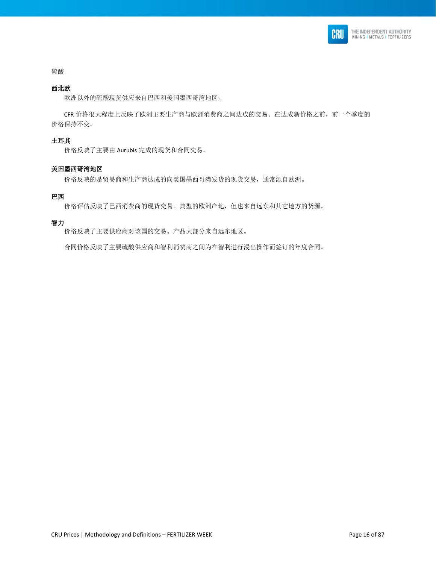

# 硫酸

### 西北欧

欧洲以外的硫酸现货供应来自巴西和美国墨西哥湾地区。

 CFR 价格很大程度上反映了欧洲主要生产商与欧洲消费商之间达成的交易。在达成新价格之前,前一个季度的 价格保持不变。

#### 土耳其

价格反映了主要由 Aurubis 完成的现货和合同交易。

#### 美国墨西哥湾地区

价格反映的是贸易商和生产商达成的向美国墨西哥湾发货的现货交易,通常源自欧洲。

#### 巴西

价格评估反映了巴西消费商的现货交易。典型的欧洲产地,但也来自远东和其它地方的货源。

#### 智力

价格反映了主要供应商对该国的交易。产品大部分来自远东地区。

合同价格反映了主要硫酸供应商和智利消费商之间为在智利进行浸出操作而签订的年度合同。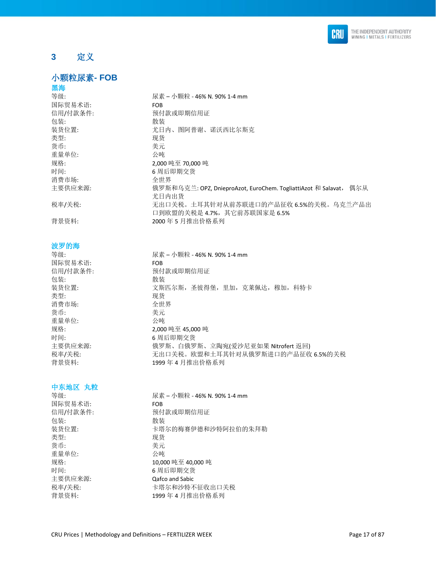

# <span id="page-16-0"></span>**3** 定义

# <span id="page-16-1"></span>小颗粒尿素**- FOB**

# 黑海

| 等级:      | 尿素 – 小颗粒 - 46% N. 90% 1-4 mm                                      |
|----------|-------------------------------------------------------------------|
| 国际贸易术语:  | <b>FOB</b>                                                        |
| 信用/付款条件: | 预付款或即期信用证                                                         |
| 包装:      | 散装                                                                |
| 装货位置:    | 尤日内、图阿普谢、诺沃西比尔斯克                                                  |
| 类型:      | 现货                                                                |
| 货币:      | 美元                                                                |
| 重量单位:    | 公吨                                                                |
| 规格:      | 2.000 吨至 70.000 吨                                                 |
| 时间:      | 6 周后即期交货                                                          |
| 消费市场:    | 全世界                                                               |
| 主要供应来源:  | 俄罗斯和乌克兰: OPZ, DnieproAzot, EuroChem. TogliattiAzot 和 Salavat, 偶尔从 |
|          | 尤日内出货                                                             |
| 税率/关税:   | 无出口关税。土耳其针对从前苏联进口的产品征收 6.5%的关税。乌克兰产品出                             |
|          | 口到欧盟的关税是 4.7%, 其它前苏联国家是 6.5%                                      |
| 背景资料:    | 2000年5月推出价格系列                                                     |

### 波罗的海

| 等级:      | 尿素 – 小颗粒 - 46% N. 90% 1-4 mm      |
|----------|-----------------------------------|
| 国际贸易术语:  | <b>FOB</b>                        |
| 信用/付款条件: | 预付款或即期信用证                         |
| 包装:      | 散装                                |
| 装货位置:    | 文斯匹尔斯, 圣彼得堡, 里加, 克莱佩达, 穆加, 科特卡    |
| 类型:      | 现货                                |
| 消费市场:    | 全世界                               |
| 货币:      | 美元                                |
| 重量单位:    | 公吨                                |
| 规格:      | 2.000 吨至 45.000 吨                 |
| 时间:      | 6 周后即期交货                          |
| 主要供应来源:  | 俄罗斯、白俄罗斯、立陶宛(爱沙尼亚如果 Nitrofert 返回) |
| 税率/关税:   | 无出口关税。欧盟和土耳其针对从俄罗斯进口的产品征收 6.5%的关税 |
| 背景资料:    | 1999 年 4 月推出价格系列                  |

# 中东地区 丸粒

| 等级:      | 尿素 – 小颗粒 - 46% N.90% 1-4 mm |
|----------|-----------------------------|
| 国际贸易术语:  | <b>FOB</b>                  |
| 信用/付款条件: | 预付款或即期信用证                   |
| 包装:      | 散装                          |
| 装货位置:    | 卡塔尔的梅赛伊德和沙特阿拉伯的朱拜勒          |
| 类型:      | 现货                          |
| 货币:      | 美元                          |
| 重量单位:    | 公庫                          |
| 规格:      | 10,000 吨至 40,000 吨          |
| 时间:      | 6 周后即期交货                    |
| 主要供应来源:  | <b>Qafco and Sabic</b>      |
| 税率/关税:   | 卡塔尔和沙特不征收出口关税               |
| 背景资料:    | 1999年4月推出价格系列               |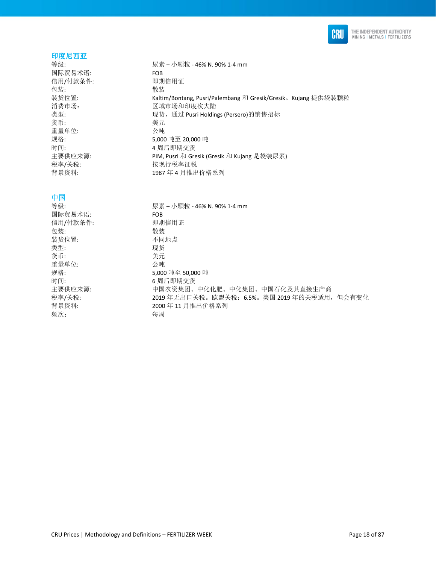

#### 印度尼西亚

等级: 尿素 – 小颗粒 - 46% N. 90% 1-4 mm 国际贸易术语: FOB 信用/付款条件: 即 即期信用证 包装: **2006** 装货位置: Kaltim/Bontang, Pusri/Palembang 和 Gresik/Gresik。Kujang 提供袋装颗粒 消费市场: 有效的 医域市场和印度次大陆 类型: the content of the content of the content of the content of the content of the content of the content of t 货币: 美元 重量单位: 公吨 规格: 5,000 吨至 20,000 吨 时间: 4 周后即期交货 主要供应来源: PIM, Pusri 和 Gresik (Gresik 和 Kujang 是袋装尿素) 税率/关税: 按现行税率征税 背景资料: 1987 年 4 月推出价格系列

### 中国

等级: 尿素 – 小颗粒 - 46% N. 90% 1-4 mm 国际贸易术语: FOB FOB FOR<br>信用/付款条件: 即期信用证 信用/付款条件: 包装: 散装 装货位置: 不同地点 类型: 现货 货币: 美元 重量单位: 公吨 规格: 5,000 吨至 50,000 吨 时间: 6 周后即期交货 主要供应来源: 中国农资集团、中化化肥、中化集团、中国石化及其直接生产商 税率/关税: 2019 年无出口关税。欧盟关税:6.5%。美国 2019 年的关税适用,但会有变化 背景资料: 2000 年 11 月推出价格系列 频次: 每周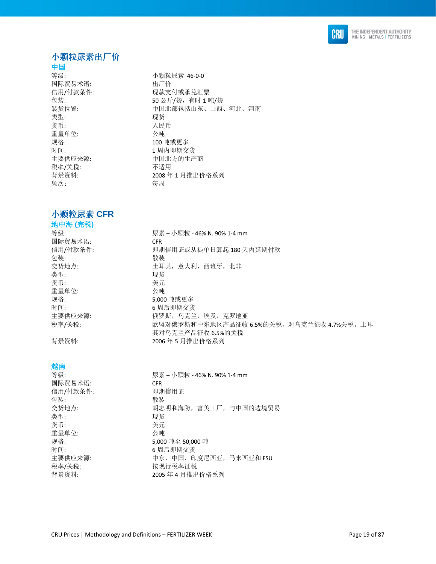

# <span id="page-18-0"></span>小颗粒尿素出厂价

# 中国

国际贸易术语: 出厂价 类型: 现货 货币: 有效的 医心包的 人民币 重量单位: 公吨 规格: 100 吨或更多 税率/关税: わけの 不适用 频次: 每周

# <span id="page-18-1"></span>小颗粒尿素 **CFR**

# 地中海 **(**完税**)**  国际贸易术语: CFR 包装: 散装 类型: 现货 货币: 考元 重量单位: 公吨 规格: 5,000 吨或更多

# 越南

国际贸易术语: CFR 信用/付款条件: 即 即期信用证 包装: 散装 类型: 现货 货币: 李元 重量单位: 公吨 时间: 6 周后即期交货 税率/关税: 本部 计数据行税率征税

等级: カラック おおや 小颗粒尿素 46-0-0 信用/付款条件: 现款支付或承兑汇票 包装: 50 公斤/袋,有时 1 吨/袋 装货位置: 有一个 中国北部包括山东、山西、河北、河南 时间: 1 周内即期交货 主要供应来源: カランド 中国北方的生产商 背景资料: 2008年1月推出价格系列

等级: カラン・カランの 尿素 – 小颗粒 - 46% N. 90% 1-4 mm 信用/付款条件: 即期信用证或从提单日算起 180 天内延期付款 交货地点: カランナンスコントランスの主耳其,意大利,西班牙,北非 时间: 6 周后即期交货 主要供应来源: 俄罗斯,乌克兰,埃及,克罗地亚 税率/关税: 欧盟对俄罗斯和中东地区产品征收 6.5%的关税,对乌克兰征收 4.7%关税。土耳 其对乌克兰产品征收 6.5%的关税 背景资料: 2006 年 5 月推出价格系列

等级: 尿素 – 小颗粒 - 46% N. 90% 1-4 mm 交货地点: カランチ 胡志明和海防, 富美工厂, 与中国的边境贸易 规格: 5,000 吨至 50,000 吨 主要供应来源: 中东,中国,印度尼西亚,马来西亚和 FSU 背景资料: 2005 年 4 月推出价格系列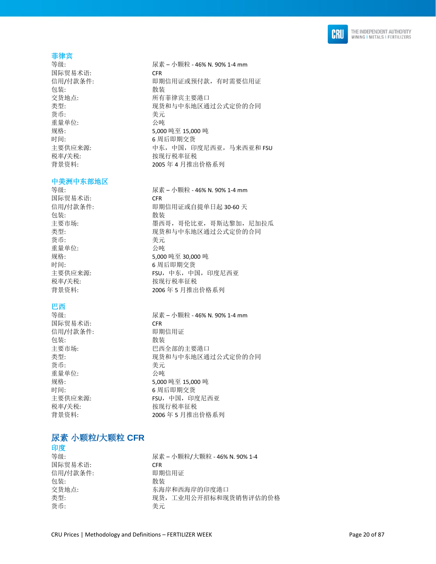

### 菲律宾

国际贸易术语: CFR 包装: 有效的 化苯基苯胺 化苯基苯胺 化苯基苯胺 化苯基苯胺 医心包炎 化二乙基苯胺 医心包炎 货币: 美元 重量单位: 公吨 时间: 6 周后即期交货 税率/关税: 本部 被现行税率征税

#### 中美洲中东部地区

国际贸易术语: CFR 包装: **2006年11月21日 11月21日 12月21日 12月21日 12月21日 12月21日 12月21日 12月21日 12月21日 12月21日 12月21日 12月21日 12月21日 12月21日 12月21日 12月21日 12月21日 12月21日 12月21日 12月21日 12月21日 12月21日 12月21日 12月21日 12月21日 12月21日 12月21日 12月21日 12月21日 12月21日 12** 货币: カラン おおとこ きょうきょう 美元 重量单位: 公吨 时间: カラント おおところ 6 周后即期交货

# 巴西

国际贸易术语: CFR 信用/付款条件: 即期信用证 包装: 散装 货币: 考元 重量单位: 公吨

等级: ( ) → ( ) → ( ) → ( ) → ( ) → ( ) → ( ) → ( ) → ( ) → ( ) → ( ) → ( ) → ( ) → ( ) → ( ) → ( ) → ( ) → ( ) → ( ) → ( ) → ( ) → ( ) → ( ) → ( ) → ( ) → ( ) → ( ) → ( ) → ( ) → ( ) → ( ) → ( ) → ( ) → ( ) → ( ) → ( ) → 信用/付款条件: 即期信用证或预付款, 有时需要信用证 交货地点: わけの アンチン 所有菲律宾主要港口 类型: カランス アンチン 现货和与中东地区通过公式定价的合同 规格: 5,000 吨至 15,000 吨 主要供应来源: 中东,中国,印度尼西亚,马来西亚和 FSU 背景资料: 2005 年 4 月推出价格系列

等级: 尿素 – 小颗粒 - 46% N. 90% 1-4 mm 信用/付款条件: 即期信用证或自提单日起 30-60 天 主要市场: 墨西哥,哥伦比亚,哥斯达黎加,尼加拉瓜 类型: 现货和与中东地区通过公式定价的合同 规格: 5,000 吨至 30,000 吨 主要供应来源: **FSU,中东,中国,印度尼西亚** 税率/关税: 本部 被现行税率征税 背景资料: 2006 年 5 月推出价格系列

等级: 尿素 – 小颗粒 - 46% N. 90% 1-4 mm 主要市场: 巴西全部的主要港口 类型: 现货和与中东地区通过公式定价的合同 规格: 5,000 吨至 15,000 吨 时间: 6 周后即期交货 主要供应来源: **FSU,中国,印度尼西亚** 税率/关税: 本部 计数据行税率征税 背景资料: 2006 年 5 月推出价格系列

# <span id="page-19-0"></span>尿素 小颗粒**/**大颗粒 **CFR**  印度

国际贸易术语: CFR 信用/付款条件: 即 即期信用证 包装: 散装 货币: 李元

等级: 尿素 – 小颗粒/大颗粒 - 46% N. 90% 1-4 交货地点: 不在 医不能性 医布尔西海岸的印度港口 类型: カランス アンストランス アンストランス アイスタイム アクロン きょうしょう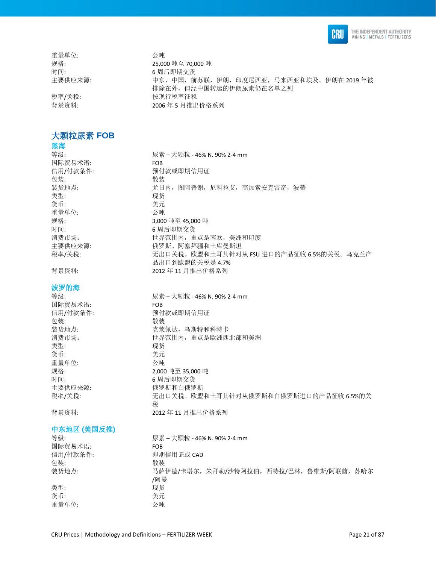

重量单位: 公吨

# <span id="page-20-0"></span>大颗粒尿素 **FOB**

# 黑海

国际贸易术语: FOB 包装: 散装 类型: 现货 货币: カラン おおとこ きょうきょう 美元 重量单位: 公吨 时间: 6 周后即期交货

#### 波罗的海

国际贸易术语: FOB 包装: **2008年11月21日 11月21日 12月21日 12月21日 12月21日 12月21日 12月21日 12月21日 12月21日 12月21日 12月21日 12月21日 12月21日 12月21日 12月21日 12月21日 12月21日 12月21日 12月21日 12月21日 12月21日 12月21日 12月21日 12月21日 12月21日 12月21日 12月21日 12月21日 12月21日 12月21日 12** 类型: 现货 货币: カラン おおとこ きょうきょう 美元 重量单位: 公吨 时间: 6 周后即期交货

### 中东地区 **(**美国反推**)**

等级: 尿素 – 大颗粒 - 46% N. 90% 2-4 mm 国际贸易术语: FOB 信用/付款条件: 即期信用证或 CAD 包装: **2008年11月21日 11月21日 12月21日 12月21日 12月21日 12月21日 12月21日 12月21日 12月21日 12月21日 12月21日 12月21日 12月21日 12月21日 12月21日 12月21日 12月21日 12月21日 12月21日 12月21日 12月21日 12月21日 12月21日 12月21日 12月21日 12月21日 12月21日 12月21日 12月21日 12月21日 12** 装货地点: 马萨伊德/卡塔尔,朱拜勒/沙特阿拉伯,西特拉/巴林,鲁维斯/阿联酋,苏哈尔 /阿曼 类型: 现货 货币: 有效的 医心包的 医无心包的 医无心包的 医心室 医心室 医心室 重量单位: 公吨

规格: 25,000 吨至 70,000 吨 时间: 6 周后即期交货 主要供应来源: カランス 中天,中国,前苏联,伊朗,印度尼西亚,马来西亚和埃及。伊朗在 2019 年被 排除在外,但经中国转运的伊朗尿素仍在名单之列 税率/关税: 有效的 化苯二胺现行税率征税 背景资料: 2006 年 5 月推出价格系列

等级: 尿素 – 大颗粒 - 46% N. 90% 2-4 mm 信用/付款条件: わけの 预付款或即期信用证 装货地点: 尤日内, 图阿普谢, 尼科拉艾, 高加索安克雷奇, 波蒂 规格: 3,000 吨至 45,000 吨 消费市场: 财务的 计界范围内,重点是南欧,美洲和印度 主要供应来源: 俄罗斯、阿塞拜疆和土库曼斯坦 税率/关税: カランス ホルコ 天出口关税。欧盟和土耳其针对从 FSU 进口的产品征收 6.5%的关税。乌克兰产 品出口到欧盟的关税是 4.7% 背景资料: 2012 年 11 月推出价格系列

等级: 尿素 – 大颗粒 - 46% N. 90% 2-4 mm 信用/付款条件: わけの 预付款或即期信用证 装货地点: 克莱佩达, 乌斯特和科特卡 消费市场: 世界范围内,重点是欧洲西北部和美洲 规格: 2,000 吨至 35,000 吨 主要供应来源: 有效的 化罗斯和白俄罗斯 税率/关税: カンテンスト ポロコンス税。欧盟和土耳其针对从俄罗斯和白俄罗斯进口的产品征收 6.5%的关 税 背景资料: 2012 年 11 月推出价格系列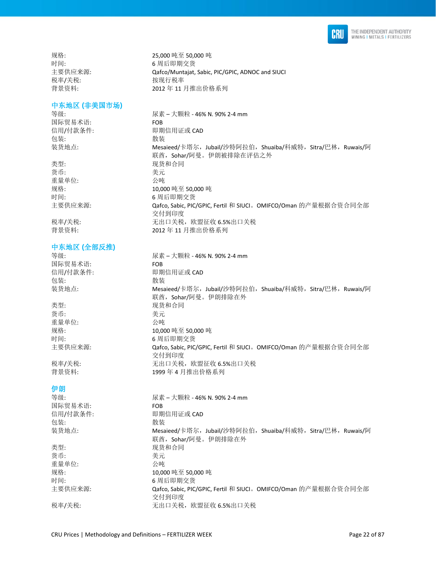

规格: 25,000 吨至 50,000 吨 时间: カラント おおところ 6 周后即期交货 税率/关税: 按现行税率

### 中东地区 **(**非美国市场**)**

国际贸易术语: FOB 包装: **也** 不可能是我的人的人的人的人的人的人的人的人的人的人的人的人的人

类型: カランス アンチュー アンスカンス 現货和合同 货币: 考元 重量单位: 公吨

### 中东地区 **(**全部反推**)**

国际贸易术语: FOB 包装: **2006年11月21日 11月21日 12月21日 12月21日 12月21日 12月21日 12月21日 12月21日 12月21日 12月21日 12月21日 12月21日 12月21日 12月21日 12月21日 12月21日 12月21日 12月21日 12月21日 12月21日 12月21日 12月21日 12月21日 12月21日 12月21日 12月21日 12月21日 12月21日 12月21日 12月21日 12** 

类型: カランス アンチン こうしょう 现货和合同 货币: カランチン おおとこ 美元 重量单位: 公吨

### 伊朗

等级: 尿素 – 大颗粒 - 46% N. 90% 2-4 mm 国际贸易术语: FOB 信用/付款条件: 即期信用证或 CAD 包装: 散装 装货地点: Mesaieed/卡塔尔,Jubail/沙特阿拉伯,Shuaiba/科威特,Sitra/巴林,Ruwais/阿 联酋, Sohar/阿曼。伊朗排除在外 类型: カランス アンチン アンスタン 现货和合同 货币: カラン おおとこ きょうきょう 美元 重量单位: 公吨 规格: 10,000 吨至 50,000 吨 时间: 6 周后即期交货 主要供应来源: <br>
Qafco, Sabic, PIC/GPIC, Fertil 和 SIUCI。OMIFCO/Oman 的产量根据合资合同全部 交付到印度 税率/关税: 有关于 我出口关税,欧盟征收 6.5%出口关税

主要供应来源: Qafco/Muntajat, Sabic, PIC/GPIC, ADNOC and SIUCI 背景资料: 2012 年 11 月推出价格系列 等级: 尿素 – 大颗粒 - 46% N. 90% 2-4 mm

信用/付款条件: 即期信用证或 CAD 装货地点: Mesaieed/卡塔尔,Jubail/沙特阿拉伯,Shuaiba/科威特,Sitra/巴林,Ruwais/阿 联酋, Sohar/阿曼。伊朗被排除在评估之外 规格: 10,000 吨至 50,000 吨 时间: カラント おおところ 6 周后即期交货 主要供应来源:  $\square$  Qafco, Sabic, PIC/GPIC, Fertil 和 SIUCI。OMIFCO/Oman 的产量根据合资合同全部 交付到印度 税率/关税: 有关于 我出口关税,欧盟征收 6.5%出口关税 背景资料: 2012 年 11 月推出价格系列

等级: 尿素 – 大颗粒 - 46% N. 90% 2-4 mm 信用/付款条件: 即期信用证或 CAD 装货地点: Mesaieed/卡塔尔,Jubail/沙特阿拉伯,Shuaiba/科威特,Sitra/巴林,Ruwais/阿 联酋, Sohar/阿曼。伊朗排除在外 规格: 10,000 吨至 50,000 吨 时间: 6 周后即期交货 主要供应来源: <br>
Qafco, Sabic, PIC/GPIC, Fertil 和 SIUCI。OMIFCO/Oman 的产量根据合资合同全部 交付到印度 税率/关税: 有效 我出口关税,欧盟征收 6.5%出口关税 背景资料: 1999年4月推出价格系列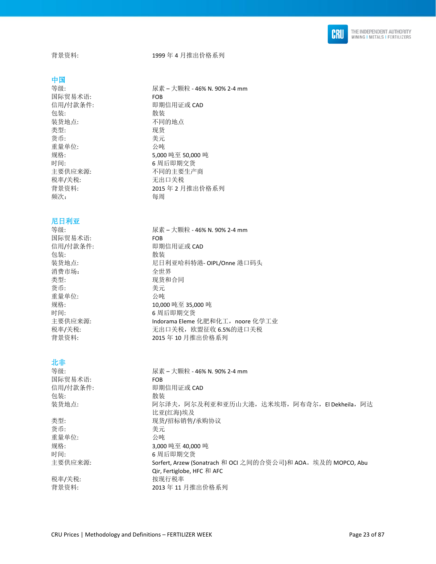

背景资料: 1999 年 4 月推出价格系列

#### 中国

国际贸易术语: FOB 包装: **2000** 装货地点: 不同的地点 类型: 现货 货币: 考元 重量单位: 公吨 税率/关税: わけの アンドロ关税 频次: 每周

### 尼日利亚

等级: 尿素 – 大颗粒 - 46% N. 90% 2-4 mm 国际贸易术语: FOB 信用/付款条件: 即期信用证或 CAD 包装: <br>装货地点: 散装 消费市场: 全世界 类型: カランス アンチン かんこう 现货和合同 货币: 考元 重量单位: 公吨 规格: 10,000 吨至 35,000 吨 时间: 6 周后即期交货 主要供应来源: Indorama Eleme 化肥和化工,noore 化学工业 税率/关税: 有效的 法出口关税,欧盟征收 6.5%的进口关税 背景资料: 2015 年 10 月推出价格系列

## 北非

| 等级:      | 尿素 – 大颗粒 - 46% N. 90% 2-4 mm                                 |
|----------|--------------------------------------------------------------|
| 国际贸易术语:  | <b>FOB</b>                                                   |
| 信用/付款条件: | 即期信用证或 CAD                                                   |
| 包装:      | 散装                                                           |
| 装货地点:    | 阿尔泽夫,阿尔及利亚和亚历山大港,达米埃塔,阿布奇尔,El Dekheila,阿达                    |
|          | 比亚(红海)埃及                                                     |
| 类型:      | 现货/招标销售/承购协议                                                 |
| 货币:      | 美元                                                           |
| 重量单位:    | 公吨                                                           |
| 规格:      | 3.000 吨至 40.000 吨                                            |
| 时间:      | 6 周后即期交货                                                     |
| 主要供应来源:  | Sorfert, Arzew (Sonatrach 和 OCI 之间的合资公司)和 AOA。埃及的 MOPCO, Abu |
|          | Qir, Fertiglobe, HFC 和 AFC                                   |
| 税率/关税:   | 按现行税率                                                        |
| 背景资料:    | 2013年11月推出价格系列                                               |

等级: 尿素 – 大颗粒 - 46% N. 90% 2-4 mm 信用/付款条件: 即期信用证或 CAD 规格: 5,000 吨至 50,000 吨 时间: 6 周后即期交货 主要供应来源: 不可的主要生产商 背景资料: 2015 年 2 月推出价格系列

尼日利亚哈科特港- OIPL/Onne 港口码头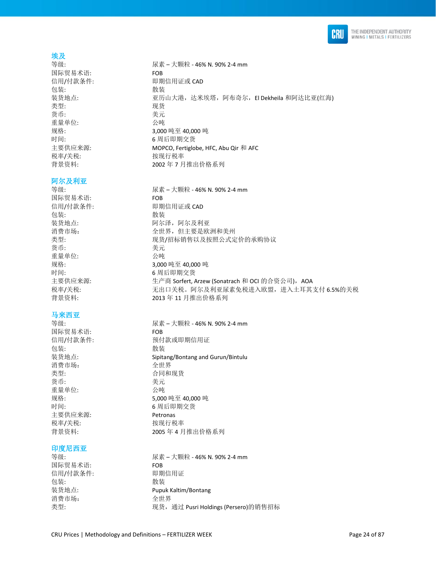

### 埃及

国际贸易术语: FOB 包装: **2006年11月21日 11月21日 12月21日 12月21日 12月21日 12月21日 12月21日 12月21日 12月21日 12月21日 12月21日 12月21日 12月21日 12月21日 12月21日 12月21日 12月21日 12月21日 12月21日 12月21日 12月21日 12月21日 12月21日 12月21日 12月21日 12月21日 12月21日 12月21日 12月21日 12月21日 12** 类型: 现货 货币: 美元 重量单位: 公吨 时间: 6 周后即期交货 税率/关税: わけの おおおところ 按现行税率

#### 阿尔及利亚

国际贸易术语: FOB 包装: 有效性的 医心包装 货币: きょうちょう きょうしょう 美元 重量单位: 公吨 时间: 6 周后即期交货

### 马来西亚

国际贸易术语: FOB 包装: **2006年11月21日 11月21日 12月21日 12月21日 12月21日 12月21日 12月21日 12月21日 12月21日 12月21日 12月21日 12月21日 12月21日 12月21日 12月21日 12月21日 12月21日 12月21日 12月21日 12月21日 12月21日 12月21日 12月21日 12月21日 12月21日 12月21日 12月21日 12月21日 12月21日 12月21日 12** 消费市场: 李世界 类型: 合同和现货 货币: 李元 重量单位: 公吨 主要供应来源: Petronas 税率/关税: わけの おおおし 按现行税率

### 印度尼西亚

国际贸易术语: FOB 信用/付款条件: 即期信用证 包装: **2000** 消费市场: 不过了 计算法 人名世界

等级: 尿素 – 大颗粒 - 46% N. 90% 2-4 mm 信用/付款条件: 即期信用证或 CAD 装货地点: 亚历山大港,达米埃塔,阿布奇尔,El Dekheila 和阿达比亚(红海) 规格: 3,000 吨至 40,000 吨 主要供应来源: MOPCO, Fertiglobe, HFC, Abu Qir 和 AFC 背景资料: 2002年7月推出价格系列

等级: 尿素 – 大颗粒 - 46% N. 90% 2-4 mm 信用/付款条件: 即期信用证或 CAD 装货地点: 阿尔泽, 阿尔及利亚 消费市场: 有效的 计可变变化 计算机 计算术 计算机 计算机 类型: カンチン アンチン 现货/招标销售以及按照公式定价的承购协议 规格: 3,000 吨至 40,000 吨 主要供应来源: the context of the confert, Arzew (Sonatrach 和 OCI 的合资公司), AOA 税率/关税: 有法律 计二元出口关税。阿尔及利亚尿素免税进入欧盟,进入土耳其支付 6.5%的关税 背景资料: 2013 年 11 月推出价格系列

等级: 尿素 – 大颗粒 - 46% N. 90% 2-4 mm 信用/付款条件: わけの 预付款或即期信用证 装货地点: Sipitang/Bontang and Gurun/Bintulu 规格: 5,000 吨至 40,000 吨 时间: 6 周后即期交货 背景资料: 2005 年 4 月推出价格系列

等级: カランス インストリック 尿素 – 大颗粒 - 46% N. 90% 2-4 mm 装货地点: Pupuk Kaltim/Bontang 类型: 现货,通过 Pusri Holdings (Persero)的销售招标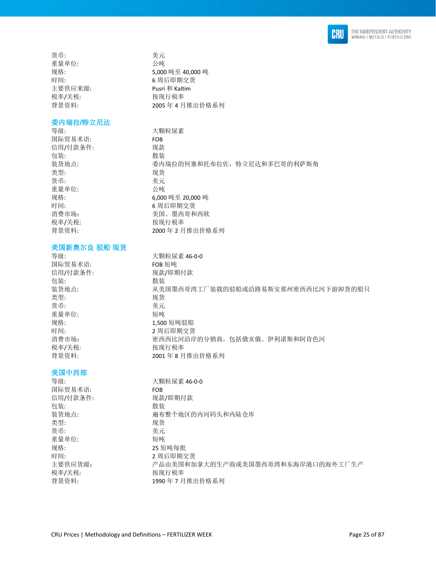

货币: 考元 重量单位: 公吨 主要供应来源: Pusri 和 Kaltim 税率/关税: わけの おおおし 按现行税率

#### 委内瑞拉**/**特立尼达

等级: 大颗粒尿素 国际贸易术语: FOB 信用/付款条件: 现款 包装: 有效性的 医心包装 装货地点: 委内瑞拉的何塞和托布拉佐,特立尼达和多巴哥的利萨斯角 类型: 现货 货币: 考元 重量单位: 公吨 规格: 6,000 吨至 20,000 吨 时间: 6 周后即期交货 消费市场: 有效的 计数据 医二乙二酸 医西哥和西欧 税率/关税: わけの おおおところ 按现行税率 背景资料: 2000 年 2 月推出价格系列

# 美国新奥尔良 驳船 现货

等级: 大颗粒尿素 46-0-0 国际贸易术语: FOB 短吨 信用/付款条件: 现款/即期付款 包装: **2000** 装货地点: 从美国墨西哥湾工厂装载的驳船或沿路易斯安那州密西西比河下游卸货的船只 类型: 2000 2000 2000 2000 现货 货币: 考元 重量单位: 短吨 规格: カランス 2,500 短吨驳船 时间: カランス カランス 2 周后即期交货 消费市场: 有效的 计不可变 化对性异的分销商,包括俄亥俄、伊利诺斯和阿肯色河 税率/关税: わけの おおおし 按现行税率 背景资料: 2001 年 8 月推出价格系列

### 美国中西部

等级: カラック おおとこ 大颗粒尿素 46-0-0 国际贸易术语: FOB 信用/付款条件: 现款/即期付款 包装: 散装 装货地点: 遍布整个地区的内河码头和内陆仓库 类型: 现货 货币: 考元 重量单位: 短吨 规格: 25 短吨每批 时间: 2 周后即期交货 主要供应货源: カランス アコーディスト美国和加拿大的生产商或美国墨西哥湾和东海岸港口的海外工厂生产 税率/关税: わけの おおし 按现行税率 背景资料: 1990 年 7 月推出价格系列

规格: 5,000 吨至 40,000 吨 时间: 6 周后即期交货 背景资料: 2005 年 4 月推出价格系列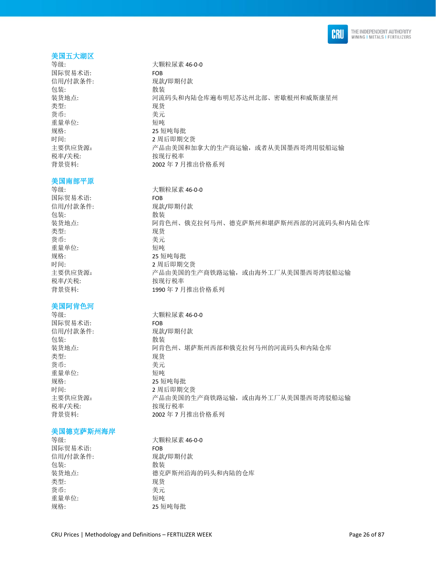

### 美国五大湖区

国际贸易术语: FOB 信用/付款条件: 现款/即期付款 包装: **2006年11月21日 11月21日 12月21日 12月21日 12月21日 12月21日 12月21日 12月21日 12月21日 12月21日 12月21日 12月21日 12月21日 12月21日 12月21日 12月21日 12月21日 12月21日 12月21日 12月21日 12月21日 12月21日 12月21日 12月21日 12月21日 12月21日 12月21日 12月21日 12月21日 12月21日 12** 类型: 现货 货币: カラン おおとこ きょうきょう 美元 重量单位: 短吨 规格: 25 短吨每批 税率/关税: わけの おおし 按现行税率

#### 美国南部平原

国际贸易术语: FOB 信用/付款条件: 现款/即期付款 包装: 有效 类型: 现货 货币: 考元 重量单位: 短吨 规格: 25 短吨每批 时间: 2 周后即期交货 税率/关税: わけの おおおし 按现行税率

## 美国阿肯色河

国际贸易术语: FOB 信用/付款条件: 现款/即期付款 包装: 散装 类型: 现货 货币: 有效的 医心包的 医无心包的 医无心包的 医心室 医心室 医心室 重量单位: 短吨 规格: 25 短吨每批 时间: 2 周后即期交货 税率/关税: わけの おおおし 按现行税率

### 美国德克萨斯州海岸

国际贸易术语: FOB 包装: 散装 类型: 现货 货币: カラン おおとこ きょうきょう 美元 重量单位: 短吨

等级: 大颗粒尿素 46-0-0 装货地点: カンド 河流码头和内陆仓库遍布明尼苏达州北部、密歇根州和威斯康星州 时间: カランド カランド カランド 2 周后即期交货 主要供应货源: 产品由美国和加拿大的生产商运输,或者从美国墨西哥湾用驳船运输 背景资料: 2002年7月推出价格系列

等级: カラック おおとこ 大颗粒尿素 46-0-0 装货地点: 阿肯色州、俄克拉何马州、德克萨斯州和堪萨斯州西部的河流码头和内陆仓库 主要供应货源: 产品由美国的生产商铁路运输, 或由海外工厂从美国墨西哥湾驳船运输 背景资料: 1990年7月推出价格系列

等级: 大颗粒尿素 46-0-0 装货地点: 阿肯色州、堪萨斯州西部和俄克拉何马州的河流码头和内陆仓库 主要供应货源: カランス アム由美国的生产商铁路运输,或由海外工厂从美国墨西哥湾驳船运输 背景资料: 2002年7月推出价格系列

等级: カラック おおとこ おおし 大颗粒尿素 46-0-0 信用/付款条件: 现款/即期付款 装货地点: 有效的 医克萨斯州沿海的码头和内陆的仓库 规格: 25 短吨每批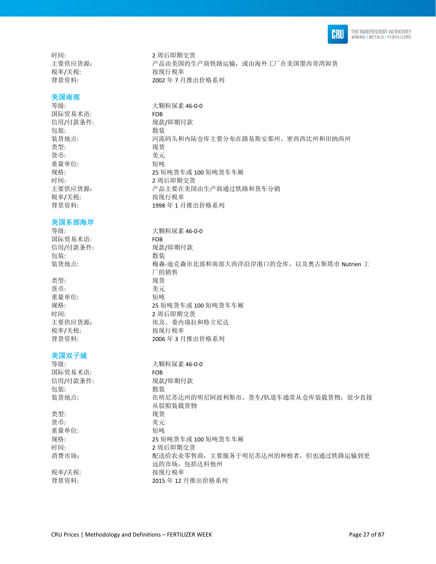

时间: 2 周后即期交货 税率/关税: わけの おおし おおし 按现行税率

# 美国南部

国际贸易术语: FOB 信用/付款条件: 现款/即期付款 包装: 散装 类型: 现货 货币: カラン おおとこ きょうきょう 美元 重量单位: 短吨 时间: 2 周后即期交货 税率/关税: わかん おおし 按现行税率

美国东部海岸

国际贸易术语: FOB 包装: 有效性的 医心包装

货币: 美元 重量单位: 短吨 税率/关税: わけの 按现行税率

# 美国双子城

等级: 大颗粒尿素 46-0-0 国际贸易术语: FOB 信用/付款条件: 现款/即期付款 包装: 散装 装货地点: 在明尼苏达州的明尼阿波利斯市,货车/轨道车通常从仓库装载货物,很少直接 从驳船装载货物 类型: 有效的 医心包的 人名英里 货币: 美元 重量单位: 短吨 规格: 25 短吨货车或 100 短吨货车车厢 时间: 2 周后即期交货 消费市场: 网络罗斯 计多式分类化零售商,主要服务于明尼苏达州的种植者,但也通过铁路运输到更 远的市场,包括达科他州 税率/关税: わけの おおし おおし 按现行税率 背景资料: 2015 年 12 月推出价格系列

主要供应货源: 产品由美国的生产商铁路运输,或由海外工厂在美国墨西哥湾卸货 背景资料: 2002 年 7 月推出价格系列

等级: 大颗粒尿素 46-0-0 装货地点: カラント 河流码头和内陆仓库主要分布在路易斯安那州、密西西比州和田纳西州 规格: 25 短吨货车或 100 短吨货车车厢 主要供应货源: 产品主要在美国由生产商通过铁路和货车分销 背景资料: 1998年1月推出价格系列

等级: カラック おおとこ おおし 大颗粒尿素 46-0-0 信用/付款条件: 现款/即期付款 装货地点: 梅森-迪克森市北部和南部大西洋沿岸港口的仓库,以及奥古斯塔市 Nutrien 工 厂的销售 类型: 现货 规格: 25 短吨货车或 100 短吨货车车厢 时间: 2 周后即期交货 主要供应货源: 埃及、委内瑞拉和特立尼达 背景资料: 2006年3月推出价格系列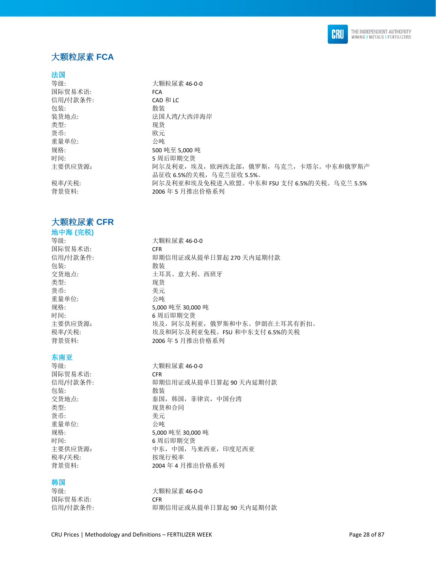

# <span id="page-27-0"></span>大颗粒尿素 **FCA**

### 法国

| 大颗粒尿素 46-0-0                               |
|--------------------------------------------|
| <b>FCA</b>                                 |
| CAD 和 LC                                   |
| 散装                                         |
| 法国人湾/大西洋海岸                                 |
| 现货                                         |
| 欧元                                         |
| 公庫                                         |
| 500 吨至 5,000 吨                             |
| 5 周后即期交货                                   |
| 阿尔及利亚,埃及,欧洲西北部,俄罗斯,乌克兰,卡塔尔。中东和俄罗斯产         |
| 品征收 6.5%的关税,乌克兰征收 5.5%。                    |
| 阿尔及利亚和埃及免税进入欧盟。中东和 FSU 支付 6.5%的关税。乌克兰 5.5% |
| 2006年5月推出价格系列                              |
|                                            |

# <span id="page-27-1"></span>大颗粒尿素 **CFR**

# 地中海 **(**完税**)**

国际贸易术语: CFR 包装: **2006年11月21日 11月21日 12月21日 12月21日 12月21日 12月21日 12月21日 12月21日 12月21日 12月21日 12月21日 12月21日 12月21日 12月21日 12月21日 12月21日 12月21日 12月21日 12月21日 12月21日 12月21日 12月21日 12月21日 12月21日 12月21日 12月21日 12月21日 12月21日 12月21日 12月21日 12** 类型: 现货 货币: 考元 重量单位: 公吨

### 东南亚

国际贸易术语: CFR 包装: 散装 类型: カランチン アンチン 现货和合同 货币: 考元 重量单位: 公吨 税率/关税: わけの 按现行税率

## 韩国

国际贸易术语: CFR

等级: 第一次第一次要款尿素 46-0-0 信用/付款条件: 即期信用证或从提单日算起 270 天内延期付款 交货地点: カランス ウェイス エコ エコ 土耳其、意大利、西班牙 规格: 5,000 吨至 30,000 吨 时间: 6 周后即期交货 主要供应货源: 埃及, 阿尔及利亚, 俄罗斯和中东。伊朗在土耳其有折扣。 税率/关税: カランス およい 埃及和阿尔及利亚免税。FSU 和中东支付 6.5%的关税 背景资料: 2006 年 5 月推出价格系列

等级: カラック おおとこ おおし 大颗粒尿素 46-0-0 信用/付款条件: 即期信用证或从提单日算起 90 天内延期付款 交货地点: 不对于 本国,韩国,菲律宾,中国台湾 规格: 5,000 吨至 30,000 吨 时间: 6 周后即期交货 主要供应货源: 中西,中东,中国,马来西亚,印度尼西亚 背景资料: 2004 年 4 月推出价格系列

等级: カラックス おおとこ 大颗粒尿素 46-0-0 信用/付款条件: 即期信用证或从提单日算起 90 天内延期付款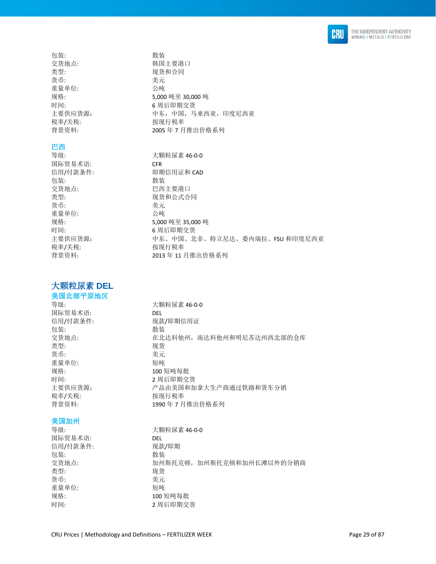

包装: **2006年11月21日 11月21日 12月21日 12月21日 12月21日 12月21日 12月21日 12月21日 12月21日 12月21日 12月21日 12月21日 12月21日 12月21日 12月21日 12月21日 12月21日 12月21日 12月21日 12月21日 12月21日 12月21日 12月21日 12月21日 12月21日 12月21日 12月21日 12月21日 12月21日 12月21日 12** 交货地点: 有效的 有效的 医神经性白细胞 类型: 现货和合同 货币: 考元 重量单位: 公吨 规格: 5,000 吨至 30,000 吨 时间: 6 周后即期交货 主要供应货源: 中东, 中国, 马来西亚, 印度尼西亚 税率/关税: わかん おおし 按现行税率 背景资料: 2005 年 7 月推出价格系列

# 巴西

国际贸易术语: CFR<br>信用/付款条件: いいの 即期 包装: 散装 交货地点: 巴西主要港口 类型: 有效的 医心包的 医双货和公式合同 货币: 李元 重量单位: 2000 2000 2000 公吨 时间: 6 周后即期交货 税率/关税: わけの おおおところ 按现行税率

# <span id="page-28-0"></span>大颗粒尿素 **DEL**

# 美国北部平原地区

国际贸易术语: DEL 包装: 散装 类型: 现货 货币: カラン おおとこ きょうきょう 美元 重量单位: 短吨 规格: カランプ 200 短吨每批 税率/关税: わけの おおおところ 按现行税率

# 美国加州

等级: 大颗粒尿素 46-0-0 国际贸易术语: DEL 信用/付款条件: 现款/即期 包装: 散装 交货地点: カルト 加州斯托克顿,加州斯托克顿和加州长滩以外的分销商 类型: 现货 货币: 李元 重量单位: 短吨 规格: カランプ 200 短吨每批 时间: 2 周后即期交货

等级: カラック おおとこ おおし 大颗粒尿素 46-0-0 即期信用证和 CAD 规格: 5,000 吨至 35,000 吨 主要供应货源: カランス 中东、中国、北非、特立尼达、委内瑞拉、FSU 和印度尼西亚

背景资料: 2013 年 11 月推出价格系列

等级: カランス おおとこ 大颗粒尿素 46-0-0 信用/付款条件: 现款/即期信用证 在北达科他州, 南达科他州和明尼苏达州西北部的仓库 时间: 2 周后即期交货 主要供应货源: 产品由美国和加拿大生产商通过铁路和货车分销 背景资料: 1990年7月推出价格系列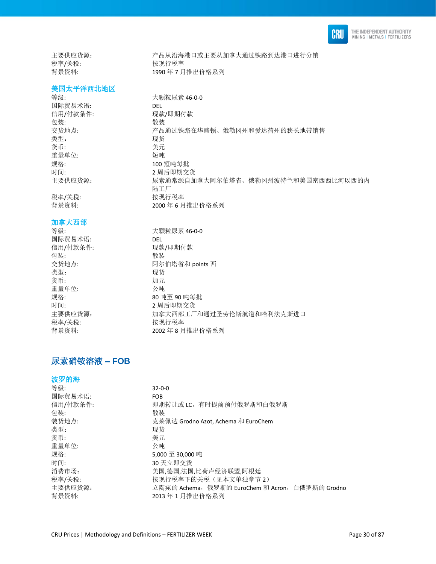

主要供应货源: 产品从沿海港口或主要从加拿大通过铁路到达港口进行分销 税率/关税: わかん おおし 按现行税率 背景资料: 1990 年 7 月推出价格系列

#### 美国太平洋西北地区

等级: カランス おおとこ 大颗粒尿素 46-0-0 国际贸易术语: DEL 信用/付款条件: 现款/即期付款 包装: 散装 交货地点: 产品通过铁路在华盛顿、俄勒冈州和爱达荷州的狭长地带销售 类型: 李家 医无关节 医双货 货币: 美元 重量单位: 短吨 规格: 100 短吨每批<br>时间: 100 短吨每批 主要供应货源: カポティング 尿素通常源自加拿大阿尔伯塔省、俄勒冈州波特兰和美国密西西比河以西的内

税率/关税: わかん おおし 按现行税率 背景资料: 2000 年 6 月推出价格系列

#### 加拿大西部

等级: 大颗粒尿素 46-0-0 国际贸易术语: DEL 信用/付款条件: 现款/即期付款 包装: 散装 交货地点: **Example 2** 可尔伯塔省和 points 西 类型: 现货 货币: 加元 重量单位: 公吨 规格: 80 吨至 90 吨每批 时间: 2 周后即期交货 主要供应货源: カンド 加拿大西部工厂和通过圣劳伦斯航道和哈利法克斯进口 税率/关税: わけの おおおところ 按现行税率 背景资料: 2002 年 8 月推出价格系列

时间: 2 周后即期交货

陆工厂

# <span id="page-29-0"></span>尿素硝铵溶液 **– FOB**

## 波罗的海

| $32 - 0 - 0$                                   |
|------------------------------------------------|
| FOB.                                           |
| 即期转让或 LC。有时提前预付俄罗斯和白俄罗斯                        |
| 散装                                             |
| 克莱佩达 Grodno Azot, Achema 和 EuroChem            |
| 现货                                             |
| 美元                                             |
| 公吨                                             |
| 5.000 至 30.000 吨                               |
| 30 天立即交货                                       |
| 美国,德国,法国,比荷卢经济联盟,阿根廷                           |
| 按现行税率下的关税(见本文单独章节2)                            |
| 立陶宛的 Achema,俄罗斯的 EuroChem 和 Acron,白俄罗斯的 Grodno |
| 2013 年 1 月推出价格系列                               |
|                                                |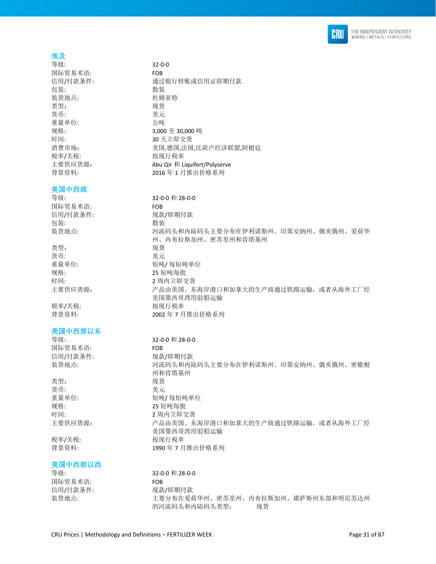

## 埃及

等级: 32-0-0 国际贸易术语: FOB 包装: **2006年11月21日 11月21日 12月21日 12月21日 12月21日 12月21日 12月21日 12月21日 12月21日 12月21日 12月21日 12月21日 12月21日 12月21日 12月21日 12月21日 12月21日 12月21日 12月21日 12月21日 12月21日 12月21日 12月21日 12月21日 12月21日 12月21日 12月21日 12月21日 12月21日 12月21日 12** 装货地点: 杜姆亚特 类型: 现货 货币: 美元 重量单位: 公吨 时间: 10 天立即交货 税率/关税: わけの おおおところ 按现行税率 背景资料: 2016年1月推出价格系列

### 美国中西部

# 国际贸易术语: FOB 信用/付款条件: 现款/即期付款 包装: **2000**

类型: 李家 医无关节 医心包的 人名英格兰人姓氏 货币: 有效的 医心脏 医无线管 医心脏 医心脏 医心脏 医心脏 规格: 25 短吨每批

#### 美国中西部以东

等级: 32-0-0 和 28-0-0 国际贸易术语: FOB 信用/付款条件: 现款/即期付款

类型: 现货 货币: 有效的 医心包的 医无线虫属 医心室 医心室 医心室 规格: 25 短吨每批

### 美国中西部以西

国际贸易术语: FOB

信用/付款条件: 通过银行转账或信用证即期付款 规格: 3,000 至 30,000 吨 消费市场: 有着 计自动 计算法 计语言 计语言 计语言经济联盟,阿根廷 主要供应货源: Abu Qir 和 Liquifert/Polyserve

等级: 32-0-0 和 28-0-0 装货地点: 河流码头和内陆码头主要分布在伊利诺斯州、印第安纳州、俄亥俄州、爱荷华 州、内布拉斯加州、密苏里州和肯塔基州 重量单位: カランプ エコン 短吨/ 每短吨单位 时间: 2 周内立即交货 主要供应货源: 产品由美国、东海岸港口和加拿大的生产商通过铁路运输,或者从海外工厂经 美国墨西哥湾用驳船运输 税率/关税: わかん おおおし 按现行税率 背景资料: 2002年7月推出价格系列

装货地点: 河流码头和内陆码头主要分布在伊利诺斯州、印第安纳州、俄亥俄州、密歇根 州和肯塔基州 重量单位: カランチン 短吨/ 每短吨单位 时间: 2 周内立即交货 主要供应货源: 产品由美国、东海岸港口和加拿大的生产商通过铁路运输,或者从海外工厂经 美国墨西哥湾用驳船运输 税率/关税: わけの おおし 按现行税率 背景资料: 1990年7月推出价格系列

等级: 32-0-0 和 28-0-0 信用/付款条件: 现款/即期付款 装货地点: 主要分布在爱荷华州、密苏里州、内布拉斯加州、堪萨斯州东部和明尼苏达州 的河流码头和内陆码头类型: 现货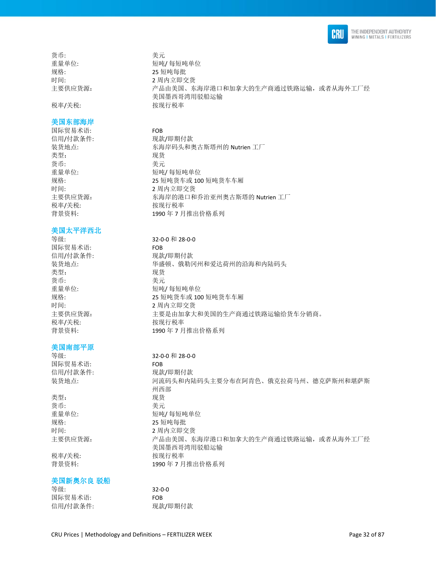

货币: 考元 规格: 25 短吨每批

税率/关税: わけの おおし 按现行税率

#### 美国东部海岸

国际贸易术语: FOB 信用/付款条件: 现款/即期付款 类型: 李家 医心包的 医双货 货币: 美元 时间: 2 周内立即交货 税率/关税: わけの おおおところ 按现行税率

### 美国太平洋西北

国际贸易术语: FOB 信用/付款条件: 现款/即期付款 类型: 李家 医无关节 医双货 货币: 美元 时间: 2 周内立即交货 税率/关税: わけの おおおところ 按现行税率

### 美国南部平原

国际贸易术语: FOB 信用/付款条件: 现款/即期付款

类型: 现货 货币: カラン おおとこ きょうきょう 美元 规格: 25 短吨每批

### 美国新奥尔良 驳船

等级: 32-0-0 国际贸易术语: FOB 信用/付款条件: 现款/即期付款

重量单位: カランチ エコティ 短吨/ 每短吨单位 时间: 2 周内立即交货 主要供应货源: 产品由美国、东海岸港口和加拿大的生产商通过铁路运输,或者从海外工厂经 美国墨西哥湾用驳船运输

装货地点: **• • • 布洛岸码头和奥古斯塔州的 Nutrien 工厂** 重量单位: カランチン 短吨/每短吨单位 规格: 25 短吨货车或 100 短吨货车车厢 主要供应货源: 东海岸的港口和乔治亚州奥古斯塔的 Nutrien 工厂 背景资料: 1990年7月推出价格系列

### 等级: 32-0-0 和 28-0-0

装货地点: 华盛顿、俄勒冈州和爱达荷州的沿海和内陆码头 重量单位: カランチン 短吨/ 每短吨单位 规格: 25 短吨货车或 100 短吨货车车厢 主要供应货源: 主要是由加拿大和美国的生产商通过铁路运输给货车分销商。 背景资料: 1990年7月推出价格系列

等级: 32-0-0 和 28-0-0 装货地点: カランス アジン 河流码头和内陆码头主要分布在阿肯色、俄克拉荷马州、德克萨斯州和堪萨斯 州西部 重量单位: 有效的 有效性的 短吨/每短吨单位 时间: 2 周内立即交货 主要供应货源: カランス アム由美国、东海岸港口和加拿大的生产商通过铁路运输,或者从海外工厂经 美国墨西哥湾用驳船运输 税率/关税: わかん おおおし 按现行税率 背景资料: 1990年7月推出价格系列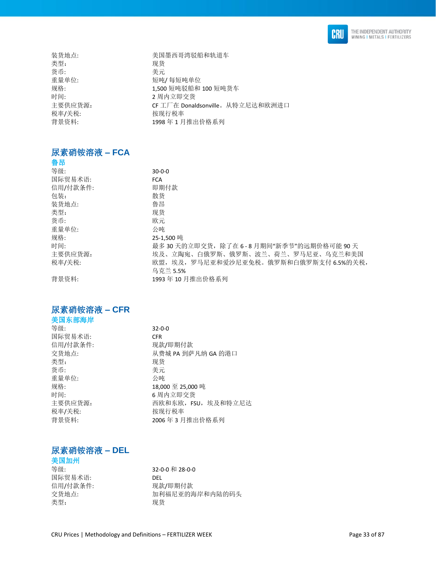

| 装货地点:   | 美国墨西哥湾驳船和轨道车                     |
|---------|----------------------------------|
| 类型:     | 现货                               |
| 货币:     | 美元                               |
| 重量单位:   | 短吨/每短吨单位                         |
| 规格:     | 1,500 短吨驳船和 100 短吨货车             |
| 时间:     | 2 周内立即交货                         |
| 主要供应货源: | CF 工厂在 Donaldsonville。从特立尼达和欧洲进口 |
| 税率/关税:  | 按现行税率                            |
| 背景资料:   | 1998年1月推出价格系列                    |
|         |                                  |

# <span id="page-32-0"></span>尿素硝铵溶液 **– FCA**

| 鲁昂       |                                       |
|----------|---------------------------------------|
| 等级:      | $30-0-0$                              |
| 国际贸易术语:  | <b>FCA</b>                            |
| 信用/付款条件: | 即期付款                                  |
| 包装:      | 散货                                    |
| 装货地点:    | 鲁昂                                    |
| 类型:      | 现货                                    |
| 货币:      | 欧元                                    |
| 重量单位:    | 公吨                                    |
| 规格:      | 25-1.500 吨                            |
| 时间:      | 最多30天的立即交货,除了在6-8月期间"新季节"的远期价格可能90天   |
| 主要供应货源:  | 埃及、立陶宛、白俄罗斯、俄罗斯、波兰、荷兰、罗马尼亚、乌克兰和美国     |
| 税率/关税:   | 欧盟,埃及,罗马尼亚和爱沙尼亚免税。俄罗斯和白俄罗斯支付 6.5%的关税, |
|          | 乌克兰 5.5%                              |
| 背景资料:    | 1993年10月推出价格系列                        |

# <span id="page-32-1"></span>尿素硝铵溶液 **– CFR**

| 美国东部海岸   |                     |
|----------|---------------------|
| 等级:      | $32 - 0 - 0$        |
| 国际贸易术语:  | <b>CFR</b>          |
| 信用/付款条件: | 现款/即期付款             |
| 交货地点:    | 从费城 PA 到萨凡纳 GA 的港口  |
| 类型:      | 现货                  |
| 货币:      | 美元                  |
| 重量单位:    | 公吨                  |
| 规格:      | 18,000 至 25,000 吨   |
| 时间:      | 6 周内立即交货            |
| 主要供应货源:  | 西欧和东欧, FSU, 埃及和特立尼达 |
| 税率/关税:   | 按现行税率               |
| 背景资料:    | 2006年3月推出价格系列       |
|          |                     |

# <span id="page-32-2"></span>尿素硝铵溶液 **– DEL**

# 美国加州

国际贸易术语: DEL 信用/付款条件: 类型: 现货

等级: 32-0-0 和 28-0-0 交货地点: カンコンコンコンコンコン利福尼亚的海岸和内陆的码头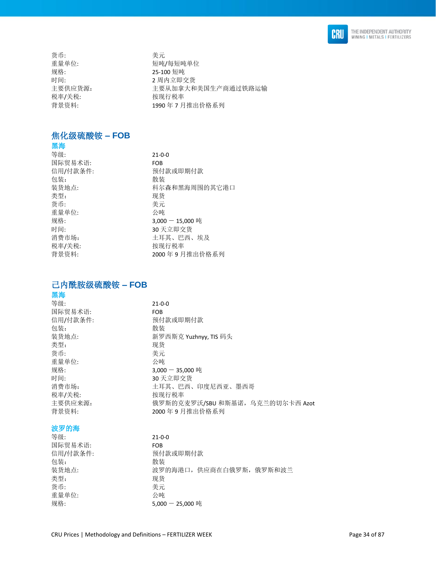

货币: 考元 规格: 25-100 短吨 税率/关税: わけの 按现行税率

重量单位: 有效的 有效性的 经吨/每短吨单位 时间: 2 周内立即交货 主要供应货源: 主要从加拿大和美国生产商通过铁路运输 背景资料: 1990年7月推出价格系列

#### <span id="page-33-0"></span>焦化级硫酸铵 **– FOB**  黑海

| 赤性       |                    |
|----------|--------------------|
| 等级:      | $21 - 0 - 0$       |
| 国际贸易术语:  | <b>FOB</b>         |
| 信用/付款条件: | 预付款或即期付款           |
| 包装:      | 散装                 |
| 装货地点:    | 科尔森和黑海周围的其它港口      |
| 类型:      | 现货                 |
| 货币:      | 美元                 |
| 重量单位:    | 公吨                 |
| 规格:      | $3,000 - 15,000$ 吨 |
| 时间:      | 30 天立即交货           |
| 消费市场:    | 土耳其、巴西、埃及          |
| 税率/关税:   | 按现行税率              |
| 背景资料:    | 2000年9月推出价格系列      |
|          |                    |

# <span id="page-33-1"></span>己内酰胺级硫酸铵 **– FOB**

# 黑海

等级: 21-0-0 国际贸易术语: FOB 信用/付款条件: 预付款或即期付款 包装: **2000** 装货地点: **http://www.profile.com/** 新罗西斯克 Yuzhnyy, TIS 码头 类型: 现货 货币: 考元 重量单位: 公吨 规格: 3,000 - 35,000 吨 时间: 30 天立即交货 消费市场: カランチ インスコン 土耳其、巴西、印度尼西亚、墨西哥 税率/关税: わけの おおおところ 按现行税率 主要供应来源: カンテンスのサンスのおよい克麦罗沃/SBU和斯基诺,乌克兰的切尔卡西 Azot 背景资料: 2000 年 9 月推出价格系列 波罗的海

| 等级:      | $21 - 0 - 0$             |
|----------|--------------------------|
| 国际贸易术语:  | <b>FOB</b>               |
| 信用/付款条件: | 预付款或即期付款                 |
| 包装:      | 散装                       |
| 装货地点:    | 波罗的海港口, 供应商在白俄罗斯, 俄罗斯和波兰 |
| 类型:      | 现货                       |
| 货币:      | 美元                       |
| 重量单位:    | 公吨                       |
| 规格:      | $5,000 - 25,000$ 吨       |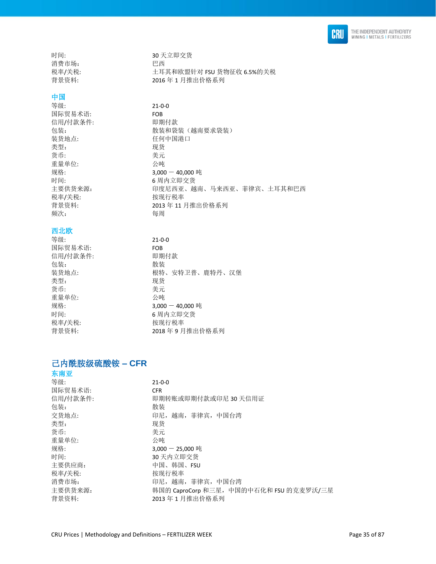

消费市场: P

# 中国

等级: 21-0-0 国际贸易术语: FOB 信用/付款条件: 即期付款 装货地点: 任何中国港口 类型: 现货 货币: カランチン さんじょう 美元 重量单位: 2000 公吨<br>规格: 2000 3,000 税率/关税: わかん おおし 按现行税率 频次: 每周

# 西北欧<br><sub>竺卯</sub>

| 寺级:      | 21-0 |
|----------|------|
| 国际贸易术语:  | FOB  |
| 信用/付款条件: | 即期   |
| 包装:      | 散装   |
| 装货地点:    | 根特   |
| 类型:      | 现货   |
| 货币:      | 美元   |
| 重量单位:    | 公匪   |
| 规格:      | 3,00 |
| 时间:      | 6 周  |
| 税率/关税:   | 桉玏   |
| 背景资料:    | 201  |

时间: 30 天立即交货 税率/关税: 土耳其和欧盟针对 FSU 货物征收 6.5%的关税 背景资料: 2016年1月推出价格系列

包装: カンチン 散装和袋装(越南要求袋装)  $3,000 - 40,000$  吨 时间: 6 周内立即交货 主要供货来源: 可以 中度尼西亚、越南、马来西亚、菲律宾、土耳其和巴西 背景资料: 2013年11月推出价格系列

> 等级: 21-0-0 即期付款 包装: 散装 装货地点: 根特、安特卫普、鹿特丹、汉堡 类型: 现货 货币: 美元 重量单位: 公吨  $3,000 - 40,000$  吨 6 周内立即交货 税率/关税: 按现行税率 背景资料: 2018 年 9 月推出价格系列

# <span id="page-34-0"></span>己内酰胺级硫酸铵 **– CFR**

| 东南亚      |                                         |
|----------|-----------------------------------------|
| 等级:      | $21 - 0 - 0$                            |
| 国际贸易术语:  | <b>CFR</b>                              |
| 信用/付款条件: | 即期转账或即期付款或印尼 30 天信用证                    |
| 包装:      | 散装                                      |
| 交货地点:    | 印尼, 越南, 菲律宾, 中国台湾                       |
| 类型:      | 现货                                      |
| 货币:      | 美元                                      |
| 重量单位:    | 公吨                                      |
| 规格:      | 3,000 - 25,000 吨                        |
| 时间:      | 30 天内立即交货                               |
| 主要供应商:   | 中国、韩国、FSU                               |
| 税率/关税:   | 按现行税率                                   |
| 消费市场:    | 印尼, 越南, 菲律宾, 中国台湾                       |
| 主要供货来源:  | 韩国的 CaproCorp 和三星, 中国的中石化和 FSU 的克麦罗沃/三星 |
| 背景资料:    | 2013年1月推出价格系列                           |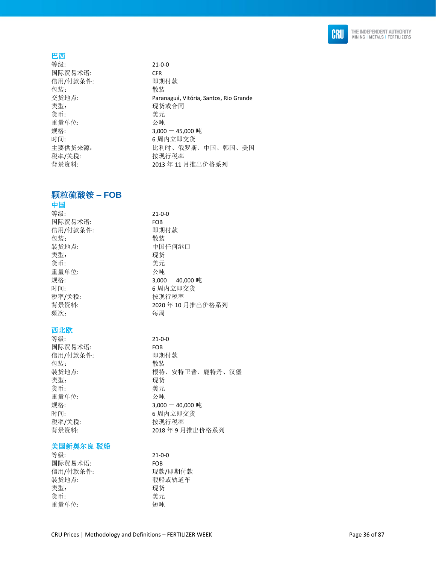

# 巴西

等级: 21-0-0 国际贸易术语: CFR 信用/付款条件: 即期付款 包装: **2000** 交货地点: Paranaguá, Vitória, Santos, Rio Grande 货币: 考元 重量单位: 公吨 规格: 3,000 - 45,000 吨 时间: 6 周内立即交货 主要供货来源: カランス 出利时、俄罗斯、中国、韩国、美国 税率/关税: 按现行税率

# <span id="page-35-0"></span>颗粒硫酸铵 **– FOB**

# 中国

| 等级:      | $21 - 0 - 0$       |
|----------|--------------------|
| 国际贸易术语:  | <b>FOB</b>         |
| 信用/付款条件: | 即期付款               |
| 包装:      | 散装                 |
| 装货地点:    | 中国任何港口             |
| 类型:      | 现货                 |
| 货币:      | 美元                 |
| 重量单位:    | 公吨                 |
| 规格:      | $3,000 - 40,000$ 吨 |
| 时间:      | 6 周内立即交货           |
| 税率/关税:   | 按现行税率              |
| 背景资料:    | 2020年10月推出价格系列     |
| 频次:      | 每周                 |
|          |                    |
| 西北欧      |                    |
| 等级:      | $21 - 0 - 0$       |
| 国际贸易术语:  | <b>FOB</b>         |
| 信用/付款条件: | 即期付款               |
| 包装:      | 散装                 |
| 装货地点:    | 根特、安特卫普、鹿特丹、汉堡     |
| 类型:      | 现货                 |
| 货币:      | 美元                 |
| 重量单位:    | 公吨                 |
| 规格:      | $3,000 - 40,000$ 吨 |
|          |                    |

现货或合同

背景资料: 2013 年 11 月推出价格系列

时间: カランプ けんこう 6 周内立即交货 税率/关税: わけの おおおところ 按现行税率 背景资料: 2018 年 9 月推出价格系列

# 美国新奥尔良 驳船

| $21 - 0 - 0$ |
|--------------|
| <b>FOB</b>   |
| 现款/即期付款      |
| 驳船或轨道车       |
| 现货           |
| 美元           |
| 短吨           |
|              |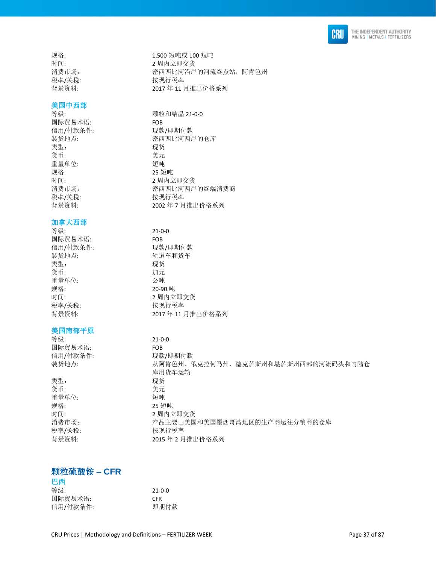

### 美国中西部

国际贸易术语: FOB 类型: 现货 货币: 美元 重量单位: 短吨 税率/关税: わかん おおし 按现行税率

#### 加拿大西部

等级: 21-0-0 国际贸易术语: FOB 信用/付款条件: 现款/即期付款 装货地点: 轨道车和货车 类型: 现货 货币: 加元 重量单位: 公吨 规格: 20-90 吨 税率/关税: わけの おおおところ 按现行税率

### 美国南部平原

等级: 21-0-0 国际贸易术语: FOB

类型: 现货 货币: 有效的 医心脏 医无线管 医心脏 医心脏 医心脏 医心脏 重量单位: 短吨 规格: 25 短吨

规格: 1,500 短吨或 100 短吨 时间: 2 周内立即交货 消费市场: 有些 网络罗西西比河沿岸的河流终点站, 阿肯色州 税率/关税: わかん おおおし 按现行税率 背景资料: 2017 年 11 月推出价格系列

等级: カランス のころ かんじょう かんじょう もうしょう 新粒和结晶 21-0-0 信用/付款条件: 现款/即期付款 装货地点: 李西西比河两岸的仓库 规格: 25 短吨 时间: 2 周内立即交货 消费市场: 密西西比河两岸的终端消费商 背景资料: 2002年7月推出价格系列

时间: 2 周内立即交货 背景资料: 2017 年 11 月推出价格系列

信用/付款条件: 现款/即期付款<br>装货地点: 从阿肯色州、f 装货地点: 从阿肯色州、俄克拉何马州、德克萨斯州和堪萨斯州西部的河流码头和内陆仓 库用货车运输 时间: 2 周内立即交货 消费市场: 有效的 计最主要由美国和美国墨西哥湾地区的生产商运往分销商的仓库 税率/关税: わけの おおおところ 按现行税率 背景资料: 2015年2月推出价格系列

### 颗粒硫酸铵 **– CFR**

| 巴西       |              |
|----------|--------------|
| 等级:      | $21 - 0 - 0$ |
| 国际贸易术语:  | <b>CFR</b>   |
| 信用/付款条件: | 即期付款         |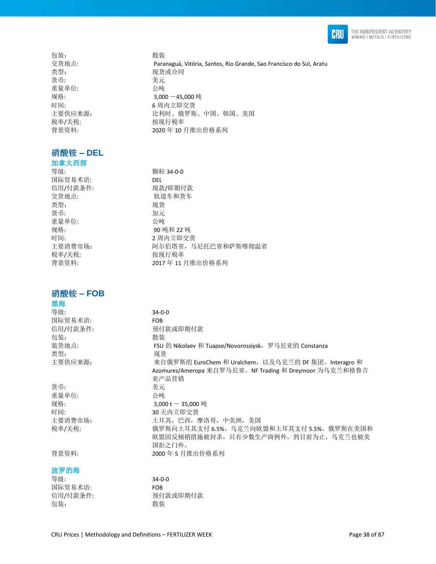

包装: **2000** 交货地点: Paranaguá, Vitória, Santos, Rio Grande, Sao Francisco do Sul, Aratu 类型: 李世宗 医神经性 医双货或合同 货币: 考元 重量单位: 公吨 规格: 3,000 -45,000 吨 时间: 6 周内立即交货 主要供应来源: カランス トランド しんけん 俄罗斯、中国、韩国、美国 税率/关税: わけの おおおところ 按现行税率 背景资料: 2020 年 10 月推出价格系列

### 硝酸铵 **– DEL**

加拿大西部 等级: **booking** to the term of the way with  $\frac{1}{2}$  and  $\frac{1}{2}$  and  $\frac{1}{2}$  and  $\frac{1}{2}$  and  $\frac{1}{2}$  and  $\frac{1}{2}$  and  $\frac{1}{2}$  and  $\frac{1}{2}$  and  $\frac{1}{2}$  and  $\frac{1}{2}$  and  $\frac{1}{2}$  and  $\frac{1}{2}$  and  $\frac{1}{2}$  an 国际贸易术语: DEL 信用/付款条件: 现款/即期付款 交货地点: 轨道车和货车 类型: 现货 货币: 加元 重量单位: 公吨 规格: 90 吨和 22 吨 时间: 2 周内立即交货 主要消费市场: 财本 阿尔伯塔省,马尼托巴省和萨斯喀彻温省 税率/关税: わけの おおおところ 按现行税率 背景资料: 2017 年 11 月推出价格系列

### 硝酸铵 **– FOB**

| 黑海       |                                                        |
|----------|--------------------------------------------------------|
| 等级:      | $34 - 0 - 0$                                           |
| 国际贸易术语:  | <b>FOB</b>                                             |
| 信用/付款条件: | 预付款或即期付款                                               |
| 包装:      | 散装                                                     |
| 装货地点:    | FSU 的 Nikolaev 和 Tuapse/Novorossiysk, 罗马尼亚的 Constanza  |
| 类型:      | 现货                                                     |
| 主要供应来源:  | 来自俄罗斯的 EuroChem 和 Uralchem, 以及乌克兰的 DF 集团。Interagro 和   |
|          | Azomures/Ameropa 来自罗马尼亚。NF Trading 和 Dreymoor 为乌克兰和格鲁吉 |
|          | 亚产品营销                                                  |
| 货币:      | 美元                                                     |
| 重量单位:    | 公吨                                                     |
| 规格:      | 3,000 t $-$ 35,000 吨                                   |
| 时间:      | 30 天内立即交货                                              |
| 主要消费市场:  | 土耳其,巴西,摩洛哥,中美洲,美国                                      |
| 税率/关税:   | 俄罗斯向土耳其支付 6.5%。乌克兰向欧盟和土耳其支付 5.5%。俄罗斯在美国和               |
|          | 欧盟因反倾销措施被封杀,只有少数生产商例外。到目前为止,乌克兰也被美                     |
|          | 国拒之门外。                                                 |
| 背景资料:    | 2000年5月推出价格系列                                          |
| 波罗的海     |                                                        |

等级: 34-0-0 国际贸易术语: FOB 信用/付款条件: 预付款或即期付款 包装: 散装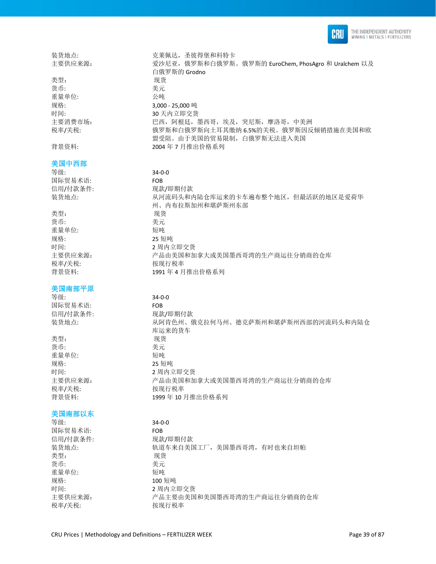

类型: 现货 货币: 李元 重量单位: 公吨 规格: 3,000 - 25,000 吨 时间: 30 天内立即交货

### 美国中西部

等级: 34-0-0 国际贸易术语: FOB

类型: 李家 医无关节 医双货 货币: 有效的 医心脏 医无线管 医心脏 医心脏 医心脏 医心脏 重量单位: 短吨 规格: 25 短吨 税率/关税: わけの おおし おおし 按现行税率

### 美国南部平原

等级: 34-0-0 国际贸易术语: FOB

类型: 李家 医无线虫 医双货 货币: 有效的 医心包的 医无心包的 医无心包的 医心室 医心室 医心室 重量单位: 短吨 税率/关税: わけの おおし 按现行税率

### 美国南部以东

等级: 34-0-0 国际贸易术语: FOB 信用/付款条件: 现款/即期付款 类型: 现货 货币: さんちょう さんこう 美元 重量单位: 短吨 规格: 100 短吨

装货地点: 克莱佩达,圣彼得堡和科特卡 主要供应来源: 爱沙尼亚, 俄罗斯和白俄罗斯。俄罗斯的 EuroChem, PhosAgro 和 Uralchem 以及 白俄罗斯的 Grodno 主要消费市场: ٢٠٠٠ ٢٠٠٠ ٢٠٠ 프西, 阿根廷, 墨西哥, 埃及, 突尼斯, 摩洛哥, 中美洲 税率/关税: 俄罗斯和白俄罗斯向土耳其缴纳 6.5%的关税。俄罗斯因反倾销措施在美国和欧 盟受阻。由于美国的贸易限制,白俄罗斯无法进入美国 背景资料: 2004 年 7 月推出价格系列

信用/付款条件: 现款/即期付款 装货地点: カランス あんき あいこみみあん あんてん あんきん あんきん あんだい はいだん せいこう おんだい 州、内布拉斯加州和堪萨斯州东部 时间: 2 周内立即交货 主要供应来源: アトランス 产品由美国和加拿大或美国墨西哥湾的生产商运往分销商的仓库 背景资料: 1991 年 4 月推出价格系列

信用/付款条件: 现款/即期付款 装货地点: 从阿肯色州、俄克拉何马州、德克萨斯州和堪萨斯州西部的河流码头和内陆仓 库运来的货车 规格: 25 短吨 时间: 2 周内立即交货 主要供应来源: カンテンス ア品由美国和加拿大或美国墨西哥湾的生产商运往分销商的仓库 背景资料: 1999 年 10 月推出价格系列

装货地点: カランス おうこう あいきょう あいしょう おいちゅう あいれん おおし おおし おおし おおもの 时间: 2 周内立即交货 主要供应来源: 李 本 字品主要由美国和美国墨西哥湾的生产商运往分销商的仓库 税率/关税: わけの おおおところ 按现行税率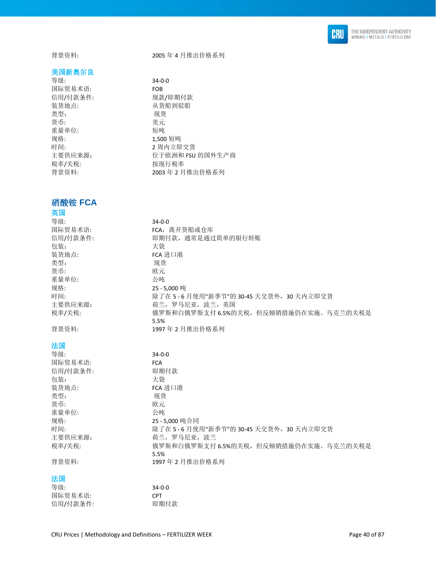

背景资料: 2005 年 4 月推出价格系列

### 美国新奥尔良

等级: 34-0-0 国际贸易术语: FOB 信用/付款条件: 现款/即期付款 装货地点: 从货船到驳船 类型: 货币: 美元 重量单位: 规格: カランス 2,500 短吨 时间: 2 周内立即交货 主要供应来源: カランス 位于欧洲和 FSU 的国外生产商 税率/关税: 按现行税率

### 硝酸铵 **FCA**

### 英国

| 等级:      | $34 - 0 - 0$                                   |
|----------|------------------------------------------------|
| 国际贸易术语:  | FCA, 离开货船或仓库                                   |
| 信用/付款条件: | 即期付款, 通常是通过简单的银行转账                             |
| 包装:      | 大袋                                             |
| 装货地点:    | <b>FCA 进口港</b>                                 |
| 类型:      | 现货                                             |
| 货币:      | 欧元                                             |
| 重量单位:    | 公吨                                             |
| 规格:      | 25-5,000 吨                                     |
| 时间:      | 除了在 5-6月使用"新季节"的 30-45 天交货外, 30 天内立即交货         |
| 主要供应来源:  | 荷兰, 罗马尼亚, 波兰, 英国                               |
| 税率/关税:   | 俄罗斯和白俄罗斯支付 6.5%的关税,但反倾销措施仍在实施。乌克兰的关税是          |
|          | 5.5%                                           |
| 背景资料:    | 1997年2月推出价格系列                                  |
| 法国       |                                                |
| 等级:      | $34 - 0 - 0$                                   |
| 国际贸易术语:  | <b>FCA</b>                                     |
| 信用/付款条件: | 即期付款                                           |
| 包装:      | 大袋                                             |
| 装货地点:    | FCA 进口港                                        |
| 类型:      | 现货                                             |
| 货币:      | 欧元                                             |
| 重量单位:    | 公吨                                             |
| 规格:      | 25-5.000 吨合同                                   |
| 时间:      | 除了在 5-6月使用"新季节"的 30-45 天交货外, 30 天内立即交货         |
| 主要供应来源:  | 荷兰, 罗马尼亚, 波兰                                   |
| 税率/关税:   | 俄罗斯和白俄罗斯支付 6.5%的关税, 但反倾销措施仍在实施。乌克兰的关税是<br>5.5% |
| 背景资料:    | 1997年2月推出价格系列                                  |

背景资料: 2003 年 2 月推出价格系列

### 法国

| 等级:      | 34-0-0     |
|----------|------------|
| 国际贸易术语:  | <b>CPT</b> |
| 信用/付款条件: | 即期付款       |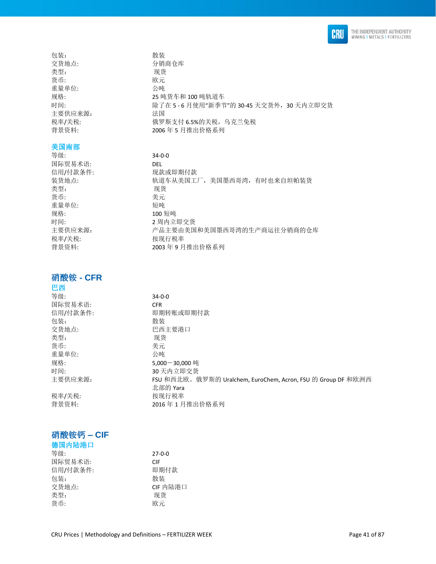

包装: **2000** 交货地点: わけの のうちゃく 分销商仓库 类型: 现货 货币: 欧元 重量单位: 公吨 规格: 25 吨货车和 100 吨轨道车 时间: カランス はち 5 - 6 月使用"新季节"的 30-45 天交货外, 30 天内立即交货 主要供应来源: 法国 税率/关税: 有效的 我罗斯支付 6.5%的关税, 乌克兰免税 背景资料: 2006 年 5 月推出价格系列

### 美国南部

等级: 34-0-0 国际贸易术语: DEL 信用/付款条件: 现款或即期付款 装货地点: カランス おくさん美国工厂,美国墨西哥湾,有时也来自坦帕装货 类型: 现货 货币: 我元 重量单位: 短吨 规格: カランプ 200 短吨 时间: 2 周内立即交货<br>主要供应来源: 2 产品主要由美国 税率/关税: 按现行税率

### 硝酸铵 **- CFR**

### 巴西

| 等级:      | $34 - 0 - 0$                                                 |
|----------|--------------------------------------------------------------|
| 国际贸易术语:  | <b>CFR</b>                                                   |
| 信用/付款条件: | 即期转账或即期付款                                                    |
| 包装:      | 散装                                                           |
| 交货地点:    | 巴西主要港口                                                       |
| 类型:      | 现货                                                           |
| 货币:      | 美元                                                           |
| 重量单位:    | 公吨                                                           |
| 规格:      | $5.000 - 30.000$ 吨                                           |
| 时间:      | 30 天内立即交货                                                    |
| 主要供应来源:  | FSU 和西北欧。俄罗斯的 Uralchem, EuroChem, Acron, FSU 的 Group DF 和欧洲西 |
|          | 北部的 Yara                                                     |
| 税率/关税:   | 按现行税率                                                        |
| 背景资料:    | 2016年1月推出价格系列                                                |
|          |                                                              |

2003年9月推出价格系列

产品主要由美国和美国墨西哥湾的生产商运往分销商的仓库

### 硝酸铵钙 **– CIF**

| 德国内陆港口   |              |
|----------|--------------|
| 等级:      | $27 - 0 - 0$ |
| 国际贸易术语:  | CIF          |
| 信用/付款条件: | 即期付款         |
| 包装:      | 散装           |
| 交货地点:    | CIF 内陆港口     |
| 类型:      | 现货           |
| 货币:      | 欧元           |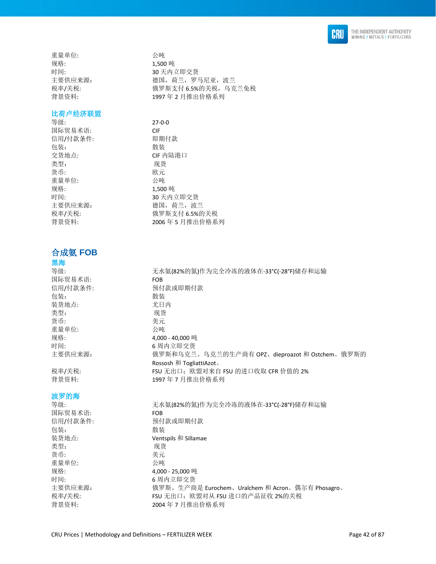

重量单位: 公吨 规格: 2.500 吨 时间: 30 天内立即交货 主要供应来源: **butuber and the conduct as 德国, 荷兰, 罗马尼亚, 波兰** 税率/关税: 有效的 计数据数据文件 6.5%的关税, 乌克兰免税 背景资料: 1997 年 2 月推出价格系列

#### 比荷卢经济联盟

等级: 27-0-0 国际贸易术语: CIF 信用/付款条件: 即期付款 包装: 散装 交货地点: CIF 内陆港口 类型: 现货 货币: 欧元 重量单位: 公吨 规格: 1,500 吨 时间: 30 天内立即交货 主要供应来源: 李武 - 德国,荷兰,波兰 税率/关税: 俄罗斯支付 6.5%的关税 背景资料: 2006年5月推出价格系列

## 合成氨 **FOB**

### 黑海

等级: http://www.diadextail.com/induck/induck/induck/induck/induck/induck/induck/induck/induck/induck/ 国际贸易术语: FOB 信用/付款条件: わけ 预付款或即期付款 包装: 散装 装货地点: 尤日内 类型: 现货 货币: 考元 重量单位: 公吨 规格: 4,000 - 40,000 吨 时间: 6 周内立即交货 主要供应来源: 俄罗斯和乌克兰。乌克兰的生产商有 OPZ、dieproazot 和 Ostchem。俄罗斯的 Rossosh 和 TogliattiAzot。 税率/关税:  $F(SU)$  FSU 无出口; 欧盟对来自 FSU 的进口收取 CFR 价值的 2% 背景资料: 1997年7月推出价格系列

## 国际贸易术语: FOB 包装: 散装 类型: 现货 货币: 考元 重量单位: 公吨 规格: 4,000 - 25,000 吨 时间: 6 周内立即交货

波罗的海

等级: 无水氨(82%的氮)作为完全冷冻的液体在-33°C(-28°F)储存和运输 信用/付款条件: 预付款或即期付款 装货地点: Ventspils 和 Sillamae 主要供应来源: 俄罗斯。生产商是 Eurochem、Uralchem 和 Acron。偶尔有 Phosagro。 税率/关税: FSU 无出口;欧盟对从 FSU 进口的产品征收 2%的关税 背景资料: 2004 年 7 月推出价格系列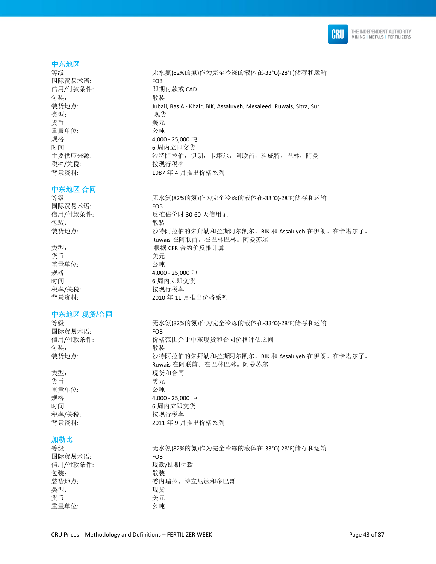

#### 中东地区

等级: カナンス およい ディング おく ポイン ディング しょう うんじょう さんこう さんじょう しょうかい こうきょう きょうかい きょう きょうかい こうきょう きょうかい きょうかん 等級 こうしょう きんじょう きんじょう しょうしょう きんじょう しょうしょう しょうしゅう しんしゅう しんしゅう しんしゅう しんしゅう しんしゅう しんしゅう しんしゅう しんしゅう しんしゅう しんしゅう しんしゅう しんしゅう しんし 国际贸易术语: FOB 信用/付款条件: 即期付款或 CAD 包装: 散装 装货地点: Jubail, Ras Al- Khair, BIK, Assaluyeh, Mesaieed, Ruwais, Sitra, Sur 类型: 现货 货币: 有效的 医心脏 医无线管 医心脏 医心脏 医心脏 医心脏 重量单位: 公吨 规格: 4,000 - 25,000 吨 时间: カラント おおところ 6 周内立即交货 主要供应来源: 沙特阿拉伯, 伊朗, 卡塔尔, 阿联酋, 科威特, 巴林, 阿曼 税率/关税: わけの 按现行税率 背景资料: 1987 年 4 月推出价格系列

### 中东地区 合同

等级: 无水氨(82%的氮)作为完全冷冻的液体在-33°C(-28°F)储存和运输 国际贸易术语: FOB 信用/付款条件: 反推估价时 30-60 天信用证 包装: **2000** 装货地点: カランス およう ジャントの おくぼ あれがあれがい おりない BIK 和 Assaluyeh 在伊朗。在卡塔尔了。

类型: **No. 2010 2010 2010 2010 2010 2010 根据 CFR** 合约价反推计算 货币: 李元 重量单位: 公吨 规格: 4,000 - 25,000 吨 时间: 6 周内立即交货 税率/关税: わけの おおおところ 按现行税率 背景资料: 2010 年 11 月推出价格系列

中东地区 现货**/**合同

等级: 无水氨(82%的氮)作为完全冷冻的液体在-33°C(-28°F)储存和运输 国际贸易术语: FOB 信用/付款条件: 价格范围介于中东现货和合同价格评估之间 包装: 散装 装货地点: カランス およう ゆきのことの未拜勒和拉斯阿尔凯尔。BIK 和 Assaluyeh 在伊朗。在卡塔尔了。

类型: カランチン アンチン 现货和合同 货币: 考元 重量单位: 公吨 规格: 4,000 - 25,000 吨 时间: 6 周内立即交货

## 税率/关税: わけの おおし 按现行税率 背景资料: 2011 年9月推出价格系列

### 加勒比

等级: 无水氨(82%的氮)作为完全冷冻的液体在-33°C(-28°F)储存和运输 国际贸易术语: FOB FOB FOR FOR FOR FOR FOR FOR 信用/付款条件: 包装: **2000** 装货地点: 委内瑞拉、特立尼达和多巴哥 类型: 现货 货币: カラン おおとこ きょうきょう 美元 重量单位: 公吨

Ruwais 在阿联酋。在巴林巴林。阿曼苏尔

Ruwais 在阿联酋。在巴林巴林。阿曼苏尔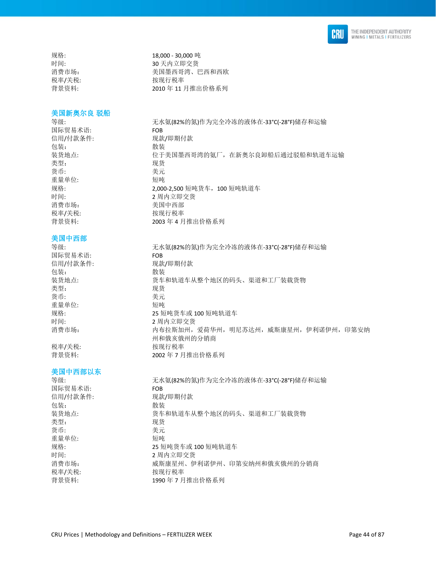

美国新奥尔良 驳船

国际贸易术语: FOB 信用/付款条件: 现款/即期付款 包装: 散装 类型: 现货 货币: 考元 重量单位: 短吨 消费市场: 美国中西部 税率/关税: わかん おおし 按现行税率

### 美国中西部

国际贸易术语: FOB 包装: 散装 类型: 李家 医心包的 医双货 货币: カラン おおとこ きょうきょう 美元 重量单位: 短吨

### 美国中西部以东

等级: 无水氨(82%的氮)作为完全冷冻的液体在-33°C(-28°F)储存和运输 国际贸易术语: FOB 信用/付款条件: 现款/即期付款 包装: 散装 装货地点: 货车和轨道车从整个地区的码头、渠道和工厂装载货物 类型: 现货 货币: 美元 重量单位: 短吨 规格: 25 短吨货车或 100 短吨轨道车 时间: 2 周内立即交货 消费市场: 威斯康星州、伊利诺伊州、印第安纳州和俄亥俄州的分销商 税率/关税: わけの おおし おおし 按现行税率 背景资料: 1990年7月推出价格系列

规格: 18,000 - 30,000 吨 时间: 30 天内立即交货 消费市场: 有效的 计数据 医二乙二醇 美国墨西哥湾、巴西和西欧 税率/关税: わかん おおし 按现行税率 背景资料: 2010 年 11 月推出价格系列

等级: カナンス およい ディング おく ポイン ディング しょう うんじょう さんこう さんじょう しょうかい こうきょう きょうかい きょう きょうかい こうきょう きょうかい きょうかん 等級 こうしょう きんじょう きんじょう しょうしょう きんじょう しょうしょう しょうしゅう しんしゅう しんしゅう しんしゅう しんしゅう しんしゅう しんしゅう しんしゅう しんしゅう しんしゅう しんしゅう しんしゅう しんしゅう しんし 装货地点: カントン 位于美国墨西哥湾的氨厂,在新奥尔良卸船后通过驳船和轨道车运输 规格: 2,000-2,500 短吨货车,100 短吨轨道车 时间: 2 周内立即交货 背景资料: 2003年4月推出价格系列

等级: カントン およい 元水氨(82%的氮)作为完全冷冻的液体在-33°C(-28°F)储存和运输 信用/付款条件: 现款/即期付款 装货地点: 货车和轨道车从整个地区的码头、渠道和工厂装载货物 规格: 25 短吨货车或 100 短吨轨道车 时间: 2 周内立即交货 消费市场: 财产 计对象 计对称加州,爱荷华州,明尼苏达州,威斯康星州,伊利诺伊州,印第安纳 州和俄亥俄州的分销商 税率/关税: わかん おおし 按现行税率 背景资料: 2002 年 7 月推出价格系列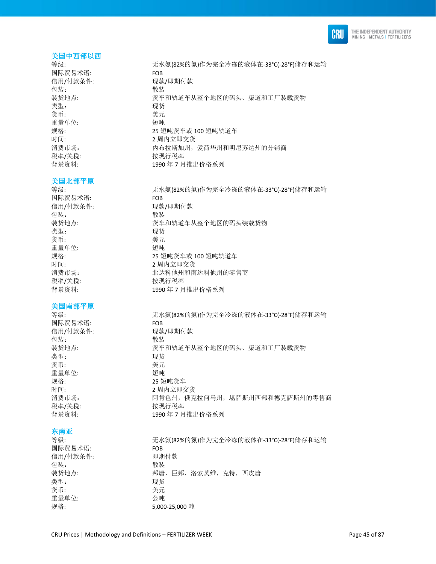

#### 美国中西部以西

国际贸易术语: FOB 包装: **2000** 类型: 现货 货币: カラン おおとこ きょうきょう 美元 重量单位: 短吨 税率/关税: わけの おおし 按现行税率

#### 美国北部平原

国际贸易术语: FOB 包装: 有效 类型: 现货 货币: 考元 重量单位: 短吨 税率/关税: わけの おおおところ 按现行税率

### 美国南部平原

国际贸易术语: FOB 包装: 散装 类型: 现货 货币: 有效的 医心脏 医无效的 医无效的 医无效的 医无效的 医无效的 重量单位: 短吨 规格: 25 短吨货车 税率/关税: わけの おおおし 按现行税率

### 东南亚

国际贸易术语: FOB 信用/付款条件: 即期付款 包装: 散装 类型: 现货 货币: カラン おおとこ きょうきょう 美元 重量单位: 公吨

等级: 无水氨(82%的氮)作为完全冷冻的液体在-33°C(-28°F)储存和运输 信用/付款条件: 现款/即期付款 装货地点: カンド あいかん あいかん あんきん あく あいみょく 渠道和工厂装载货物 规格: 25 短吨货车或 100 短吨轨道车 时间: 1 2 周内立即交货 消费市场: 有一個 计一个有拉斯加州,爱荷华州和明尼苏达州的分销商 背景资料: 1990 年 7 月推出价格系列

等级: カナンス およい ディング おく ポイン ディング しょう うんじょう さんこう さんじょう しょうかい こうきょう きょうかい きょう きょうかい こうきょう きょうかい きょうかん 等級 こうしょう きんじょう きんじょう しょうしょう きんじょう しょうしょう しょうしゅう しんしゅう しんしゅう しんしゅう しんしゅう しんしゅう しんしゅう しんしゅう しんしゅう しんしゅう しんしゅう しんしゅう しんしゅう しんし 信用/付款条件: 现款/即期付款 装货地点: 货车和轨道车从整个地区的码头装载货物 规格: 25 短吨货车或 100 短吨轨道车 时间: 2 周内立即交货 消费市场: カランチ およう 北达科他州和南达科他州的零售商 背景资料: 1990年7月推出价格系列

等级: 无水氨(82%的氮)作为完全冷冻的液体在-33°C(-28°F)储存和运输 信用/付款条件: 现款/即期付款 装货地点: 货车和轨道车从整个地区的码头、渠道和工厂装载货物 时间: 2 周内立即交货 消费市场: アンチン 阿肯色州,俄克拉何马州,堪萨斯州西部和德克萨斯州的零售商 背景资料: 1990年7月推出价格系列

等级: 无水氨(82%的氮)作为完全冷冻的液体在-33°C(-28°F)储存和运输 装货地点: 有一個 我唐,巨邦,洛索莫维,克特,西皮唐 规格: 5,000-25,000 吨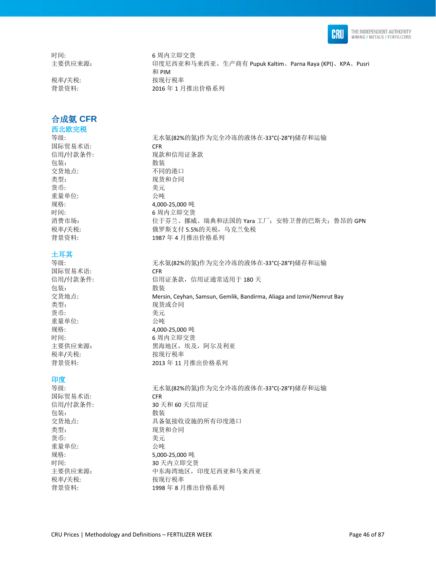

时间: 6 周内立即交货

税率/关税: わかん おおし 按现行税率

## 合成氨 **CFR**

西北欧完税

国际贸易术语: CFR 包装: 散装 交货地点: 不同的港口 类型: 李家 的复数形式 医双货和合同 货币: カランチン おおとこ 美元 重量单位: 公吨

### 土耳其

国际贸易术语: CFR 包装: 散装 类型: 有效的 医心脏 医双货或合同 货币: 考元 重量单位: 公吨 规格: 4,000-25,000 吨 时间: 6 周内立即交货 税率/关税: わけの おおおし 按现行税率

### 印度

国际贸易术语: CFR 信用/付款条件: 30 天和 60 天信用证 包装: 散装 类型: カランス アンチン かんこう 现货和合同 货币: 美元 重量单位: 公吨 规格: 5,000-25,000 吨 时间: 30 天内立即交货 税率/关税: 本部 被现行税率

主要供应来源: 印度尼西亚和马来西亚。生产商有 Pupuk Kaltim、Parna Raya (KPI)、KPA、Pusri 和 PIM 背景资料: 2016 年 1 月推出价格系列

等级: 无水氨(82%的氮)作为完全冷冻的液体在-33°C(-28°F)储存和运输 信用/付款条件: 现款和信用证条款 规格: 4,000-25,000 吨 时间: 6 周内立即交货 消费市场: http://www.dipedial.com/induck/induck/induck/induck/induck/induck/induck/induck/induck/induck/ 税率/关税: 有效的 计数据数据文件 5.5%的关税, 乌克兰免税 背景资料: 1987 年 4 月推出价格系列

等级: 无水氨(82%的氮)作为完全冷冻的液体在-33°C(-28°F)储存和运输 信用/付款条件: [180] 天信用证条款, 信用证通常适用于 180 天 交货地点: Mersin, Ceyhan, Samsun, Gemlik, Bandirma, Aliaga and Izmir/Nemrut Bay 主要供应来源: 黑海地区,埃及,阿尔及利亚 背景资料: 2013 年 11 月推出价格系列

等级: カントン およい 元水氨(82%的氮)作为完全冷冻的液体在-33°C(-28°F)储存和运输 交货地点: 具备氨接收设施的所有印度港口 主要供应来源: カンチンス 中东海湾地区,印度尼西亚和马来西亚 背景资料: 1998 年 8 月推出价格系列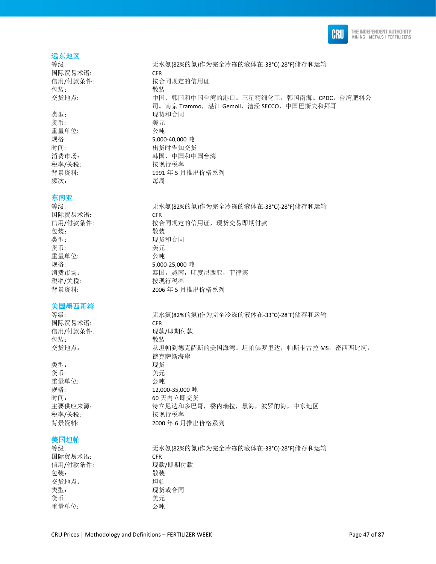

#### 远东地区

国际贸易术语: CFR 包装: 有效的 化苯基苯胺 化苯基苯胺 化苯基苯胺 化苯基苯胺 医心包炎 化二乙基苯胺 医心包炎

货币: 李元 重量单位: 公吨 频次: 有一個 有一個 每周

#### 东南亚

国际贸易术语: CFR 包装: 散装 类型: カランチン アンチン 现货和合同 货币: カラン おおとこ おおとこ 美元 重量单位: 公吨 税率/关税: わけの おおおところ 按现行税率

### 美国墨西哥湾

国际贸易术语: CFR 包装: 散装

类型: 现货 货币: 考元 重量单位: 公吨 税率/关税: わけの おおおところ 按现行税率

#### 美国坦帕

国际贸易术语: CFR 信用/付款条件: 现款/即期付款 包装: 散装 交货地点: 坦帕 类型: カランス アンチン アンスタンス 现货或合同 货币: 美元 重量单位: 公吨

等级: 无水氨(82%的氮)作为完全冷冻的液体在-33°C(-28°F)储存和运输 信用/付款条件: 按合同规定的信用证 交货地点: 中国、韩国和中国台湾的港口。三星精细化工,韩国南海。CPDC,台湾肥料公 司。南京 Trammo, 湛江 Gemoil, 漕泾 SECCO, 中国巴斯夫和拜耳 类型: カランス アンチン アンスタン 现货和合同 规格: 5.000-40.000 吨 时间: カラント けいしゃ 出货时告知交货 消费市场: 有着 有效的 计算法 计图和中国台湾 税率/关税: わけの 按现行税率 背景资料: 1991 年 5 月推出价格系列

等级: 无水氨(82%的氮)作为完全冷冻的液体在-33°C(-28°F)储存和运输 信用/付款条件: 按合同规定的信用证,现货交易即期付款 规格: 5,000-25,000 吨 消费市场: 有着 不能 不能 不能 不能 天国,越南,印度尼西亚,菲律宾 背景资料: 2006 年 5 月推出价格系列

等级: 无水氨(82%的氮)作为完全冷冻的液体在-33°C(-28°F)储存和运输 信用/付款条件: 现款/即期付款 交货地点: 财政部 计二级电机到德克萨斯的美国海湾。坦帕佛罗里达,帕斯卡古拉 MS,密西西比河, 德克萨斯海岸 规格: 12,000-35,000 吨 时间: 60 天内立即交货 主要供应来源: カンスコン 特立尼达和多巴哥, 委内瑞拉, 黑海, 波罗的海, 中东地区 背景资料: 2000 年 6 月推出价格系列

等级: 无水氨(82%的氮)作为完全冷冻的液体在-33°C(-28°F)储存和运输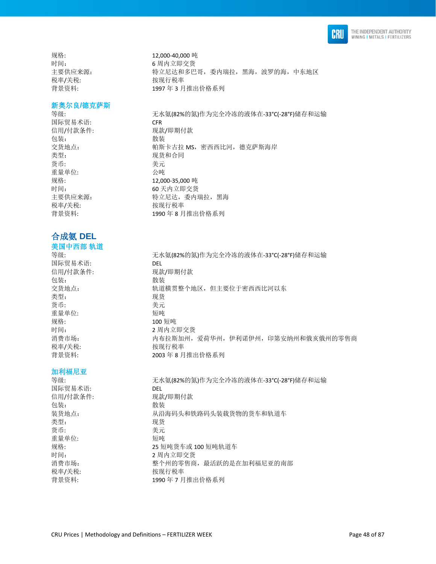

规格: 12,000-40,000 吨 时间: 6 周内立即交货 税率/关税: 按现行税率

### 新奥尔良**/**德克萨斯

等级: 无水氨(82%的氮)作为完全冷冻的液体在-33°C(-28°F)储存和运输 国际贸易术语: CFR 信用/付款条件: 现款/即期付款 包装: 2008年 1002年 1002年 1002年 1002年 1002年 1002年 1002年 1002年 1002年 1002年 1002年 1002年 1002年 1002年 1002年 1002年 1002 交货地点: **http://defa.com/provided/inform/** 帕斯卡古拉 MS, 密西西比河, 德克萨斯海岸 类型: カランス アンチン 現货和合同 货币: 美元 重量单位: 规格: 12,000-35,000 吨 时间: 60 天内立即交货 主要供应来源: 李 - - - - - - 特立尼达, 委内瑞拉, 黑海 税率/关税: わけの おおおし 按现行税率 背景资料: 1990 年 8 月推出价格系列

合成氨 **DEL**  美国中西部 轨道

等级: カンストン およい 元水氨(82%的氮)作为完全冷冻的液体在-33°C(-28°F)储存和运输 国际贸易术语: DEL 信用/付款条件: 现款/即期付款 包装: 散装 交货地点: 轨道横贯整个地区,但主要位于密西西比河以东 类型: 李武 2008年11月11日 11月15日 11月15日 11月15日 11月15日 11月15日 11月15日 11月15日 11月15日 11月15日 11月15日 11月15日 11月15日 11月15日 11月15日 11月15日 11月15日 11月15日 11月15日 11月15日 11月15日 11月15日 11月15日 11月15日 11月15日 11月15日 11月15日 11月15日 11月15日 11月15日 货币: 考元 重量单位: 短吨 规格: 100 短吨<br>时间: 100 万元 消费市场: カポランス あたりのある 内布拉斯加州,爱荷华州,伊利诺伊州,印第安纳州和俄亥俄州的零售商 税率/关税: わけの おおし 按现行税率 背景资料: 2003 年 8 月推出价格系列

加利福尼亚

等级: http://www.diadextail.com/induck/induck/induck/induck/induck/induck/induck/induck/induck/induck/ 国际贸易术语: DEL 信用/付款条件: 现款/即期付款 包装: **2000** 装货地点: 从沿海码头和铁路码头装载货物的货车和轨道车 类型: 现货 货币: カラン おおとこ きょうきょう 美元 重量单位: 短吨 规格: 25 短吨货车或 100 短吨轨道车 时间: 2 周内立即交货 消费市场: 有效的 医一种 整个州的零售商,最活跃的是在加利福尼亚的南部 税率/关税: わかん おおし 按现行税率 背景资料: 1990年7月推出价格系列

2 周内立即交货

主要供应来源: 特立尼达和多巴哥,委内瑞拉,黑海,波罗的海,中东地区 背景资料: 1997 年 3 月推出价格系列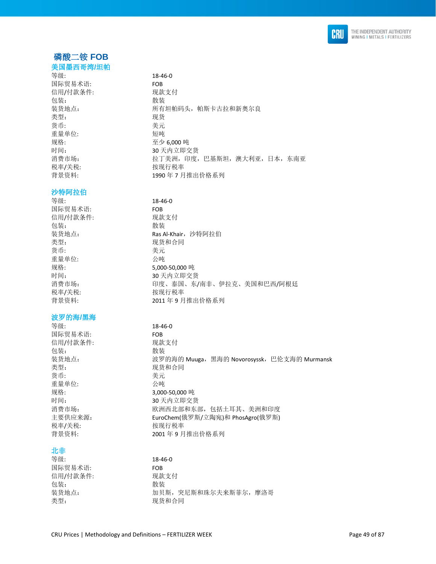

### 磷酸二铵 **FOB**  美国墨西哥湾**/**坦帕

### 等级: 18-46-0

### 沙特阿拉伯

国际贸易术语: FOB 信用/付款条件: 现款支付 包装: 散装 类型: カランチン アンチン 现货和合同 货币: 考元 重量单位: 公吨 税率/关税: わけの おおおところ 按现行税率

### 波罗的海**/**黑海

等级: 18-46-0 国际贸易术语: FOB 信用/付款条件: 现款支付 包装: 散装 类型: 有效的 医心脏 医双货和合同 货币: 考元 重量单位: 公吨 规格: 3,000-50,000 吨 税率/关税: わけの おおし 按现行税率

### 北非

等级: 18-46-0 国际贸易术语: FOB 信用/付款条件: 现款支付 包装: **2000** 类型: カランス アンチン アンスカンス 现货和合同

| 国际贸易术语:  | <b>FOB</b>               |
|----------|--------------------------|
| 信用/付款条件: | 现款支付                     |
| 包装:      | 散装                       |
| 装货地点:    | 所有坦帕码头, 帕斯卡古拉和新奥尔良       |
| 类型:      | 现货                       |
| 货币:      | 美元                       |
| 重量单位:    | 短吨                       |
| 规格:      | 至少 6.000 吨               |
| 时间:      | 30 天内立即交货                |
| 消费市场:    | 拉丁美洲,印度,巴基斯坦,澳大利亚,日本,东南亚 |
| 税率/关税:   | 按现行税率                    |
| 背景资料:    | 1990年7月推出价格系列            |

等级: 18-46-0 装货地点: **Ras Al-Khair, 沙特阿拉伯** 规格: 5,000-50,000 吨 时间: 30 天内立即交货 消费市场: 印度、泰国、东/南非、伊拉克、美国和巴西/阿根廷 背景资料: 2011 年9月推出价格系列

装货地点: 波罗的海的 Muuga,黑海的 Novorosyssk,巴伦支海的 Murmansk 时间: 30 天内立即交货 消费市场: 财政 对于 欧洲西北部和东部,包括土耳其、美洲和印度 主要供应来源: EuroChem(俄罗斯/立陶宛)和 PhosAgro(俄罗斯) 背景资料: 2001 年 9 月推出价格系列

装货地点: カメント カリ斯, 突尼斯和珠尔夫来斯菲尔, 摩洛哥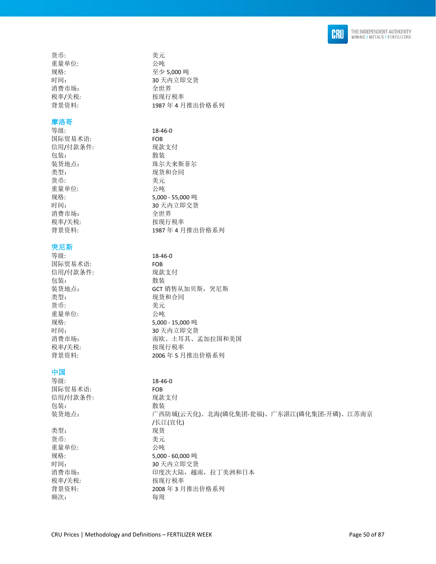

货币: 考元 重量单位: 公吨 规格: 至少 5,000 吨 时间: 30 天内立即交货 消费市场: 全世界 税率/关税: わけの おおおところ 按现行税率 背景资料: 1987 年 4 月推出价格系列

### 摩洛哥

等级: 18-46-0 国际贸易术语: FOB 信用/付款条件: 现款支付 包装: **2000** 装货地点: 珠尔夫来斯菲尔 类型: カランス アンチン 現货和合同 货币: 有效的 医心脏 医无效的 医无效的 医无效的 医无效的 医无效的 重量单位: 公吨 规格: 5,000 - 55,000 吨 时间: 30 天内立即交货 消费市场: 全世界 税率/关税: わけの おおおし 按现行税率 背景资料: 1987 年 4 月推出价格系列

### 突尼斯

等级: 18-46-0 国际贸易术语: FOB 信用/付款条件: 现款支付 包装: 散装 装货地点: **Example 2018** GCT 销售从加贝斯, 突尼斯 类型: カランチン アンチン 现货和合同 货币: 美元 重量单位: 公吨 规格: 5,000 - 15,000 吨 时间: 30 天内立即交货 消费市场: 有着 有限、土耳其、孟加拉国和美国 税率/关税: 本部 被现行税率 背景资料: 2006年5月推出价格系列

### 中国

等级: 18-46-0 国际贸易术语: FOB 信用/付款条件: 现款支付 包装: **2000** 装货地点: カンチン・コンのサービスの防城(云天化)、北海(磷化集团-瓮福)、广东湛江(磷化集团-开磷)、江苏南京 /长江(宜化) 类型: 现货 货币: 考元 重量单位: 公吨 规格: 5,000 - 60,000 吨 时间: 30 天内立即交货 消费市场: カランチ 印度次大陆,越南,拉丁美洲和日本 税率/关税: わけの おおおところ 按现行税率 背景资料: 2008 年 3 月推出价格系列 频次: 每周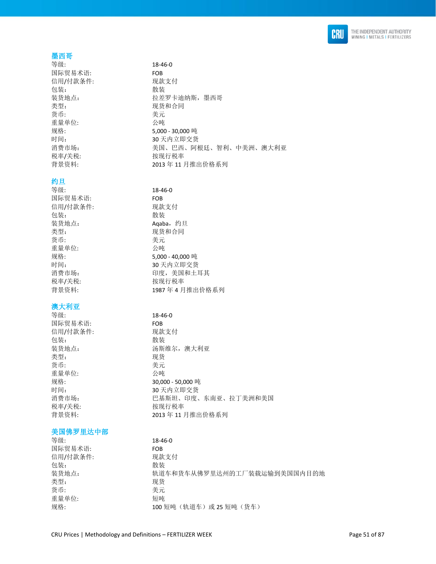

### 墨西哥

国际贸易术语: FOB 信用/付款条件: 现款支付 包装: **2000** 类型: カランチン アンチン 现货和合同 货币: 美元 重量单位: 公吨 税率/关税: わけの おおおところ 按现行税率

### 约旦

等级: 18-46-0 国际贸易术语: FOB 信用/付款条件: 现款支付 包装: 有效的 化苯基苯胺 化苯基苯胺 化苯基苯胺 化苯基苯胺 医心包炎 化二乙基苯胺 医心包炎 装货地点: **Aqaba**, 约旦 类型: カランチン アンチン 现货和合同 货币: 考元 重量单位: 公吨 税率/关税: わけの 按现行税率

### 澳大利亚

等级: 18-46-0 国际贸易术语: FOB 信用/付款条件: 现款支付 包装: 散装 类型: 现货 货币: 考元 重量单位: 公吨 税率/关税: わけの おおおところ 按现行税率

### 美国佛罗里达中部

等级: 18-46-0 国际贸易术语: FOB 信用/付款条件: 现款支付 包装: 散装 类型: 现货 货币: 美元 重量单位: 短吨

**等级· 18-46-0** 装货地点: 拉差罗卡迪纳斯, 墨西哥 规格: 5,000 - 30,000 吨 时间: 30 天内立即交货 消费市场: 有些 医对子宫 医二氏 医西、阿根廷、智利、中美洲、澳大利亚 背景资料: 2013 年 11 月推出价格系列

规格: 5,000 - 40,000 吨 时间: 30 天内立即交货 消费市场: 有时间的 计算机 计算机 计算机 计算机 背景资料: 1987 年 4 月推出价格系列

装货地点: 汤斯维尔,澳大利亚 规格: 30,000 - 50,000 吨 时间: 30 天内立即交货 消费市场: 阿拉克 医二乙基斯坦、印度、东南亚、拉丁美洲和美国 背景资料: 2013 年 11 月推出价格系列

装货地点: カルコン あいりつ かんきかん あるいか あいかん おくちゅう 装飾引き あいちょう 规格: カンコンコン 100 短吨 (轨道车) 或 25 短吨 (货车)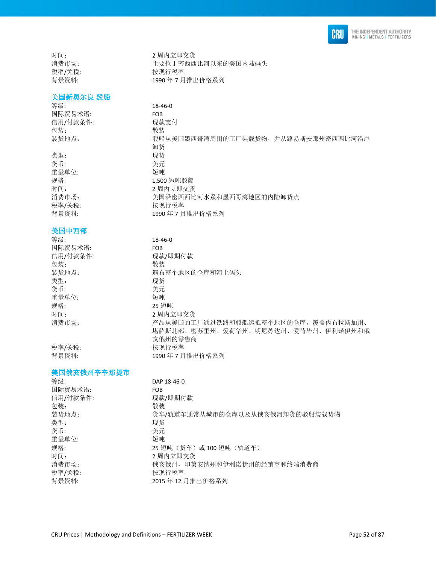

### 美国新奥尔良 驳船

等级: 18-46-0 国际贸易术语: FOB 信用/付款条件: 现款支付 包装: 散装 装货地点: 驳船从美国墨西哥湾周围的工厂装载货物, 并从路易斯安那州密西西比河沿岸

类型: 现货 货币: 美元 重量单位: 规格: カランス 2,500 短吨驳船 时间: 2 周内立即交货 消费市场: 有事 计二十二 美国沿密西西比河水系和墨西哥湾地区的内陆卸货点 税率/关税: わけの おおおところ 按现行税率 背景资料: 1990年7月推出价格系列

### 美国中西部

等级: 18-46-0 国际贸易术语: FOB 信用/付款条件: 现款/即期付款 包装: 散装 装货地点: 遍布整个地区的仓库和河上码头 类型: 现货 货币: 考元 重量单位: 短吨 规格: 25 短吨 时间: 2 周内立即交货 消费市场: カラント アム从美国的工厂通过铁路和驳船运抵整个地区的仓库。覆盖内布拉斯加州、

税率/关税: わけの おおおし 按现行税率 背景资料: 1990年7月推出价格系列

#### 美国俄亥俄州辛辛那提市

| DAP 18-46-0                    |
|--------------------------------|
| <b>FOB</b>                     |
| 现款/即期付款                        |
| 散装                             |
| 货车/轨道车通常从城市的仓库以及从俄亥俄河卸货的驳船装载货物 |
| 现货                             |
| 美元                             |
| 短吨                             |
| 25 短吨 (货车) 或 100 短吨 (轨道车)      |
| 2 周内立即交货                       |
| 俄亥俄州, 印第安纳州和伊利诺伊州的经销商和终端消费商    |
| 按现行税率                          |
| 2015年12月推出价格系列                 |
|                                |

亥俄州的零售商

堪萨斯北部、密苏里州、爱荷华州、明尼苏达州、爱荷华州、伊利诺伊州和俄

时间: 2 周内立即交货 消费市场: 主要位于密西西比河以东的美国内陆码头 税率/关税: わけの おおおところ 按现行税率 背景资料: 1990年7月推出价格系列

卸货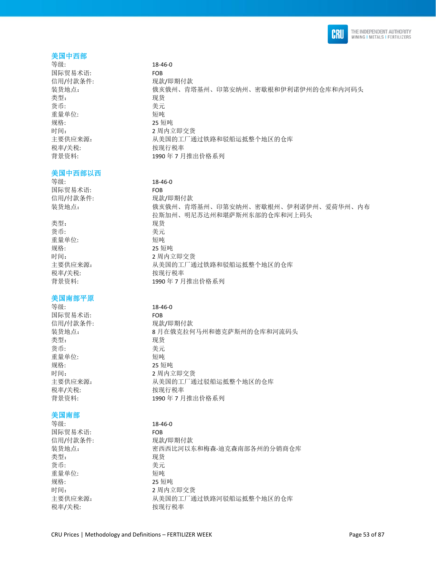

### 美国中西部

等级: 18-46-0 国际贸易术语: FOB 信用/付款条件: 现款/即期付款 类型: 现货 货币: 考元 重量单位: 短吨 规格: 25 短吨 时间: 2 周内立即交货 税率/关税: わけの おおおところ 按现行税率

#### 美国中西部以西

等级: 18-46-0 国际贸易术语: FOB 信用/付款条件: 现款/即期付款

类型: 现货 货币: 美元 重量单位: 短吨 规格: 25 短吨 税率/关税: わけの おおおところ 按现行税率

### 美国南部平原

等级: 18-46-0 国际贸易术语: FOB 类型: 现货 货币: 考元 重量单位: 短吨 规格: 25 短吨 税率/关税: わかん おおおし 按现行税率

### 美国南部

等级: 18-46-0 国际贸易术语: FOB 信用/付款条件: 现款/即期付款 类型: 现货 货币: 考元 重量单位: 短吨 规格: 25 短吨

装货地点: 俄亥俄州、肯塔基州、印第安纳州、密歇根和伊利诺伊州的仓库和内河码头 主要供应来源: 从美国的工厂通过铁路和驳船运抵整个地区的仓库 背景资料: 1990年7月推出价格系列

装货地点: 俄亥俄州、肯塔基州、印第安纳州、密歇根州、伊利诺伊州、爱荷华州、内布 拉斯加州、明尼苏达州和堪萨斯州东部的仓库和河上码头 时间: 2 周内立即交货 主要供应来源: カントン トンスト しょうほう しゅうかん しんきゅう しんきゅう かいりょう 背景资料: 1990 年 7 月推出价格系列

信用/付款条件: 现款/即期付款 装货地点: 8 月在俄克拉何马州和德克萨斯州的仓库和河流码头 时间: 2 周内立即交货 主要供应来源: 从美国的工厂通过驳船运抵整个地区的仓库 背景资料: 1990年7月推出价格系列

装货地点: 李西西比河以东和梅森-迪克森南部各州的分销商仓库 时间: 2 周内立即交货 主要供应来源: 从美国的工厂通过铁路河驳船运抵整个地区的仓库 税率/关税: 本部 被现行税率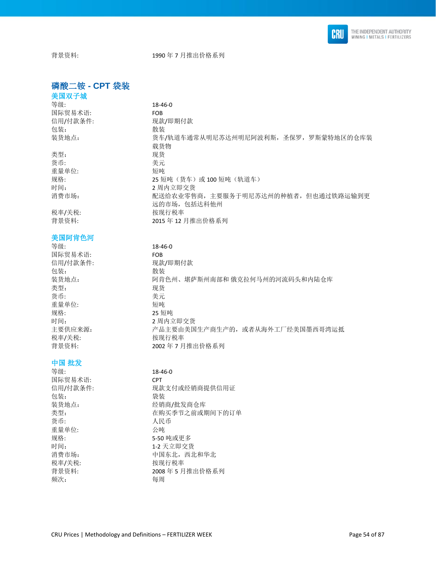

背景资料: 1990年7月推出价格系列

### 磷酸二铵 **- CPT** 袋装

### 美国双子城 等级: 18-46-0 国际贸易术语: FOB 信用/付款条件: 现款/即期付款 包装: 散装

类型: 现货 货币: 考元 重量单位: 短吨

### 美国阿肯色河

### 等级: 18-46-0 国际贸易术语: FOB 信用/付款条件: 现款/即期付款 包装: 有效的 化苯基苯胺 化苯基苯胺 化苯基苯胺 化苯基苯胺 医心包炎 化二乙基苯胺 医心包炎 类型: 现货 货币: カランチン あまま 美元 重量单位: 短吨 规格: 25 短吨 时间: 2 周内立即交货 税率/关税: わけの 接现行税率

### 中国 批发

| 等级:      | $18 - 46 - 0$  |
|----------|----------------|
| 国际贸易术语:  | <b>CPT</b>     |
| 信用/付款条件: | 现款支付或经销商提供信用证  |
| 包装:      | 袋装             |
| 装货地点:    | 经销商/批发商仓库      |
| 类型:      | 在购买季节之前或期间下的订单 |
| 货币:      | 人民币            |
| 重量单位:    | 公庫             |
| 规格:      | 5-50 吨或更多      |
| 时间:      | 1-2 天立即交货      |
| 消费市场:    | 中国东北,西北和华北     |
| 税率/关税:   | 按现行税率          |
| 背景资料:    | 2008年5月推出价格系列  |
| 频次:      | 每周             |

装货地点: 货车/轨道车通常从明尼苏达州明尼阿波利斯,圣保罗,罗斯蒙特地区的仓库装 载货物 规格: 25 短吨(货车)或 100 短吨(轨道车) 时间: 2 周内立即交货 消费市场: 有效的 计多数化处理零售商,主要服务于明尼苏达州的种植者,但也通过铁路运输到更 远的市场,包括达科他州 税率/关税: わけの おおおところ 按现行税率 背景资料: 2015 年 12 月推出价格系列

装货地点: カンド 阿肯色州、堪萨斯州南部和 俄克拉何马州的河流码头和内陆仓库 主要供应来源: 李武主要的主要由美国生产商生产的,或者从海外工厂经美国墨西哥湾运抵 背景资料: 2002年7月推出价格系列

| ----          |
|---------------|
| CPT           |
| 现款支付或经销商提供信用证 |
| 袋装            |
| 经销商/批发商仓库     |
| 在购买季节之前或期间下的订 |
| 人民币           |
| 公庫            |
| 5-50 吨或更多     |
| 1-2 天立即交货     |
| 中国东北, 西北和华北   |
| 按现行税率         |
| 2008年5月推出价格系列 |
| 每周            |
|               |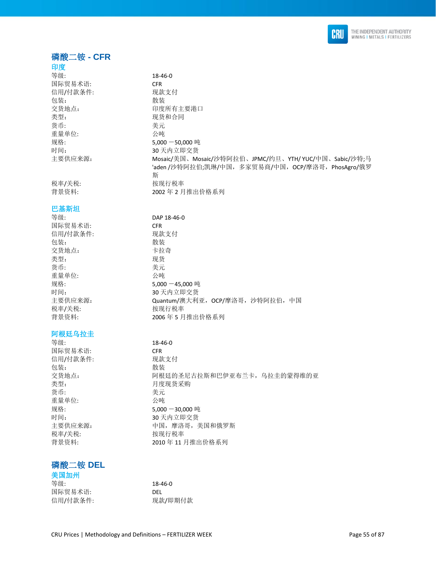

### 磷酸二铵 **- CFR**

### 印度

等级: 18-46-0 国际贸易术语: 信用/付款条件: 包装: 散装 交货地点: 类型: 货币: 重量单位: 规格: 主要供应来源:

### 巴基斯坦

等级: 国际贸易术语: 信用/付款条件: 包装: 交货地点: 类型: 货币: 重量单位: 时间: 主要供应来源: 税率/关税: 按现行税率

### 阿根廷乌拉圭

### 磷酸二铵 **DEL**

### 美国加州

| -----    |         |
|----------|---------|
| 等级:      | 18-46-0 |
| 国际贸易术语:  | DEL     |
| 信用/付款条件: | 现款/即期付款 |

| CRU Prices   Methodology and Definitions - FERTILIZER WEEK | Page 55 of 87 |
|------------------------------------------------------------|---------------|

| 国际贸易术语:  | <b>CFR</b>                                            |
|----------|-------------------------------------------------------|
| 信用/付款条件: | 现款支付                                                  |
| 包装:      | 散装                                                    |
| 交货地点:    | 印度所有主要港口                                              |
| 类型:      | 现货和合同                                                 |
| 货币:      | 美元                                                    |
| 重量单位:    | 公吨                                                    |
| 规格:      | $5.000 - 50.000$ 吨                                    |
| 时间:      | 30 天内立即交货                                             |
| 主要供应来源:  | Mosaic/美国、Mosaic/沙特阿拉伯、JPMC/约旦、YTH/ YUC/中国、Sabic/沙特;马 |
|          | 'aden/沙特阿拉伯;凯琳/中国, 多家贸易商/中国, OCP/摩洛哥, PhosAgro/俄罗     |
|          | 斯                                                     |
| 税率/关税:   | 按现行税率                                                 |
| 背景资料:    | 2002年2月推出价格系列                                         |

| 等级:      | DAP 18-46-0                      |
|----------|----------------------------------|
| 国际贸易术语:  | <b>CFR</b>                       |
| 信用/付款条件: | 现款支付                             |
| 包装:      | 散装                               |
| 交货地点:    | 卡拉奇                              |
| 类型:      | 现货                               |
| 货币:      | 美元                               |
| 重量单位:    | 公吨                               |
| 规格:      | 5,000 -45,000 吨                  |
| 时间:      | 30天内立即交货                         |
| 主要供应来源:  | Quantum/澳大利亚, OCP/摩洛哥, 沙特阿拉伯, 中国 |
| 税 率/关税・  | 按现行税率                            |

背景资料: 2006 年 5 月推出价格系列

| 等级:      | $18 - 46 - 0$               |
|----------|-----------------------------|
| 国际贸易术语:  | <b>CFR</b>                  |
| 信用/付款条件: | 现款支付                        |
| 包装:      | 散装                          |
| 交货地点:    | 阿根廷的圣尼古拉斯和巴伊亚布兰卡, 乌拉圭的蒙得维的亚 |
| 类型:      | 月度现货采购                      |
| 货币:      | 美元                          |
| 重量单位:    | 公吨                          |
| 规格:      | $5,000 - 30,000$ 吨          |
| 时间:      | 30 天内立即交货                   |
| 主要供应来源:  | 中国, 摩洛哥, 美国和俄罗斯             |
| 税率/关税:   | 按现行税率                       |
| 背景资料:    | 2010年11月推出价格系列              |
|          |                             |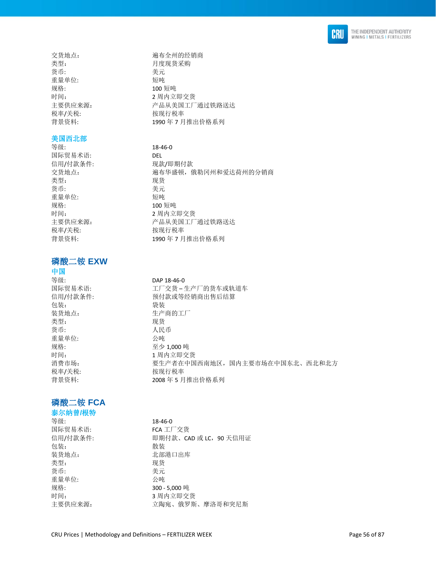

交货地点: 遍布全州的经销商 类型: 有些 医无关节 医二月度现货采购 货币: 考元 重量单位: 短吨 规格: 100 短吨 税率/关税: わけの おおおところ 按现行税率

#### 美国西北部

等级: 18-46-0 国际贸易术语: DEL 信用/付款条件: 现款/即期付款 类型: 现货 货币: 考元 重量单位: 短吨 规格: 2009 短吨 时间: 2 周内立即交货 税率/关税: わけの おおおところ 按现行税率

## 磷酸二铵 **EXW**

### 中国

包装: 袋装 装货地点: 生产商的工厂 类型: 现货 货币: 有效的 医心脏 人民币 重量单位: 公吨 规格: カランプ アンドライン 至少 1,000 吨 税率/关税: わけの 按现行税率

### 磷酸二铵 **FCA**

### 泰尔纳曾**/**根特

等级: 18-46-0 国际贸易术语: FCA 工厂交货 包装: **2000** 装货地点: 北部港口出库 类型: 现货 货币: カラン おおとこ きょうきょう 美元 重量单位: 公吨 规格: 300 - 5,000 吨

时间: 2 周内立即交货 主要供应来源: 李 在一个品从美国工厂通过铁路送达 背景资料: 1990年7月推出价格系列

交货地点: カランス 適布华盛顿,俄勒冈州和爱达荷州的分销商 主要供应来源: 李 本 产品从美国工厂通过铁路送达 背景资料: 1990年7月推出价格系列

#### 等级: DAP 18-46-0

国际贸易术语: アンチンスコンコンコンのエーター生产厂的货车或轨道车 信用/付款条件: 有一 预付款或等经销商出售后结算 时间: カランプ オンランド 1 周内立即交货 消费市场: カンド アンチン 要生产者在中国西南地区,国内主要市场在中国东北、西北和北方 背景资料: 2008年5月推出价格系列

# 信用/付款条件: 即期付款、CAD 或 LC, 90 天信用证 时间: 3 周内立即交货 主要供应来源: カランチ 立陶宛、俄罗斯、摩洛哥和突尼斯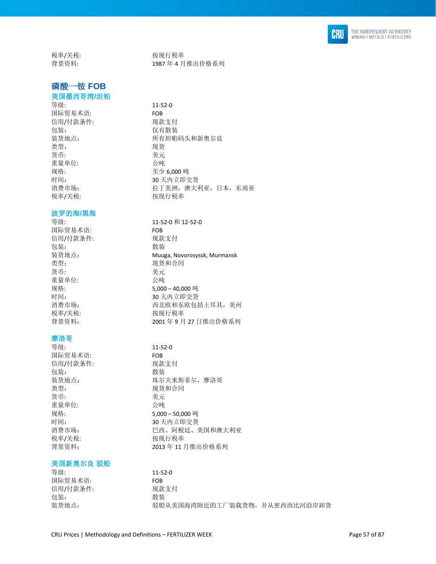

税率/关税: わけの 按现行税率

## 磷酸一铵 **FOB**

### 美国墨西哥湾**/**坦帕

等级: 11-52-0 国际贸易术语: FOB 信用/付款条件: 现款支付 包装: 仅有散装 类型: 现货 货币: カラン おおとこ きょうきょう 美元 重量单位: 公吨 规格: 至少 6,000 吨 税率/关税: わけの 按现行税率

#### 波罗的海**/**黑海

国际贸易术语: FOB 信用/付款条件: 现款支付 包装: **2000** 类型: 李家 的复数形式 医双货和合同 货币: 美元 重量单位: 公吨 税率/关税: わけの おおおところ 按现行税率

### 摩洛哥

等级: 11-52-0 国际贸易术语: FOB 信用/付款条件: 现款支付 包装: **2000** 类型: カランス アンチン アンスタンス 现货和合同 货币: 考元 重量单位: 公吨 税率/关税: 本部 被现行税率

#### 美国新奥尔良 驳船

等级: 11-52-0 国际贸易术语: FOB 信用/付款条件: 现款支付 包装: **2000** 

背景资料: 1987年4月推出价格系列

装货地点: 有一个 所有坦帕码头和新奥尔良 时间: 30 天内立即交货 消费市场: 有着 计不可能 计工夫洲,澳大利亚,日本,东南亚

等级: 11-52-0 和 12-52-0

装货地点: Muuga, Novorosyssk, Murmansk 规格: 5,000 – 40,000 吨 时间: 30 天内立即交货 消费市场: 有着 计可变 计二元 西北欧和东欧包括土耳其,美州 背景资料: 2001 年 9 月 27 日推出价格系列

装货地点: 珠尔夫来斯菲尔, 摩洛哥 规格: 5,000 – 50,000 吨 时间: 30 天内立即交货 消费市场: 有些 网络罗西亚 巴西、阿根廷、美国和澳大利亚 背景资料: 2013 年 11 月推出价格系列

装货地点: 驳船从美国海湾附近的工厂装载货物, 并从密西西比河沿岸卸货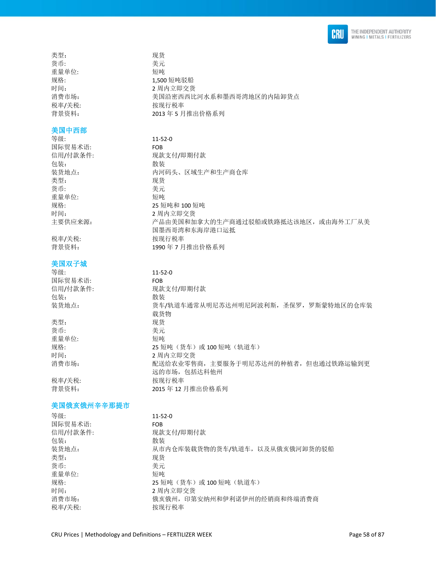

| 类型:    | 现货            |
|--------|---------------|
| 货币:    | 美元            |
| 重量单位:  | 短吨            |
| 规格:    | 1,500 短吨驳船    |
| 时间:    | 2 周内立即交货      |
| 消费市场:  | 美国沿密西西比河水系和   |
| 税率/关税: | 按现行税率         |
| 背景资料:  | 2013年5月推出价格系列 |

### 美国中西部

等级: 11-52-0 国际贸易术语: FOB 信用/付款条件: 现款支付/即期付款 包装: 有效的 化苯基苯胺 化苯基苯胺 化苯基苯胺 化苯基苯胺 医心包炎 化二乙基苯胺 医心包炎 装货地点: 内河码头、区域生产和生产商仓库 类型: 现货 货币: 考元 重量单位: 短吨 规格: 25 短吨和 100 短吨 时间: 2 周内立即交货 主要供应来源: アンチンのコンデ品由美国和加拿大的生产商通过驳船或铁路抵达该地区,或由海外工厂从美

税率/关税: 按现行税率

### 美国双子城

| 等级:      | $11 - 52 - 0$                                       |
|----------|-----------------------------------------------------|
| 国际贸易术语:  | <b>FOB</b>                                          |
| 信用/付款条件: | 现款支付/即期付款                                           |
| 包装:      | 散装                                                  |
| 装货地点:    | 货车/轨道车通常从明尼苏达州明尼阿波利斯,圣保罗,罗斯蒙特地区的仓库装<br>载货物          |
| 类型:      | 现货                                                  |
| 货币:      | 美元                                                  |
| 重量单位:    | 短吨                                                  |
| 规格:      | 25 短吨 (货车) 或 100 短吨 (轨道车)                           |
| 时间:      | 2 周内立即交货                                            |
| 消费市场:    | 配送给农业零售商, 主要服务于明尼苏达州的种植者, 但也通过铁路运输到更<br>远的市场,包括达科他州 |
| 税率/关税:   | 按现行税率                                               |
| 背景资料:    | 2015年12月推出价格系列                                      |
|          |                                                     |

国墨西哥湾和东海岸港口运抵

背景资料: 1990 年 7 月推出价格系列

美国沿密西西比河水系和墨西哥湾地区的内陆卸货点

### 美国俄亥俄州辛辛那提市

| 等级:      | $11 - 52 - 0$                  |
|----------|--------------------------------|
| 国际贸易术语:  | <b>FOB</b>                     |
| 信用/付款条件: | 现款支付/即期付款                      |
| 包装:      | 散装                             |
| 装货地点:    | 从市内仓库装载货物的货车/轨道车, 以及从俄亥俄河卸货的驳船 |
| 类型:      | 现货                             |
| 货币:      | 美元                             |
| 重量单位:    | 短吨                             |
| 规格:      | 25 短吨 (货车) 或 100 短吨 (轨道车)      |
| 时间:      | 2 周内立即交货                       |
| 消费市场:    | 俄亥俄州, 印第安纳州和伊利诺伊州的经销商和终端消费商    |
| 税率/关税:   | 按现行税率                          |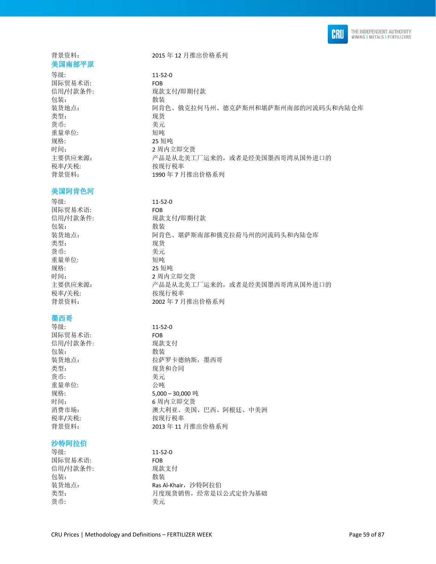

## 美国南部平原

等级: 11-52-0 国际贸易术语: FOB 包装: 散装 类型: 现货 货币: 考元 重量单位: 短吨 规格: 25 短吨 时间: 2 周内立即交货 税率/关税: わけの おおおところ 按现行税率

### 美国阿肯色河

等级: 11-52-0 国际贸易术语: FOB 包装: 散装 类型: 现货 货币: 考元 重量单位: 短吨 规格: 25 短吨 税率/关税: わけの おおし 按现行税率

### 墨西哥

等级: 11-52-0 国际贸易术语: FOB 信用/付款条件: 现款支付 包装: 散装 类型: カランス アンチン かんこう 现货和合同 货币: 考元 重量单位: 公吨 税率/关税: わけの おおおところ 按现行税率

### 沙特阿拉伯

等级: 11-52-0 国际贸易术语: FOB 信用/付款条件: 现款支付 包装: 有效的 化苯基苯胺 化苯基苯胺 化苯基苯胺 化苯基苯胺 医心包炎 化二乙基苯胺 医心包炎 货币: 考元

背景资料: 2015 年 12 月推出价格系列

信用/付款条件: 现款支付/即期付款 装货地点: カンド 阿肯色、俄克拉何马州、德克萨斯州和堪萨斯州南部的河流码头和内陆仓库 主要供应来源: アンデューランス 一品是从北美工厂运来的,或者是经美国墨西哥湾从国外进口的 背景资料: 1990年7月推出价格系列

信用/付款条件: 现款支付/即期付款 装货地点: 阿肯色、堪萨斯南部和俄克拉荷马州的河流码头和内陆仓库 时间: カランス カランド 2 周内立即交货 主要供应来源: カンデュランス 产品是从北美工厂运来的,或者是经美国墨西哥湾从国外进口的 背景资料: 2002年7月推出价格系列

装货地点: 拉萨罗卡德纳斯, 墨西哥 规格: 5,000-30,000 吨<br>时间: 5,000-30,000 吨 6 周内立即交货 消费市场: 有着 医不能的 医大利亚、美国、巴西、阿根廷、中美洲 背景资料: 2013 年 11 月推出价格系列

装货地点: **Ras Al-Khair, 沙特阿拉伯** 类型: カランチ 月度现货销售,经常是以公式定价为基础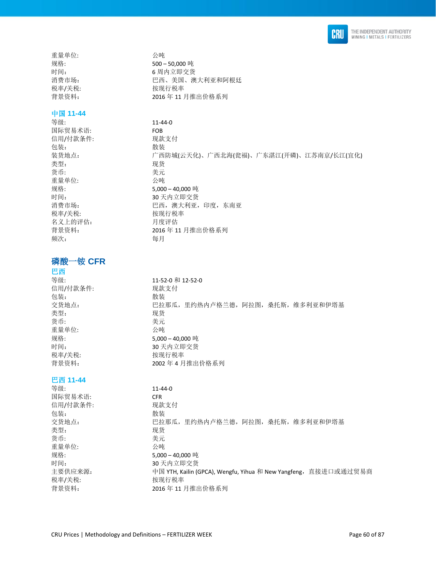

重量单位: 公吨

### 中国 **11-44**

等级: 11-44-0 国际贸易术语: FOB 信用/付款条件: 现款支付 包装: 散装 装货地点: 广西防城(云天化)、广西北海(瓮福)、广东湛江(开磷)、江苏南京/长江(宜化) 类型: 现货 货币: 考元 重量单位: 公吨 规格: 5,000 – 40,000 吨 时间: 30 天内立即交货 消费市场: 巴西,澳大利亚,印度,东南亚 税率/关税: わかん おおおし 按现行税率 名义上的评估: 月度评估 背景资料: 2016 年 11 月推出价格系列 频次: 每月

### 磷酸一铵 **CFR**

### 巴西

等级: 11-52-0 和 12-52-0 信用/付款条件: 现款支付 包装: **2000** 交货地点: 巴拉那瓜,里约热内卢格兰德,阿拉图,桑托斯,维多利亚和伊塔基 类型: 现货 货币: 考元 重量单位: 公吨 规格: 5.000 – 40.000 吨 时间: 30 天内立即交货 税率/关税: わけの おおおところ 按现行税率 背景资料: 2002 年 4 月推出价格系列

### 巴西 **11-44**

等级: 11-44-0 国际贸易术语: CFR 信用/付款条件: 现款支付 包装: 散装 交货地点: 巴拉那瓜,里约热内卢格兰德,阿拉图,桑托斯,维多利亚和伊塔基 类型: 现货 货币: 美元 重量单位: 公吨 规格: 5,000 – 40,000 吨 时间: 30 天内立即交货 主要供应来源: http://www.cailin.com/Andrian.com/Androin/Mengtu, Yihua 和 New Yangfeng,直接进口或通过贸易商 税率/关税: わけの おおおところ 按现行税率 背景资料: 2016 年 11 月推出价格系列

规格: 500 – 50,000 吨 时间: 6 周内立即交货 消费市场: 有些 网络 医二氏 医二次 医二次 澳大利亚和阿根廷 税率/关税: わけの おおおところ 按现行税率 背景资料: 2016 年 11 月推出价格系列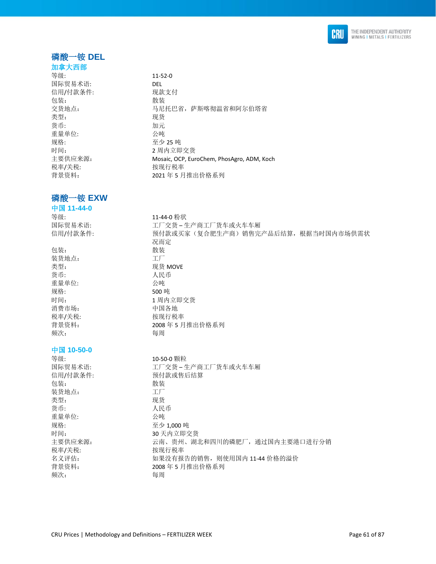

## 磷酸一铵 **DEL**

### 加拿大西部 等级: 11-52-0 国际贸易术语: DEL 信用/付款条件: 现款支付 包装: 散装 类型: 现货 货币: 加元 重量单位: 公吨

规格: カランプ 25 吨 税率/关税: わかん おおし 按现行税率

### 磷酸一铵 **EXW**

中国 **11-44-0** 

国际贸易术语: 工厂交货 – 生产商工厂货车或火车车厢 包装: 散装 装货地点: 工厂 类型: **2000** 货币: 有效的 医心包的 化民币 重量单位: 公吨 规格: 500 吨 时间: 1 周内立即交货 消费市场: 有些 有国各地 税率/关税: わけの おおおところ 按现行税率 背景资料: 2008 年 5 月推出价格系列 频次: 有一個 有一個 每周 中国 **10-50-0** 等级: 10-50-0 颗粒 信用/付款条件: わけの 预付款或售后结算 包装: 散装 装货地点: 工厂 类型: 李家 医心包的 医双货 货币: 为什么 人民币 重量单位: 公吨 规格: カランプ アンドライト 至少 1.000 吨 时间: 30 天内立即交货 税率/关税: わけの 按现行税率

# 交货地点: カランチ ション・コン 马尼托巴省, 萨斯喀彻温省和阿尔伯塔省 时间: 2 周内立即交货 主要供应来源: Mosaic, OCP, EuroChem, PhosAgro, ADM, Koch 背景资料: 2021 年 5 月推出价格系列

等级: 11-44-0 粉状 信用/付款条件: カンデンのサポンの実家(复合肥生产商)销售完产品后结算,根据当时国内市场供需状 况而定

国际贸易术语: アンチンス エ厂交货 – 生产商工厂货车或火车车厢 主要供应来源: 李明 《云南、贵州、湖北和四川的磷肥厂,通过国内主要港口进行分销 名义评估: カンファンの 如果没有报告的销售, 则使用国内 11-44 价格的溢价 背景资料: 2008 年 5 月推出价格系列 频次: 每周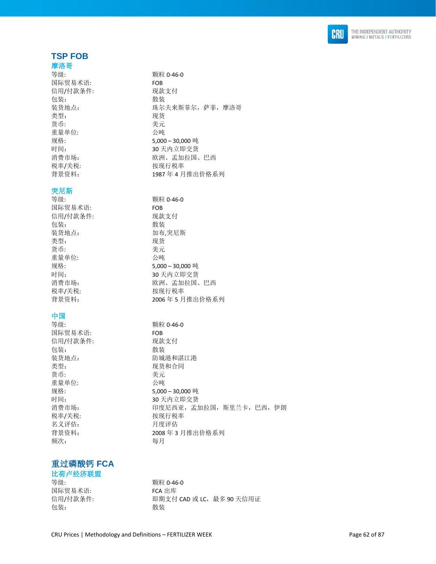

### **TSP FOB**

### 摩洛哥

等级: **booking** to the term of the way with  $\frac{1}{2}$  and  $\frac{1}{2}$  and  $\frac{1}{2}$  and  $\frac{1}{2}$  and  $\frac{1}{2}$  and  $\frac{1}{2}$  and  $\frac{1}{2}$  and  $\frac{1}{2}$  and  $\frac{1}{2}$  and  $\frac{1}{2}$  and  $\frac{1}{2}$  and  $\frac{1}{2}$  and  $\frac{1}{2}$  an 国际贸易术语: FOB 信用/付款条件: 现款支付 包装: **2000** 类型: 现货 货币: 李元 重量单位: 公吨 税率/关税: 按现行税率

### 突尼斯

**等级: カッシン のおおし かんじょう かんきょう エング 類粒 0-46-0** 国际贸易术语: FOB 信用/付款条件: 现款支付 包装: **2000** 装货地点: カンコンコンコントランス 加布,突尼斯 类型: 现货 货币: 美元 重量单位: 公吨 税率/关税: わけの おおおところ 按现行税率

### 中国

国际贸易术语: FOB 信用/付款条件: 现款支付 包装: 散装 类型: カランス アンチン かんこう 现货和合同 货币: 考元 重量单位: 公吨 税率/关税: 本部 被现行税率 名义评估: 月度评估 频次: 每月

装货地点: 珠尔夫来斯菲尔, 萨菲, 摩洛哥 规格: 5,000 – 30,000 吨 时间: 30 天内立即交货 消费市场: 欧洲、孟加拉国、巴西 背景资料: 1987 年 4 月推出价格系列

规格: 5,000 – 30,000 吨 时间: 30 天内立即交货 消费市场: 欧洲、孟加拉国、巴西 背景资料: 2006 年 5 月推出价格系列

等级: 颗粒 0-46-0 装货地点: 防城港和湛江港 规格: 5,000 – 30,000 吨 时间: 30 天内立即交货 消费市场: 回答 的复尼西亚,孟加拉国,斯里兰卡,巴西,伊朗 背景资料: 2008 年 3 月推出价格系列

### 重过磷酸钙 **FCA**

### 比荷卢经济联盟

等级: **booking** to the top of the top with the top with the top with the top with the top with the top with the top with the top with the top with the top with the top with the top with the top with the top with the top wit 国际贸易术语: FCA 出库 包装: 散装

信用/付款条件: <br>
即期支付 CAD 或 LC,最多 90 天信用证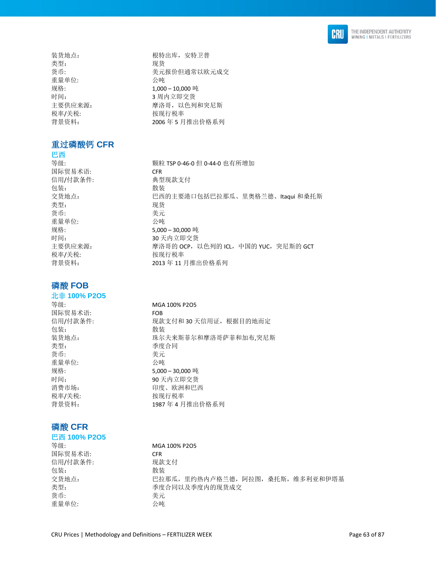

类型: 李家 医无关节 医双货 重量单位: 公吨 税率/关税: わけの おおおところ 按现行税率

### 重过磷酸钙 **CFR**

巴西

国际贸易术语: CFR 信用/付款条件: 典型现款支付 包装: 有效的 化苯基苯胺 化苯基苯胺 化苯基苯胺 化苯基苯胺 医心包炎 化二乙基苯胺 医心包炎 类型: 现货 货币: カラン おおとこ きょうきょう 美元 重量单位: 公吨 税率/关税: わけの 按现行税率

### 磷酸 **FOB**

北非 **100% P2O5** 

国际贸易术语: FOB 包装: 散装 类型: 季度合同 货币: カランチン おおとこ 美元 重量单位: 公吨 税率/关税: わかん おおおし 按现行税率

### 磷酸 **CFR**

### 巴西 **100% P2O5**

国际贸易术语: CFR 信用/付款条件: 现款支付 包装: **2000** 货币: カランチン きんじょう 美元 重量单位: 公吨

装货地点: 根特出库, 安特卫普 货币: カランチ おおところ 美元报价但通常以欧元成交 规格: 1,000 – 10,000 吨 时间: 3 周内立即交货 主要供应来源: 李 李 李 李 摩洛哥, 以色列和突尼斯 背景资料: 2006年5月推出价格系列

等级: 颗粒 TSP 0-46-0 但 0-44-0 也有所增加 交货地点: 巴西的主要港口包括巴拉那瓜、里奥格兰德、Itaqui 和桑托斯 规格: 5,000 – 30,000 吨 时间: 30 天内立即交货 主要供应来源: <br> **ECPL PERTA PROTED PERTA PROTED PROTES PROT** PERTA PROTECT PERTA PROTECT PERTA PROTECT 背景资料: 2013 年 11 月推出价格系列

等级: The MGA 100% P2O5 信用/付款条件: 现款支付和 30 天信用证, 根据目的地而定 装货地点: カインチンス 球尔夫来斯菲尔和摩洛哥萨菲和加布,突尼斯 规格: 5,000 – 30,000 吨 时间: 90 天内立即交货 消费市场: 印度、欧洲和巴西 背景资料: 1987 年 4 月推出价格系列

等级: MGA 100% P2O5 交货地点: 巴拉那瓜,里约热内卢格兰德,阿拉图,桑托斯,维多利亚和伊塔基 类型: 李度合同以及季度内的现货成交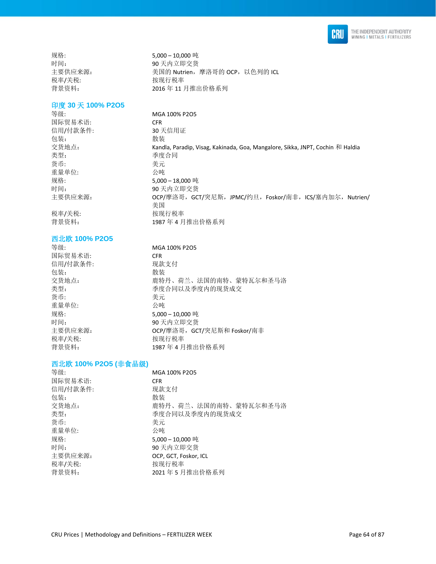

税率/关税: わかん おおおし 按现行税率

规格: 5,000 – 10,000 吨 时间: 190 天内立即交货<br>主要供应来源: 1999 年 美国的 Nutrien, 美国的 Nutrien, 摩洛哥的 OCP, 以色列的 ICL 背景资料: 2016 年 11 月推出价格系列

### 印度 **30** 天 **100% P2O5**

国际贸易术语: CFR 信用/付款条件: 30 天信用证 包装: 散装 类型: 李度合同 货币: 美元 重量单位:

税率/关税: わかん おおおし 按现行税率 背景资料: 1987 年 4 月推出价格系列

### 西北欧 **100% P2O5**

等级: **MGA 100% P2O5** 国际贸易术语: CFR 信用/付款条件: 现款支付 包装: **2000** 货币: 考元 重量单位: 公吨 税率/关税: わけの おおおところ 按现行税率

等级: **MGA 100% P2O5** 交货地点: Kandla, Paradip, Visag, Kakinada, Goa, Mangalore, Sikka, JNPT, Cochin 和 Haldia 规格: 5,000 – 18,000 吨 时间: 90 天内立即交货 主要供应来源: OCP/摩洛哥,GCT/突尼斯,JPMC/约旦,Foskor/南非,ICS/塞内加尔,Nutrien/ 美国

交货地点: カランス おくらん 鹿特丹、荷兰、法国的南特、蒙特瓦尔和圣马洛 类型: 李度合同以及季度内的现货成交 规格: 5,000 – 10,000 吨 时间: 90 天内立即交货 主要供应来源: OCP/摩洛哥,GCT/突尼斯和 Foskor/南非 背景资料: 1987 年 4 月推出价格系列

### 西北欧 **100% P2O5 (**非食品级**)**

| 等级:      | MGA 100% P2O5         |
|----------|-----------------------|
| 国际贸易术语:  | <b>CFR</b>            |
| 信用/付款条件: | 现款支付                  |
| 包装:      | 散装                    |
| 交货地点:    | 鹿特丹、荷兰、法国的南特、蒙特瓦尔和圣马洛 |
| 类型:      | 季度合同以及季度内的现货成交        |
| 货币:      | 美元                    |
| 重量单位:    | 公吨                    |
| 规格:      | 5,000-10,000吨         |
| 时间:      | 90 天内立即交货             |
| 主要供应来源:  | OCP. GCT. Foskor. ICL |
| 税率/关税:   | 按现行税率                 |
| 背景资料:    | 2021年5月推出价格系列         |
|          |                       |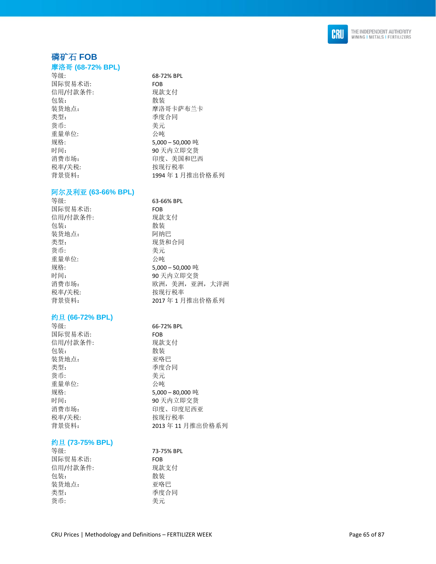

### 磷矿 石 **FOB**

#### 摩洛哥 **(68 -72% BPL)**

68-72% BPL

摩洛哥卡萨布兰卡

9 0 天内立即交货 印度、印度尼西亚

3年11月推出价格系列

印度、美国和巴西

4 年 1 月推出价格系列

| 等级:      | 68-72% BPL       |
|----------|------------------|
| 国际贸易术语:  | FOB              |
| 信用/付款条件: | 现款支付             |
| 包装:      | 散装               |
| 装货地点:    | 摩洛哥卡萨布兰          |
| 类型:      | 季度合同             |
| 货币:      | 美元               |
| 重量单位:    | 公庫               |
| 规格:      | 5,000 - 50,000 吨 |
| 时间:      | 90 天内立即交货        |
| 消费市场:    | 印度、美国和巴i         |
| 税率/关税:   | 按现行税率            |
| 背景资料:    | 1994年1月推出        |

### 阿尔及利亚 **(63 -66% BPL)**

| 等级:      | 63-66% BPL      |
|----------|-----------------|
| 国际贸易术语:  | <b>FOB</b>      |
| 信用/付款条件: | 现款支付            |
| 包装:      | 散装              |
| 装货地点:    | 阿纳巴             |
| 类型:      | 现货和合同           |
| 货币:      | 美元              |
| 重量单位:    | 公庫              |
| 规格:      | 5,000 - 50,000吨 |
| 时间:      | 90 天内立即交货       |
| 消费市场:    | 欧洲,美洲,亚洲,大洋洲    |
| 税率/关税:   | 按现行税率           |
| 背景资料:    | 2017年1月推出价格系列   |

### 约旦 **(66 -72% BPL)**

| 等级:      | 66-72% BPL       |
|----------|------------------|
| 国际贸易术语:  | FOB              |
| 信用/付款条件: | 现款支付             |
| 包装:      | 散装               |
| 装货地点:    | 亚咯巴              |
| 类型:      | 季度合同             |
| 货币:      | 美元               |
| 重量单位:    | 公吨               |
| 规格:      | 5,000 - 80,000 吨 |
| 时间:      | 90 天内立即交货        |
| 消费市场:    | 印度、印度尼西』         |
| 税率/关税:   | 按现行税率            |
| 背景资料:    | 2013年11月推        |

### 约旦 **(73 -75% BPL)**

| 等级:      | 73-75% BPL |
|----------|------------|
| 国际贸易术语:  | FOB        |
| 信用/付款条件: | 现款支付       |
| 包装:      | 散装         |
| 装货地点:    | 亚咯巴        |
| 类型:      | 季度合同       |
| 货币:      | 美元         |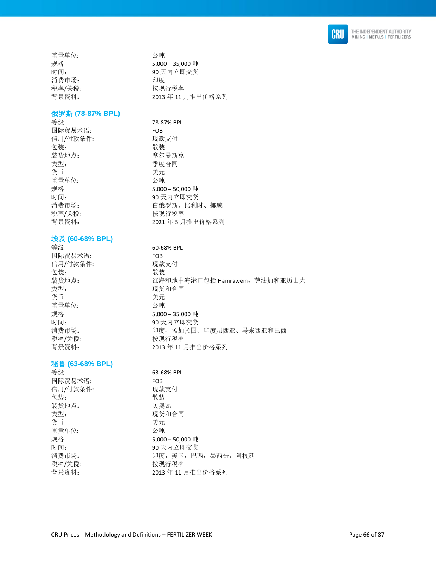

重量单位: 公吨 消费市场: 税率/关税: わけの おおおところ 按现行税率

规格: 5,000 – 35,000 吨 时间: 90 天内立即交货<br>消费市场: 90 天内立即交货 背景资料: 2013 年 11 月推出价格系列

### 俄罗斯 **(78-87% BPL)**

等级: 78-87% BPL 国际贸易术语: FOB 信用/付款条件: 现款支付 包装: 散装 装货地点: 李武 医尔曼斯克 类型: 李度合同 货币: 考元 重量单位: 公吨 规格: 5,000 – 50,000 吨 时间: 90 天内立即交货 消费市场: 有着的 有俄罗斯、比利时、挪威 税率/关税: わかん おおし 按现行税率 背景资料: 2021 年 5 月推出价格系列

### 埃及 **(60-68% BPL)**

等级: 60-68% BPL 国际贸易术语: FOB 信用/付款条件: 现款支付 包装: 散装 装货地点: 红海和地中海港口包括 Hamrawein, 萨法加和亚历山大 类型: カランチン アンチン 现货和合同 货币: 美元 重量单位: 规格: 5,000 – 35,000 吨 时间: 90 天内立即交货 消费市场: 回答 和度、孟加拉国、印度尼西亚、马来西亚和巴西 税率/关税: わけの おおおところ 按现行税率 背景资料: 2013 年 11 月推出价格系列

### 秘鲁 **(63-68% BPL)**

| 等级:      | 63-68% BPL           |
|----------|----------------------|
| 国际贸易术语:  | <b>FOB</b>           |
| 信用/付款条件: | 现款支付                 |
| 包装:      | 散装                   |
| 装货地点:    | 贝奥瓦                  |
| 类型:      | 现货和合同                |
| 货币:      | 美元                   |
| 重量单位:    | 公庫                   |
| 规格:      | 5,000 - 50,000 吨     |
| 时间:      | 90 天内立即交货            |
| 消费市场:    | 印度, 美国, 巴西, 墨西哥, 阿根廷 |
| 税率/关税:   | 按现行税率                |
| 背景资料:    | 2013年11月推出价格系列       |
|          |                      |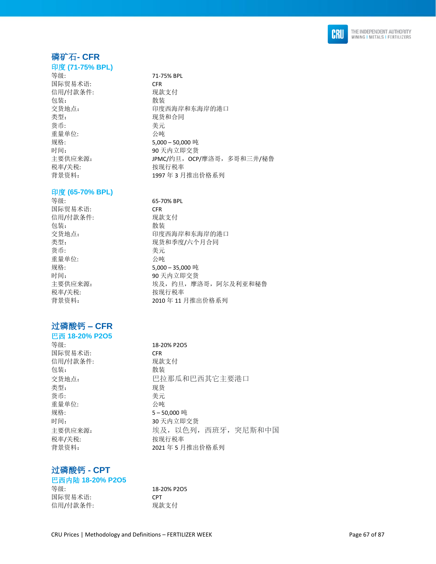

### 磷矿石**- CFR**

印度 **(71-75% BPL)**  等级: 71-75% BPL 国际贸易术语: CFR 信用/付款条件: 现款支付<br>包装: 散装 包装: 散装 类型: カランチン アンチン 现货和合同 货币: 考元 重量单位: 公吨 规格: 5,000 – 50,000 吨 时间: 90 天内立即交货 税率/关税: わかん おおし 按现行税率

### 印度 **(65-70% BPL)**

等级: 65-70% BPL 国际贸易术语: CFR 信用/付款条件: 现款支付 包装: 散装 货币: 考元 重量单位: 公吨 税率/关税: わけの おおおところ 按现行税率

### 过磷酸钙 **– CFR**

巴西 **18-20% P2O5**  等级: 18-20% P2O5 国际贸易术语: CFR 信用/付款条件: 现款支付 包装: **也** 在 我装 类型: 现货 货币: 考元 重量单位: 公吨 规格: 5-50,000 吨 税率/关税: わけの 按现行税率

交货地点: 可以 可以要要的事件和东海岸的港口 主要供应来源: **JPMC/约旦, OCP/摩洛哥, 多哥和三井/秘鲁** 背景资料: 1997 年 3 月推出价格系列

交货地点: カランチン 印度西海岸和东海岸的港口 类型: カランス アンチン アンス 現货和季度/六个月合同 规格: 5,000 – 35,000 吨 时间: 90 天内立即交货 主要供应来源: 李天子 李 埃及,约旦,摩洛哥,阿尔及利亚和秘鲁 背景资料: 2010 年 11 月推出价格系列

交货地点: 巴拉那瓜和巴西其它主要港口 时间: 30 天内立即交货 主要供应来源: 埃及,以色列,西班牙,突尼斯和中国 背景资料: 2021 年 5 月推出价格系列

### 过磷酸钙 **- CPT**

| 巴西内陆 18-20% P2O5 |             |
|------------------|-------------|
| 等级:              | 18-20% P2O5 |
| 国际贸易术语:          | <b>CPT</b>  |
| 信用/付款条件:         | 现款支付        |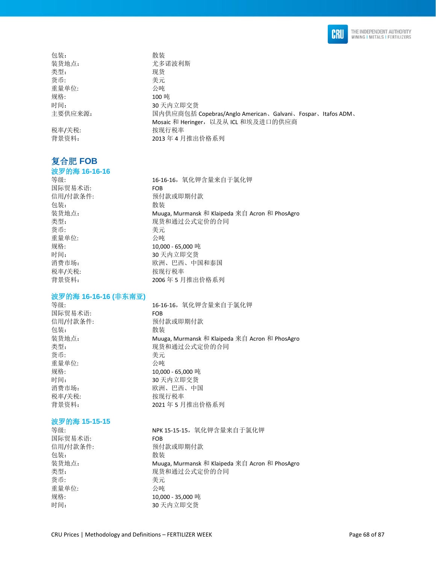

| 包装:     | 散装                                                         |
|---------|------------------------------------------------------------|
| 装货地点:   | 尤多诺波利斯                                                     |
| 类型:     | 现货                                                         |
| 货币:     | 美元                                                         |
| 重量单位:   | 公吨                                                         |
| 规格:     | 100吨                                                       |
| 时间:     | 30 天内立即交货                                                  |
| 主要供应来源: | 国内供应商包括 Copebras/Anglo American、Galvani、Fospar、Itafos ADM、 |
|         | Mosaic 和 Heringer, 以及从 ICL 和埃及进口的供应商                       |
| 税率/关税:  | 按现行税率                                                      |
| 背景资料:   | 2013年4月推出价格系列                                              |
|         |                                                            |

### 复合肥 **FOB**

#### 波罗的海 **16-16-16**

等级: 16-16-16,氧化钾含量来自于氯化钾 国际贸易术语: FOB 信用/付款条件: 预付款或即期付款 包装: 散装 装货地点: Muuga, Murmansk 和 Klaipeda 来自 Acron 和 PhosAgro 类型: 现货和通过公式定价的合同 货币: きょうちょう きょうしょう 美元 重量单位: 公吨 规格: 10,000 - 65,000 吨 时间: 30 天内立即交货 消费市场: 财政 网络罗斯顿 医西、中国和泰国 税率/关税: わけの おおおところ 按现行税率 背景资料: 2006 年 5 月推出价格系列

### 波罗的海 **16-16-16 (**非东南亚**)**

国际贸易术语: FOB 包装: 有效的 化苯基苯胺 化苯基苯胺 化苯基苯胺 化苯基苯胺 医心包炎 化二乙基苯胺 医心包炎 货币: 美元 重量单位: 公吨 税率/关税: わけの おおおし 按现行税率

等级: 16-16-16,氧化钾含量来自于氯化钾 预付款或即期付款 装货地点: Muuga, Murmansk 和 Klaipeda 来自 Acron 和 PhosAgro 类型: 现货和通过公式定价的合同 规格: 10,000 - 65,000 吨 时间: 30 天内立即交货 消费市场: 财政 网络 医心包 医心包 医西、中国 背景资料: 2021 年 5 月推出价格系列

#### 波罗的海 **15-15-15**

国际贸易术语: FOB 包装: **2000** 货币: 考元 重量单位: 公吨 规格: 10,000 - 35,000 吨

等级: NPK 15-15-15,氧化钾含量来自于氯化钾 信用/付款条件: 预付款或即期付款 装货地点: Muuga, Murmansk 和 Klaipeda 来自 Acron 和 PhosAgro 类型: カランス アンチン 現货和通过公式定价的合同 时间: 30 天内立即交货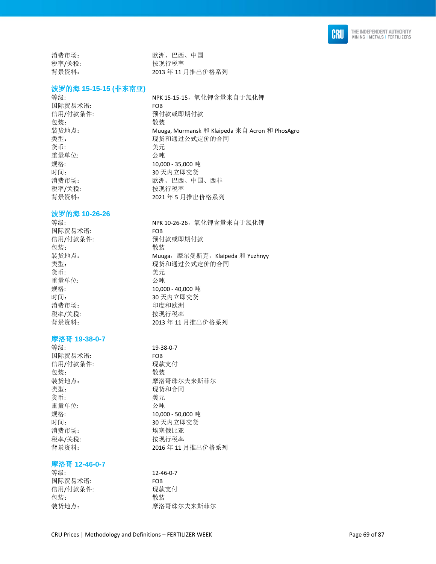

消费市场: 财政 网络 医二乙酸 医二乙酸 医西蒙尔氏 税率/关税: わかん おおし 按现行税率 背景资料: 2013 年 11 月推出价格系列

类型: 现货和通过公式定价的合同

### 波罗的海 **15-15-15 (**非东南亚**)**

等级: 35-25-15-15, 氧化钾含量来自于氯化钾 国际贸易术语: FOB 信用/付款条件: 预付款或即期付款 包装: 散装 装货地点: Muuga, Murmansk 和 Klaipeda 来自 Acron 和 PhosAgro 类型: 现货和通过公式定价的合同 货币: 李元 重量单位: 公吨 规格: 10,000 - 35,000 吨 时间: 30 天内立即交货 消费市场: 财政洲、巴西、中国、西非 税率/关税: わけの おおおし 按现行税率 背景资料: 2021年5月推出价格系列

#### 波罗的海 **10-26-26**

等级: NPK 10-26-26,氧化钾含量来自于氯化钾 国际贸易术语: FOB 信用/付款条件: 预付款或即期付款 包装: **2000** 装货地点: <br>类型: Muuga, 摩尔曼斯克, Klaipeda 和 Yuzhnyy<br>类型: 现货和通过公式定价的合同 货币: 美元 重量单位: 规格: 10,000 - 40,000 吨 时间: 30 天内立即交货 消费市场: 印度和欧洲 税率/关税: わけの おおおし 按现行税率 背景资料: 2013 年 11 月推出价格系列

### 摩洛哥 **19-38-0-7**

等级: 19-38-0-7 国际贸易术语: FOB 信用/付款条件: 现款支付 包装: 散装 装货地点: 摩洛哥珠尔夫来斯菲尔 类型: 李家 的复数形式 医双货和合同 货币: 考元 重量单位: 公吨 规格: 10,000 - 50,000 吨 时间: 30 天内立即交货 消费市场: 埃塞俄比亚 税率/关税: わけの おおおところ 按现行税率 背景资料: 2016 年 11 月推出价格系列

#### 摩洛哥 **12-46-0-7**

等级: 12-46-0-7 国际贸易术语: FOB 信用/付款条件: 现款支付 包装: 散装 装货地点: 摩洛哥珠尔夫来斯菲尔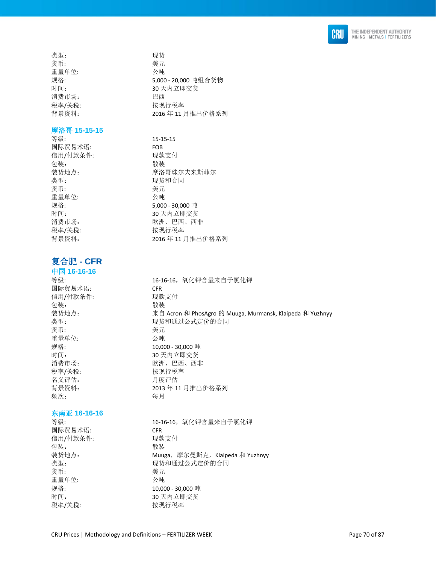

类型: 现货 货币: 有效的 医心脏 医无效的 医无效的 医无效的 医无效的 医无效的 重量单位: 公吨 消费市场: 巴西

### 摩洛哥 **15-15-15**

等级: 15-15-15 国际贸易术语: FOB 信用/付款条件: 现款支付 包装: 散装 类型: 有效的 医心脏 医双货和合同 货币: 考元 重量单位: 公吨 税率/关税: わけの おおおところ 按现行税率

### 复合肥 **- CFR**

### 中国 **16-16-16**

国际贸易术语: CFR 信用/付款条件: 现款支付 包装: **2000** 货币: 美元 重量单位: 公吨 税率/关税: わけの おおおところ 按现行税率 名义评估: 月度评估 频次: 每月

### 东南亚 **16-16-16**

国际贸易术语: CFR 信用/付款条件: 现款支付 包装: 有效的 化苯基苯胺 化苯基苯胺 化苯基苯胺 化苯基苯胺 医心包炎 化二乙基苯胺 医心包炎 货币: 我元 重量单位: 公吨

规格: 5,000 - 20,000 吨组合货物 时间: 30 天内立即交货 税率/关税: 本部 被现行税率 背景资料: 2016 年 11 月推出价格系列

装货地点: 摩洛哥珠尔夫来斯菲尔 规格: 5,000 - 30,000 吨 时间: 30 天内立即交货 消费市场: 财政 网络 医心包 欧洲、巴西、西非 背景资料: 2016 年 11 月推出价格系列

等级: 16-16-16,氧化钾含量来自于氯化钾 装货地点: 来自 Acron 和 PhosAgro 的 Muuga, Murmansk, Klaipeda 和 Yuzhnyy 类型: カランチ アンチ 现货和通过公式定价的合同 规格: 10,000 - 30,000 吨 时间: 30 天内立即交货 消费市场: 财政 网络 医心包 欧洲、巴西、西非 背景资料: 2013 年 11 月推出价格系列

等级: 16-16-16,氧化钾含量来自于氯化钾 装货地点: which are the Muuga, 摩尔曼斯克, Klaipeda 和 Yuzhnyy 类型: 现货和通过公式定价的合同 规格: 10,000 - 30,000 吨 时间: 30 天内立即交货 税率/关税: わけの おおおところ 按现行税率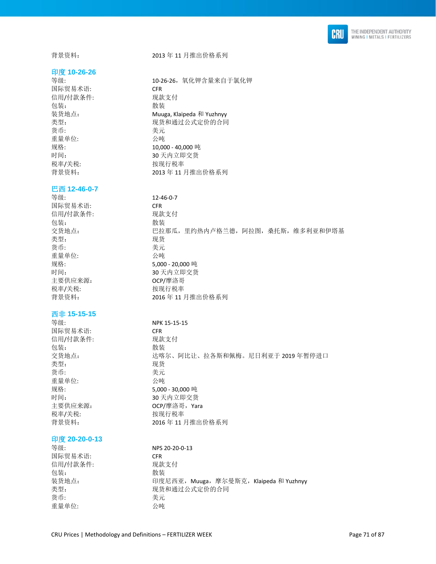

#### 印度 **10-26-26**

国际贸易术语: CFR 信用/付款条件: 现款支付 包装: 散装 货币: 考元 重量单位: 公吨 税率/关税: 本部 被现行税率

#### 巴西 **12-46-0-7**

等级: 12-46-0-7 国际贸易术语: CFR 信用/付款条件: 现款支付 包装: 散装 类型: 现货 货币: カランチン きんじょう 美元 重量单位: 公吨 规格: 5,000 - 20,000 吨 时间: 30 天内立即交货 主要供应来源: CCP/摩洛哥 税率/关税: わけの おおおところ 按现行税率

#### 西非 **15-15-15**

国际贸易术语: CFR 信用/付款条件: 现款支付 包装: 散装 类型: 货币: 考元 重量单位: 公吨 税率/关税: わけの おおおし 按现行税率

#### 印度 **20-20-0-13**

等级: NPS 20-20-0-13 国际贸易术语: CFR 信用/付款条件: 现款支付 包装: **2000** 装货地点: <br>
中度尼西亚, Muuga, 摩尔曼斯克, Klaipeda 和 Yuzhnyy 类型: カランチ アンチ 现货和通过公式定价的合同 货币: 考元 重量单位: 公吨

等级: 10-26-26,氧化钾含量来自于氯化钾 装货地点: Muuga, Klaipeda 和 Yuzhnyy 类型: 现货和通过公式定价的合同 规格: 10,000 - 40,000 吨 时间: 30 天内立即交货 背景资料: 2013 年 11 月推出价格系列

交货地点: 巴拉那瓜,里约热内卢格兰德,阿拉图,桑托斯,维多利亚和伊塔基 背景资料: 2016 年 11 月推出价格系列

等级: NPK 15-15-15 交货地点: 达喀尔、阿比让、拉各斯和佩梅。尼日利亚于 2019 年暂停进口<br>类型: 现货 规格: 5,000 - 30,000 吨 30 天内立即交货 主要供应来源: **OCP/摩洛哥, Yara** 背景资料: 2016 年 11 月推出价格系列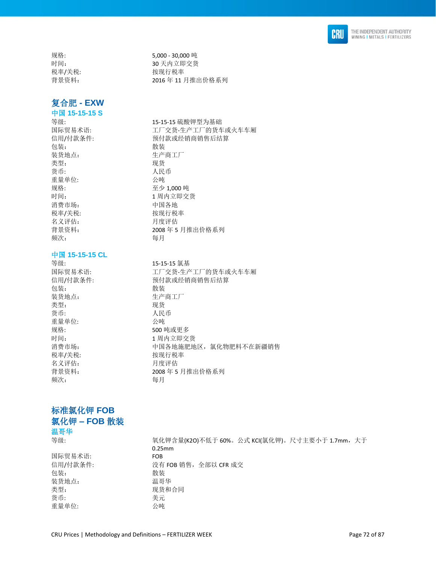

## 复合肥 **- EXW**

中国 **15-15-15 S** 

包装: 散装 装货地点: 生产商工厂 类型: 现货 货币: 为什么 人民币 重量单位: 公吨 规格: 至少 1,000 吨 消费市场: 中国各地 税率/关税: わけの おおおところ 按现行税率 名义评估: 月度评估 频次: 每月

### 中国 **15-15-15 CL**

等级: 15-15-15 氯基 包装: 散装 装货地点: 生产商工厂 类型: 现货 货币: 为什么 人民币 重量单位: 公吨 规格: 500 吨或更多 时间: 1 周内立即交货 税率/关税: わけの おおおところ 按现行税率 名义评估: 月度评估 频次: 每月

规格: 5,000 - 30,000 吨 时间: 30 天内立即交货 税率/关税: 本部 被现行税率 背景资料: 2016 年 11 月推出价格系列

等级: 15-15-15 硫酸钾型为基础 国际贸易术语: 工厂交货-生产工厂的货车或火车车厢 信用/付款条件: 有效的 预付款或经销商销售后结算 时间: 1 周内立即交货 背景资料: 2008 年 5 月推出价格系列

国际贸易术语: 工厂交货-生产工厂的货车或火车车厢 信用/付款条件: 有效 计算机 计数或经销商销售后结算 消费市场: 中国各地施肥地区,氯化物肥料不在新疆销售 背景资料: 2008 年 5 月推出价格系列

### 标准氯化钾 **FOB**  氯化钾 **– FOB** 散装 温哥华

国际贸易术语: FOB 包装: 散装 装货地点: 温哥华 类型: カランス アンチン こうしょう 现货和合同 货币: カラン おおとこ きょうきょう 美元 重量单位: 公吨

等级: カランス インストン 氧化钾含量(K2O)不低于 60%。公式 KCI(氯化钾)。尺寸主要小于 1.7mm, 大于 0.25mm 信用/付款条件: 没有 FOB 销售,全部以 CFR 成交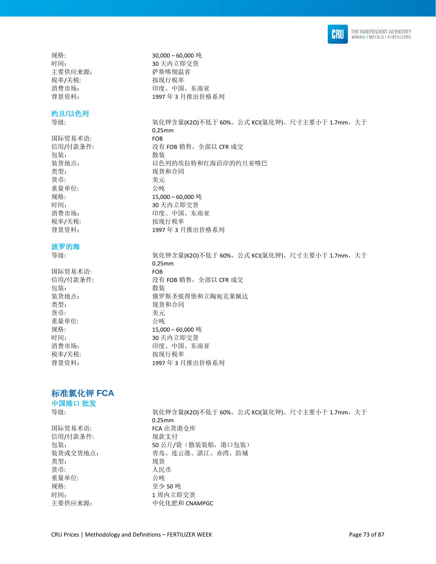

主要供应来源: 李 萨斯喀彻温省 税率/关税: わけの おおおところ 按现行税率

### 约旦**/**以色列

等级: カランス インストン 氧化钾含量(K2O)不低于 60%。公式 KCI(氯化钾)。尺寸主要小于 1.7mm,大于

国际贸易术语: FOB 信用/付款条件: 没有 FOB 销售,全部以 CFR 成交 包装: 散装 装货地点: 以色列的埃拉特和红海沿岸的约旦亚喀巴 类型: カランス アンチン こうしょう 现货和合同 货币: カランチン きんじょう 美元 重量单位: 公吨 规格: 15,000 – 60,000 吨 时间: 30 天内立即交货 消费市场: 有效的 有效的 印度、中国、东南亚 税率/关税: わかん おおし 按现行税率 背景资料: 1997 年 3 月推出价格系列

### 波罗的海

等级: カランス インストン 氧化钾含量(K2O)不低于 60%。公式 KCI(氯化钾)。尺寸主要小于 1.7mm,大于

国际贸易术语: FOB 信用/付款条件: 没有 FOB 销售,全部以 CFR 成交 包装: 散装 装货地点: 有效的 医罗斯圣彼得堡和立陶宛克莱佩达 类型: 李家 的复数形式 医双货和合同 货币: 美元 重量单位: 公吨 规格: 15,000 – 60,000 吨 时间: 30 天内立即交货 消费市场: 有效的 有效的 印度、中国、东南亚 税率/关税: わけの おおおところ 按现行税率 背景资料: 1997 年 3 月推出价格系列

### 标准氯化钾 **FCA**

中国港口 批发

等级: カランス インストン 氧化钾含量(K2O)不低于 60%。公式 KCI(氯化钾)。尺寸主要小于 1.7mm,大于 0.25mm 国际贸易术语: FCA 出货港仓库 信用/付款条件: 现款支付 包装: 50 公斤/袋(散装装船,港口包装) 装货或交货地点: 有一 青岛、连云港、湛江、赤湾、防城 类型: 现货 货币: 有效的 医心包的 人民币 重量单位: 公吨 规格: カランス アンドライブ 至少 50 吨 时间: カランス オオナ 1 周内立即交货 主要供应来源: 中化化肥和 CNAMPGC

规格: 30,000 – 60,000 吨 时间: 30 天内立即交货 消费市场: 有效的 计算法 计算法 计图、东南亚 背景资料: 1997 年 3 月推出价格系列

0.25mm

0.25mm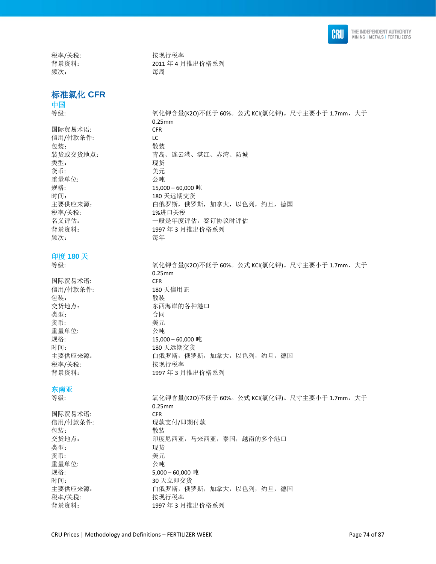

税率/关税: わけの 按现行税率 背景资料: 2011年4月推出价格系列 频次: 每周

# 标准氯化 **CFR**

0.25mm

0.25mm

### 中国 等级: カランス インストン 氧化钾含量(K2O)不低于 60%。公式 KCI(氯化钾)。尺寸主要小于 1.7mm, 大于

国际贸易术语: CFR 信用/付款条件: LC 包装: 散装 装货或交货地点: 有一 青岛、连云港、湛江、赤湾、防城 类型: 现货 货币: 有效的 医心包的 医无线虫属 医心室 医心室 医心室 重量单位: 公吨 规格: 15,000 – 60,000 吨 时间: 180 天远期交货 主要供应来源: カンコンコンの自俄罗斯,俄罗斯,加拿大,以色列,约旦,德国 税率/关税: 1%进口关税 名义评估: 有效 一般是年度评估, 签订协议时评估 背景资料: 1997 年 3 月推出价格系列 **频次: 有效的**<br>有效的

### 印度 **180** 天

国际贸易术语: CFR 信用/付款条件: 180 天信用证 包装: **2000** 交货地点: 不可以在于一个东西海岸的各种港口 类型: 本部 本部 合同 货币: 考元 重量单位: 公吨 规格: 15,000 – 60,000 吨 时间: 180 天远期交货 主要供应来源: カランス 自俄罗斯,俄罗斯,加拿大,以色列,约旦,德国 税率/关税: わけの おおおところ 按现行税率 背景资料: 1997 年 3 月推出价格系列

### 东南亚

等级: カランス インストン 氧化钾含量(K2O)不低于 60%。公式 KCI(氯化钾)。尺寸主要小于 1.7mm,大于 0.25mm 国际贸易术语: CFR 信用/付款条件: 现款支付/即期付款 包装: 散装 交货地点: 可以 中度尼西亚, 马来西亚, 泰国, 越南的多个港口 类型: 李武 2008年11月11日 11月15日 11月15日 11月15日 11月15日 11月15日 11月15日 11月15日 11月15日 11月15日 11月15日 11月15日 11月15日 11月15日 11月15日 11月15日 11月15日 11月15日 11月15日 11月15日 11月15日 11月15日 11月15日 11月15日 11月15日 11月15日 11月15日 11月15日 11月15日 11月15日 货币: 考元 重量单位: 公吨 规格: 5,000 – 60,000 吨 时间: 30 天立即交货 主要供应来源: カランス 自俄罗斯,俄罗斯,加拿大,以色列,约旦,德国 税率/关税: 本部 被现行税率 背景资料: 1997 年 3 月推出价格系列

等级: カランス インストン 氧化钾含量(K2O)不低于 60%。公式 KCI(氯化钾)。尺寸主要小于 1.7mm,大于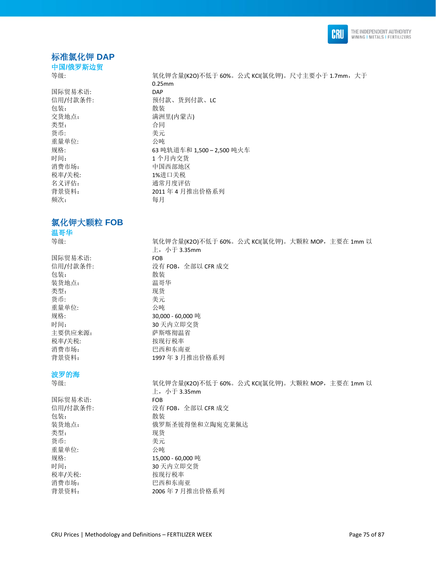

# 标准氯化钾 **DAP**

0.25mm

中国**/**俄罗斯边贸

等级: カランス インストン 氧化钾含量(K2O)不低于 60%。公式 KCI(氯化钾)。尺寸主要小于 1.7mm,大于

国际贸易术语: DAP 包装: 散装 交货地点: カランス おおところ 満洲里(内蒙古) 类型: 本部 本部 合同 货币: 美元 重量单位:<br>规格: 时间: 1 个月内交货 消费市场: 中国西部地区 税率/关税: 1%进口关税 名义评估: 通常月度评估 频次: 每月

# 氯化钾大颗粒 **FOB**  温哥华

等级: カランス インストン エントン エム エム エム インド 60%。公式 KCI(氯化钾)。大颗粒 MOP, 主要在 1mm 以

# 国际贸易术语: FOB 包装: 散装 装货地点: 温哥华 类型: 现货 货币: 考元 重量单位: 公吨 时间: 30 天内立即交货 主要供应来源: 李 萨斯喀彻温省 税率/关税: わけの 按现行税率 消费市场: 财本 网络罗斯特尔 巴西和东南亚

波罗的海

| 123 11 14 |                                                 |
|-----------|-------------------------------------------------|
| 等级:       | 氧化钾含量(K2O)不低于 60%。公式 KCl(氯化钾)。大颗粒 MOP,主要在 1mm 以 |
|           | 上,小于 3.35mm                                     |
| 国际贸易术语:   | <b>FOB</b>                                      |
| 信用/付款条件:  | 没有 FOB,全部以 CFR 成交                               |
| 包装:       | 散装                                              |
| 装货地点:     | 俄罗斯圣彼得堡和立陶宛克莱佩达                                 |
| 类型:       | 现货                                              |
| 货币:       | 美元                                              |
| 重量单位:     | 公吨                                              |
| 规格:       | 15,000 - 60,000 吨                               |
| 时间:       | 30 天内立即交货                                       |
| 税率/关税:    | 按现行税率                                           |
| 消费市场:     | 巴西和东南亚                                          |
| 背景资料:     | 2006年7月推出价格系列                                   |
|           |                                                 |

信用/付款条件: 预付款、货到付款、LC 规格: 63 吨轨道车和 1,500 – 2,500 吨火车 背景资料: 2011 年 4 月推出价格系列

 $\pm$ , 小于 3.35mm 没有 FOB, 全部以 CFR 成交 规格: 30,000 - 60,000 吨 背景资料: 1997 年 3 月推出价格系列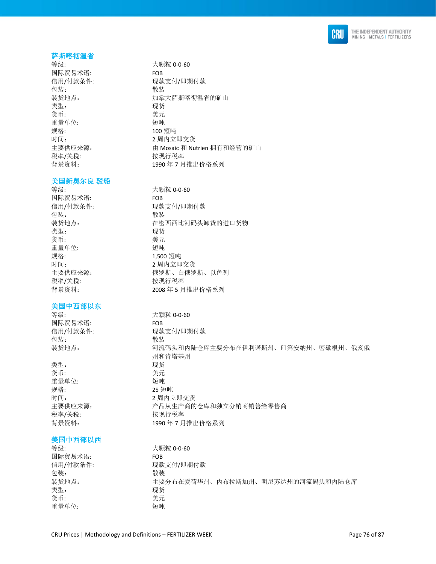

#### 萨斯喀彻温省

等级: 大颗粒 0-0-60 国际贸易术语: FOB 信用/付款条件: 现款支付/即期付款 包装: **2000** 装货地点: カンコンコンコンコンコンコントウェア あくりょう おくせん おんだん はいしょう 类型: 现货 货币: 美元 重量单位: 短吨 规格: 2009 短吨 时间: 2 周内立即交货 主要供应来源: http://www.childing.com/displanation/com/displanation/displanation/displanation/displanation/ 税率/关税: わけの おおおところ 按现行税率 背景资料: 1990年7月推出价格系列

#### 美国新奥尔良 驳船

等级: カラック おおとこ おおし 大颗粒 0-0-60 国际贸易术语: FOB 信用/付款条件: 现款支付/即期付款 包装: **2000** 装货地点: 在密西西比河码头卸货的进口货物 类型: 现货 货币: 考元 重量单位: 短吨 规格: カランプ 2,500 短吨 时间: 2 周内立即交货 主要供应来源: 有着 我 的 我要斯、白俄罗斯、以色列 税率/关税: わけの おおおところ 按现行税率 背景资料: 2008 年 5 月推出价格系列

### 美国中西部以东

等级: 大颗粒 0-0-60 国际贸易术语: FOB 信用/付款条件: 现款支付/即期付款 包装: 散装 装货地点: 河流码头和内陆仓库主要分布在伊利诺斯州、印第安纳州、密歇根州、俄亥俄

类型: 现货 货币: 考元 重量单位: 短吨 规格: 25 短吨 时间: 2 周内立即交货 主要供应来源: カランス ア品从生产商的仓库和独立分销商销售给零售商 税率/关税: わけの おおおところ 按现行税率 背景资料: 1990 年 7 月推出价格系列

### 美国中西部以西

| 等级:      | 大颗粒 0-0-60                       |
|----------|----------------------------------|
| 国际贸易术语:  | <b>FOB</b>                       |
| 信用/付款条件: | 现款支付/即期付款                        |
| 包装:      | 散装                               |
| 装货地点:    | 主要分布在爱荷华州、内布拉斯加州、明尼苏达州的河流码头和内陆仓库 |
| 类型:      | 现货                               |
| 货币:      | 美元                               |
| 重量单位:    | 短吨                               |

州和肯塔基州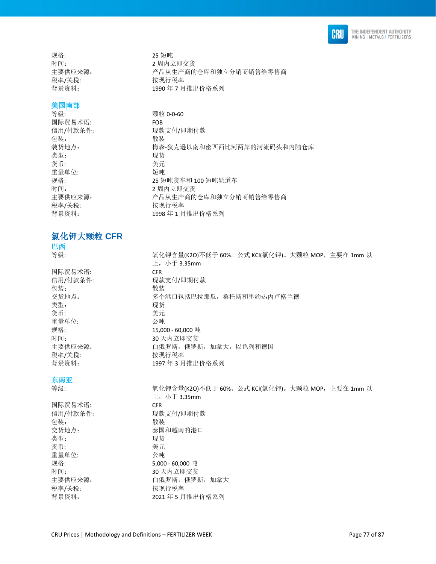

规格: 25 短吨 税率/关税: わかん おおおし 按现行税率

#### 美国南部

等级: **booking** to the term of the way with  $\frac{1}{2}$   $\frac{1}{2}$   $\frac{1}{2}$   $\frac{1}{2}$   $\frac{1}{2}$   $\frac{1}{2}$   $\frac{1}{2}$   $\frac{1}{2}$   $\frac{1}{2}$   $\frac{1}{2}$   $\frac{1}{2}$   $\frac{1}{2}$   $\frac{1}{2}$   $\frac{1}{2}$   $\frac{1}{2}$   $\frac{1}{2}$   $\frac{1}{2}$   $\frac{1}{2}$  国际贸易术语: FOB 包装: 散装 类型: 李家 医心包的 医双货 货币: 美元 重量单位: 时间: 2 周内立即交货 税率/关税: わけの おおおところ 按现行税率

氯化钾大颗粒 **CFR** 

巴西

国际贸易术语: CFR 包装: 散装 类型: 现货 货币: カランチン おおとこ 美元 重量单位: 公吨 税率/关税: わけの おおおところ 按现行税率

### 东南亚

国际贸易术语: CFR 包装: 散装 类型: 现货 货币: 考元 重量单位: 公吨 税率/关税: わけの 按现行税率

时间: カランス カランス 2 周内立即交货 主要供应来源: 产品从生产商的仓库和独立分销商销售给零售商 背景资料: 1990年7月推出价格系列

信用/付款条件: 现款支付/即期付款 装货地点: 梅森-狄克逊以南和密西西比河两岸的河流码头和内陆仓库 规格: 25 短吨货车和 100 短吨轨道车 主要供应来源: 产品从生产商的仓库和独立分销商销售给零售商 背景资料: 1998年1月推出价格系列

等级: <br> 氧化钾含量(K2O)不低于 60%。公式 KCI(氯化钾)。大颗粒 MOP, 主要在 1mm 以  $L$ , 小于 3.35mm 信用/付款条件: 现款支付/即期付款 交货地点: カランス あんさん 多个港口包括巴拉那瓜, 桑托斯和里约热内卢格兰德 规格: 15,000 - 60,000 吨 时间: 30 天内立即交货 主要供应来源: カランチ 自俄罗斯,俄罗斯,加拿大,以色列和德国 背景资料: 1997 年 3 月推出价格系列

等级: カランス インストン エントン エム エム エム インド 60%。公式 KCI(氯化钾)。大颗粒 MOP, 主要在 1mm 以  $\pm$ , 小于 3.35mm 信用/付款条件: 现款支付/即期付款 交货地点: 本部 本国和越南的港口 规格: 5,000 - 60,000 吨 时间: 30 天内立即交货 主要供应来源: カラウンス 自俄罗斯,俄罗斯,加拿大 背景资料: 2021 年 5 月推出价格系列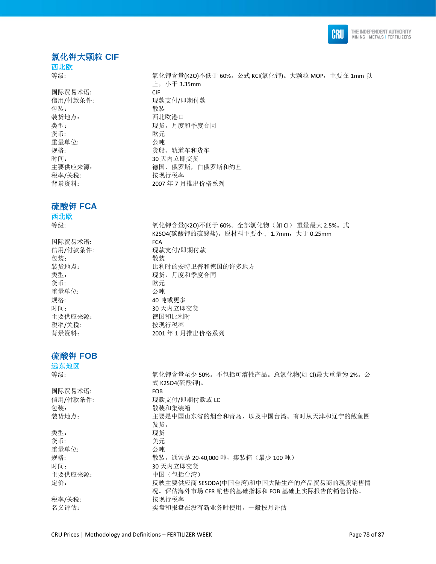

### 氯化钾大颗粒 **CIF**

西北欧

国际贸易术语: CIF 包装: 散装 装货地点: 西北欧港口 货币: 欧元 重量单位: 公吨 税率/关税: わけの おおおところ 按现行税率 背景资料: 2007 年 7 月推出价格系列

### 硫酸钾 **FCA**

西北欧

国际贸易术语: FCA 包装: **2000** 货币: 欧元 重量单位: 公吨 规格: 40 吨或更多 主要供应来源: 李武 - 德国和比利时 税率/关税: わかん おおおし 按现行税率

### 硫酸钾 **FOB**

远东地区

类型: 现货 货币: カランチン さんじょう 美元 重量单位: 公吨

等级: カランス インストン エントン エム インド インド 10%。公式 KCI(氯化钾)。大颗粒 MOP, 主要在 1mm 以  $\pm$ , 小于 3.35mm 信用/付款条件: 现款支付/即期付款 类型: 现货,月度和季度合同 规格: カランス アンチュー のおもの おおとり ちょうかい ちょうかい かんじょう かいじょう かいじょう かいじょう かいじょう かいじょう かいじょう かいじょう かいじょう かいじょう 时间: 30 天内立即交货 主要供应来源: 德国,俄罗斯,白俄罗斯和约旦

等级: 氧化钾含量(K2O)不低于 60%。全部氯化物(如 CI) 重量最大 2.5%。式 K2SO4(碳酸钾的硫酸盐)。原材料主要小于 1.7mm, 大于 0.25mm 信用/付款条件: 现款支付/即期付款 装货地点: 比利时的安特卫普和德国的许多地方 类型: カランチン アンチン 现货, 月度和季度合同 时间: 30 天内立即交货 背景资料: 2001 年 1 月推出价格系列

等级: カンストン エントン エントン エントラン 50%。不包括可溶性产品。总氯化物(如 CI)最大重量为 2%。公 式 K2SO4(硫酸钾)。 国际贸易术语: FOB 信用/付款条件: 现款支付/即期付款或 LC 包装: 有效的 医心包装 化二氯化物 化苯基苯基 装货地点: 主要是中国山东省的烟台和青岛, 以及中国台湾。有时从天津和辽宁的鲅鱼圈 发货。 规格: カランス リング 散装, 通常是 20-40,000 吨, 集装箱 (最少 100 吨) 时间: 30 天内立即交货 主要供应来源: 中国(包括台湾) 定价: 反映主要供应商 SESODA(中国台湾)和中国大陆生产的产品贸易商的现货销售情 况。评估海外市场 CFR 销售的基础指标和 FOB 基础上实际报告的销售价格。 税率/关税: わけの おおところ 按现行税率 名义评估: 李武 李盘和报盘在没有新业务时使用。一般按月评估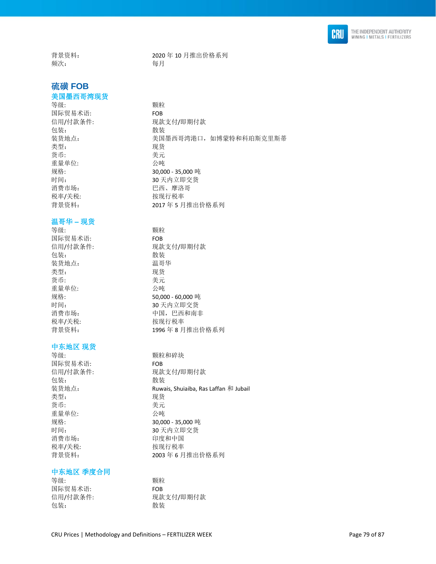

背景资料: 2020 年 10 月推出价格系列 频次: 每月

### 硫磺 **FOB**

### 美国墨西哥湾现货

等级: **All and The Market Struth Struth Windows** 国际贸易术语: FOB 包装: 散装 类型: 现货 货币: 考元 重量单位: 2000 2000 2000 公吨 消费市场: 阿拉伯 医西、摩洛哥 税率/关税: わけの 按现行税率

### 温哥华 **–** 现货

等级: **All and The Market Struth Struth Windows** 国际贸易术语: FOB 包装: **2000** 装货地点: 温哥华 类型: 现货 货币: 有效的 医心包的 医无线虫属 医心室 医心室 医心室 重量单位: 公吨 税率/关税: わけの おおおところ 按现行税率

### 中东地区 现货

等级: カランス アンチン かいかん 颗粒和碎块 国际贸易术语: FOB 包装: 有效的 化苯基苯胺 化苯基苯胺 化苯基苯胺 化苯基苯胺 医心包炎 化二乙基苯胺 医心包炎 化二乙基苯胺 医心包的 医心包的 医心包的 医心包的 医心包的 医心包的 医心包的 化二乙基乙酸 化二乙基乙酸 化二乙基乙酸 化二乙基乙酸 医心包 医心包 化二乙基乙酸 类型: 现货 货币: 考元 重量单位: 公吨 消费市场: 印度和中国 税率/关税: わけの おおおところ 按现行税率

### 中东地区 季度合同

等级: **All and The Market Struth Struth Windows** 国际贸易术语: FOB 信用/付款条件: 现款支付/即期付款 包装: 散装

信用/付款条件: 现款支付/即期付款 装货地点: 李国墨西哥湾港口,如博蒙特和科珀斯克里斯蒂 规格: 30,000 - 35,000 吨 时间: 30 天内立即交货 背景资料: 2017 年 5 月推出价格系列

信用/付款条件: 现款支付/即期付款 规格: 50,000 - 60,000 吨 时间: 30 天内立即交货 消费市场: 有时期 中国,巴西和南非 背景资料: 1996 年 8 月推出价格系列

信用/付款条件: 现款支付/即期付款 装货地点: **Example 2 and Ruwais, Shuiaiba, Ras Laffan** 和 Jubail 规格: 30,000 - 35,000 吨 时间: 30 天内立即交货 背景资料: 2003 年 6 月推出价格系列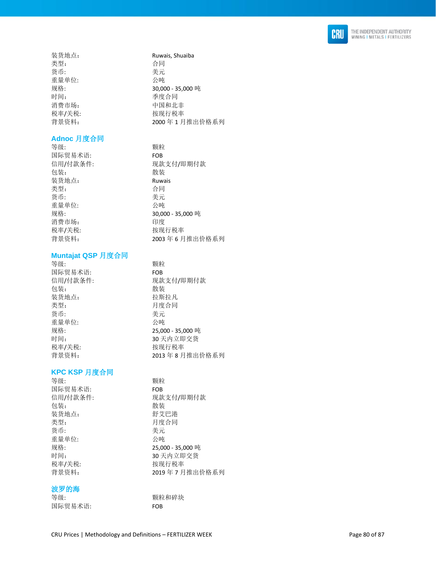

| 装货地点:  |  |
|--------|--|
| 类型:    |  |
| 货币:    |  |
| 重量单位:  |  |
| 规格:    |  |
| 时间:    |  |
| 消费市场:  |  |
| 税率/关税: |  |
| 背景资料:  |  |

### **Adnoc** 月度合同

等级: 国际贸易术语: FOB 信用 /付款条件 包装: **2000** 装货地点: **Ruwais** 类型: 本部 本部 合同 货币: 重量单位 规格: 消费市场: 印度 税率/关税: 背景资料:

### **Muntajat QSP** 月度合同

等级: 国际贸易术语: FOB 信用 /付款条件 : 现款支付 /即期付款 包装: **2000** 装货地点: 拉斯拉凡 类型: カランチン 月度合同 货币: 重量单位 规格: : 25,000 - 35,000 吨 时间: 30 天内立即交货 税率/关税: 背景资料:

### **KPC K S P** 月度合同

| 等级:      | 颗粒                |
|----------|-------------------|
| 国际贸易术语:  | <b>FOB</b>        |
| 信用/付款条件: | 现款支付/即期付款         |
| 包装:      | 散装                |
| 装货地点:    | 舒艾巴港              |
| 类型:      | 月度合同              |
| 货币:      | 美元                |
| 重量单位:    | 公吨                |
| 规格:      | 25,000 - 35,000 吨 |
| 时间:      | 30 天内立即交货         |
| 税率/关税:   | 按现行税率             |
| 背景资料:    | 2019年7月推出价格系列     |
|          |                   |

### 波罗的海

| 等级:     | 颗粒  |
|---------|-----|
| 国际贸易术语: | FOB |

装货地点: Ruwais, Shuaiba 类型: 合同 美元 : 公吨 : 30,000 - 35,000 吨 时间: 季度合同 消费市场: 中国和北非 按现行税率 年 1 月推出价格系列

: 颗粒 : 现款支付 /即期付款 : 美元 : 公吨 : 30,000 - 35,000 吨 按现行税率 年 6 月推出价格系列

: 颗粒

: 美元

: 公吨

按现行税率

: 颗粒和碎块

年 8 月推出价格系列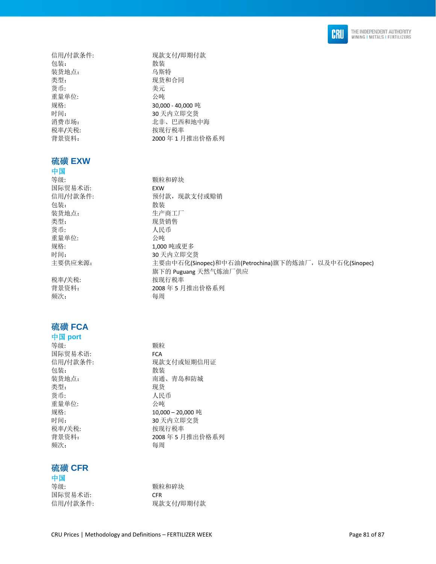

| 信用/付款条件:<br>包装: | 现款支付/即期付款<br>散装                                       |
|-----------------|-------------------------------------------------------|
| 装货地点:           | 乌斯特                                                   |
| 类型:             | 现货和合同                                                 |
| 货币:             | 美元                                                    |
| 重量单位:           | 公吨                                                    |
| 规格:             | 30,000 - 40,000 吨                                     |
| 时间:             | 30天内立即交货                                              |
| 消费市场:           | 北非、巴西和地中海                                             |
| 税率/关税:          | 按现行税率                                                 |
| 背景资料:           | 2000年1月推出价格系列                                         |
|                 |                                                       |
| 硫磺 EXW          |                                                       |
| 中国              |                                                       |
| 等级:             | 颗粒和碎块                                                 |
| 国际贸易术语:         | <b>EXW</b>                                            |
| 信用/付款条件:        | 预付款, 现款支付或赊销                                          |
| 包装:             | 散装                                                    |
| 装货地点:           | 生产商工厂                                                 |
| 类型:             | 现货销售                                                  |
| 货币:             | 人民币                                                   |
| 重量单位:           | 公吨                                                    |
| 规格:             | 1,000 吨或更多                                            |
| 时间:             | 30 天内立即交货                                             |
| 主要供应来源:         | 主要由中石化(Sinopec)和中石油(Petrochina)旗下的炼油厂, 以及中石化(Sinopec) |
|                 | 旗下的 Puguang 天然气炼油厂供应                                  |
| 税率/关税:          | 按现行税率                                                 |
| 背景资料:           | 2008年5月推出价格系列                                         |
| 频次:             | 每周                                                    |
|                 |                                                       |



# 中国 **port**

| 等级:      | 颗粒                |
|----------|-------------------|
| 国际贸易术语:  | <b>FCA</b>        |
| 信用/付款条件: | 现款支付或短期信用证        |
| 包装:      | 散装                |
| 装货地点:    | 南通、青岛和防城          |
| 类型:      | 现货                |
| 货币:      | 人民币               |
| 重量单位:    | 公庫                |
| 规格:      | 10,000 - 20,000 吨 |
| 时间:      | 30 天内立即交货         |
| 税率/关税:   | 按现行税率             |
| 背景资料:    | 2008年5月推出价格系列     |
| 频次:      | 每周                |
|          |                   |

# 硫磺 **CFR**

| 中国       |            |
|----------|------------|
| 等级:      | 颗粒和碎块      |
| 国际贸易术语:  | <b>CFR</b> |
| 信用/付款条件: | 现款支付/即期付款  |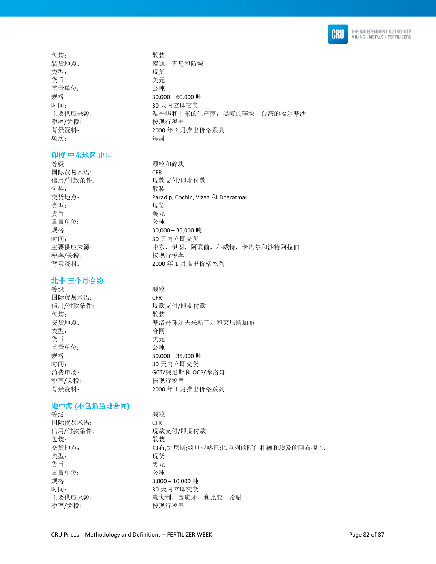

包装: 有效的 化苯基苯胺 化苯基苯胺 化苯基苯胺 化苯基苯胺 医心包炎 化二乙基苯胺 医心包炎 类型: 李武 2000年10月11日 11月11日 11月11日 11月11日 11月11日 11月11日 11月11日 11月11日 11月11日 11月11日 11月11日 11月11日 11月11日 11月11日 11月11日 11月11日 11月11日 11月11日 11月11日 11月11日 11月11日 11月11日 11月11日 11月11日 11月11日 11月11日 11月11日 11月11日 11月11日 11月11日 货币: カランチン さんじょう 美元 重量单位: 公吨 税率/关税: わかん おおし 按现行税率 频次: 每周

### 印度 中东地区 出口

国际贸易术语: CFR 包装: 散装 类型: 现货 货币: カランチン さんじょう 美元 重量单位: 公吨 税率/关税: わけの 按现行税率

#### 北非 三个月合约

等级: **All and The Market Struth Struth Windows** 国际贸易术语: CFR 包装: 散装 类型: 本部 本部 合同 货币: 有效的 医心脏 医无效的 医无效的 医无效的 医无效的 医无效的 重量单位: 公吨 税率/关税: 本部 被现行税率

### 地中海 **(**不包括当地合同**)**

等级: **Allahoration** (5) 国际贸易术语: CFR 包装: **2000** 类型: 现货 货币: 有效的 医心脏 医无线管 医心脏 医心脏 医心脏 医心脏 重量单位: 公吨

装货地点: 有着 有通、青岛和防城 规格: 30,000 – 60,000 吨 时间: 30 天内立即交货 主要供应来源: 温哥华和中东的生产商,黑海的碎块,台湾的福尔摩沙 背景资料: 2000 年 2 月推出价格系列

等级: 有效的 不可能的 医神经神经 医神经性 信用/付款条件: 现款支付/即期付款 交货地点: Paradip, Cochin, Vizag 和 Dharatmar 规格: 30,000 – 35,000 吨 时间: 30 天内立即交货 主要供应来源: 中天,伊朗,阿联酋,科威特,卡塔尔和沙特阿拉伯 背景资料: 2000 年 1 月推出价格系列

信用/付款条件: 现款支付/即期付款 交货地点: 李格哥森尔夫来斯菲尔和突尼斯加布 规格: 30,000 – 35,000 吨 时间: 30 天内立即交货 消费市场: The Contemporal Sect/突尼斯和 OCP/摩洛哥 背景资料: 2000年1月推出价格系列

信用/付款条件: 现款支付/即期付款 交货地点: 加布,突尼斯;约旦亚喀巴;以色列的阿什杜德和埃及的阿布·基尔 规格: 3,000 – 10,000 吨 时间: 30 天内立即交货 主要供应来源: 财本 2000 年 意大利, 西班牙, 利比亚, 希腊 税率/关税: わけの おおおところ 按现行税率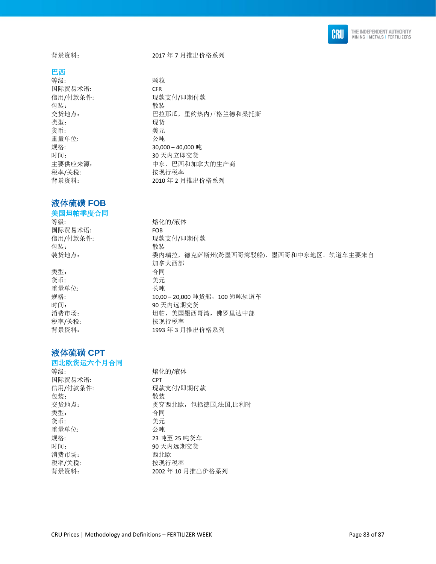

### 巴西

等级: **All and The Market Struth Struth Windows** 国际贸易术语: CFR 包装: **2000** 类型: 现货 货币: 考元 重量单位: 公吨 税率/关税: わけの おおおところ 按现行税率

# 液体硫磺 **FOB**

### 美国坦帕季度合同

等级: 李敏: 李家 李家 李家 " 你们不会 你们不会 你们不会 你们 国际贸易术语: FOB 包装: **2000** 

类型: 本部 本部 合同 货币: 李元 重量单位: 长吨

# 液体硫磺 **CPT**

### 西北欧货运六个月合同 等级: 熔化的/液体

| 国际贸易术语:  | <b>CPT</b>        |
|----------|-------------------|
| 信用/付款条件: | 现款支付/即期付款         |
| 包装:      | 散装                |
| 交货地点:    | 贯穿西北欧,包括德国,法国,比利时 |
| 类型:      | 合同                |
| 货币:      | 美元                |
| 重量单位:    | 公吨                |
| 规格:      | 23 吨至 25 吨货车      |
| 时间:      | 90 天内远期交货         |
| 消费市场:    | 西北欧               |
| 税率/关税:   | 按现行税率             |
| 背景资料:    | 2002年10月推出价格系列    |
|          |                   |

背景资料: 2017 年 7 月推出价格系列

信用/付款条件: 现款支付/即期付款 交货地点: 巴拉那瓜,里约热内卢格兰德和桑托斯 规格: 30,000 – 40,000 吨 时间: 30 天内立即交货 主要供应来源: 中天,巴西和加拿大的生产商 背景资料: 2010 年 2 月推出价格系列

信用/付款条件: 现款支付/即期付款 装货地点: 委内瑞拉, 德克萨斯州(跨墨西哥湾驳船), 墨西哥和中东地区。轨道车主要来自 加拿大西部 规格: カランカ インクリン 10,00 – 20,000 吨货船, 100 短吨轨道车 时间: 90 天内远期交货 消费市场: 坦帕,美国墨西哥湾,佛罗里达中部 税率/关税: わけの おおおところ 按现行税率 背景资料: 1993 年 3 月推出价格系列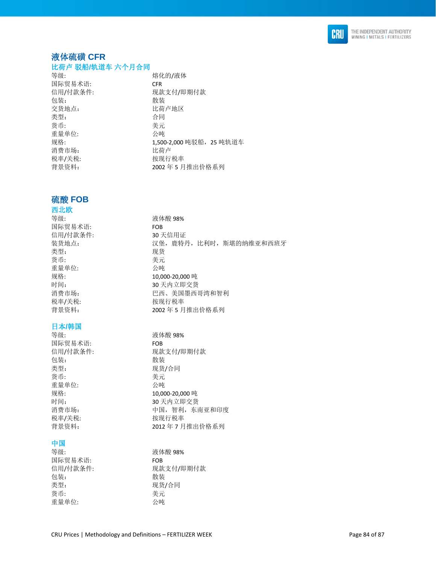

# 液体硫磺 **CFR**

### 比荷卢 驳船**/**轨道车 六个月合同

| 等级:      | 熔化的/液体                   |
|----------|--------------------------|
| 国际贸易术语:  | <b>CFR</b>               |
| 信用/付款条件: | 现款支付/即期付款                |
| 包装:      | 散装                       |
| 交货地点:    | 比荷卢地区                    |
| 类型:      | 合同                       |
| 货币:      | 美元                       |
| 重量单位:    | 公吨                       |
| 规格:      | 1,500-2,000 吨驳船, 25 吨轨道车 |
| 消费市场:    | 比荷卢                      |
| 税率/关税:   | 按现行税率                    |
| 背景资料:    | 2002年5月推出价格系列            |
|          |                          |

### 硫酸 **FOB**

# 西北欧 等级: カランド おおところ 液体酸 98% 国际贸易术语: FOB 信用/付款条件: 30 天信用证<br>装货地点: 30 天信用证 类型: 现货 货币: 考元 重量单位: 公吨 税率/关税: わけの おおし 按现行税率

### 日本**/**韩国

国际贸易术语: FOB 包装: 散装 类型: 现货/合同 货币: 考元 重量单位: 公吨 税率/关税: わけの おおおところ 按现行税率

### 中国

| 等级:      | 液体酸 98%   |
|----------|-----------|
| 国际贸易术语:  | FOB       |
| 信用/付款条件: | 现款支付/即期付款 |
| 包装:      | 散装        |
| 类型:      | 现货/合同     |
| 货币:      | 美元        |
| 重量单位:    | 公吨        |

汉堡, 鹿特丹, 比利时, 斯堪的纳维亚和西班牙 规格: 10,000-20,000 吨 时间: 30 天内立即交货 消费市场: 巴西、美国墨西哥湾和智利 背景资料: 2002 年 5 月推出价格系列

等级: 液体酸 98% 信用/付款条件: 现款支付/即期付款<br>包装: 散装 规格: 10,000-20,000 吨 时间: 30 天内立即交货 消费市场: 有时的 中国,智利,东南亚和印度 背景资料: 2012年7月推出价格系列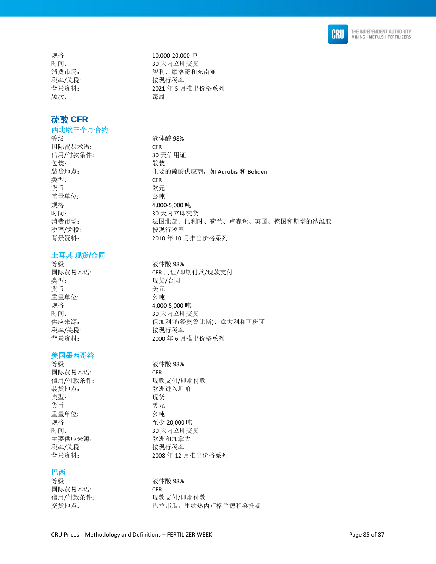

频次: 每周

# 硫酸 **CFR**

# 西北欧三个月合约

国际贸易术语: CFR 信用/付款条件: 30 天信用证 包装: 散装 类型: The CFR of the CFR of the CFR of the CFR of the CFR of the CFR of the CFR of the CFR of the CFR of the CFR 货币: 欧元 重量单位: 公吨 规格: 4,000-5,000 吨 税率/关税: わかん おおし 按现行税率

### 土耳其 现货**/**合同

等级: 液体酸 98% 类型: カランプ アンチン 现货/合同 货币: カランチン おおとこ 美元 重量单位: 公吨 规格: 4,000-5,000 吨 税率/关税: わけの おおおし 按现行税率

### 美国墨西哥湾

等级: 液体酸 98% 国际贸易术语: CFR 装货地点: 欧洲进入坦帕 类型: 现货 货币: カラン おおとこ きょうきょう 美元 重量单位: 公吨 规格: 20,000 吨 主要供应来源: 财本 欧洲和加拿大 税率/关税: わかん おおし 按现行税率

### 巴西

等级: カランド おおところ 液体酸 98% 国际贸易术语: CFR

规格: 10,000-20,000 吨 时间: 30 天内立即交货 消费市场: 有效的 计可变 计算机, 摩洛哥和东南亚 税率/关税: わかん おおし 按现行税率 背景资料: 2021 年 5 月推出价格系列

等级: 液体酸 98% 装货地点: http://www.philippin.com/induck/induck/induck/induck/induck/induck/induck/i 时间: 30 天内立即交货 消费市场: 初天 计二级 法国北部、比利时、荷兰、卢森堡、英国、德国和斯堪的纳维亚 背景资料: 2010 年 10 月推出价格系列

国际贸易术语: CFR 用证/即期付款/现款支付 时间: 30 天内立即交货 供应来源: 保加利亚(经奥鲁比斯)、意大利和西班牙 背景资料: 2000 年 6 月推出价格系列

信用/付款条件: 现款支付/即期付款 时间: 30 天内立即交货 背景资料: 2008 年 12 月推出价格系列

信用/付款条件: 现款支付/即期付款 交货地点: 巴拉那瓜,里约热内卢格兰德和桑托斯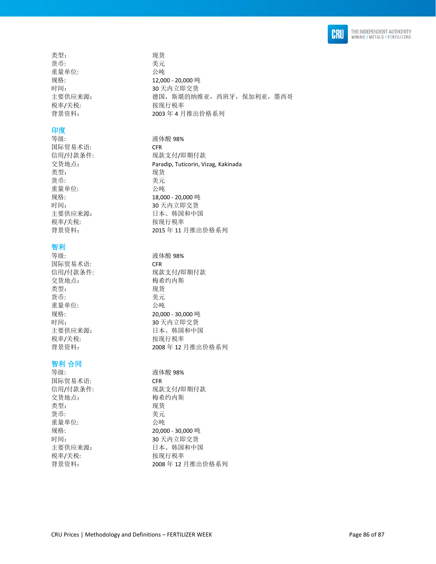

类型: 现货 货币: 有效的 医心脏 医无效的 医无效的 医无效的 医无效的 医无效的 重量单位: 公吨 税率/关税: わけの おおし 按现行税率

### 印度

国际贸易术语: CFR 类型: 现货 货币: 美元 重量单位: 公吨 税率/关税: わけの おおおし 按现行税率

## 智利

等级: カランド おおところ おおところ 液体酸 98% 国际贸易术语: CFR 交货地点: 有效的 梅希约内斯 类型: 2000 2000 2000 2000 现货 货币: 美元 重量单位: 税率/关税: わけの おおおし 按现行税率

### 智利 合同

等级: 液体酸 98% 国际贸易术语: CFR 交货地点: 有效的 有关的内斯 类型: 李家 医心包的 医双货 货币: カランチン おおとこ 美元 重量单位: 公吨 税率/关税: わけの おおおところ 按现行税率

规格: 12,000 - 20,000 吨 时间: 30 天内立即交货<br>主要供应来源: 30 天内立即交货 德国, 斯堪的纳维亚, 西班牙, 保加利亚, 墨西哥 背景资料: 2003 年 4 月推出价格系列

等级: カランド おおところ おおし 液体酸 98% 信用/付款条件: 现款支付/即期付款 交货地点: Paradip, Tuticorin, Vizag, Kakinada 规格: 18,000 - 20,000 吨 时间: 30 天内立即交货 主要供应来源: 日本、韩国和中国 背景资料: 2015 年 11 月推出价格系列

信用/付款条件: 现款支付/即期付款 规格: 20,000 - 30,000 吨 时间: 30 天内立即交货 主要供应来源: 日本、韩国和中国 背景资料: 2008 年 12 月推出价格系列

信用/付款条件: 现款支付/即期付款 规格: 20,000 - 30,000 吨 时间: 30 天内立即交货 主要供应来源: 日本 日本、韩国和中国 背景资料: 2008 年 12 月推出价格系列